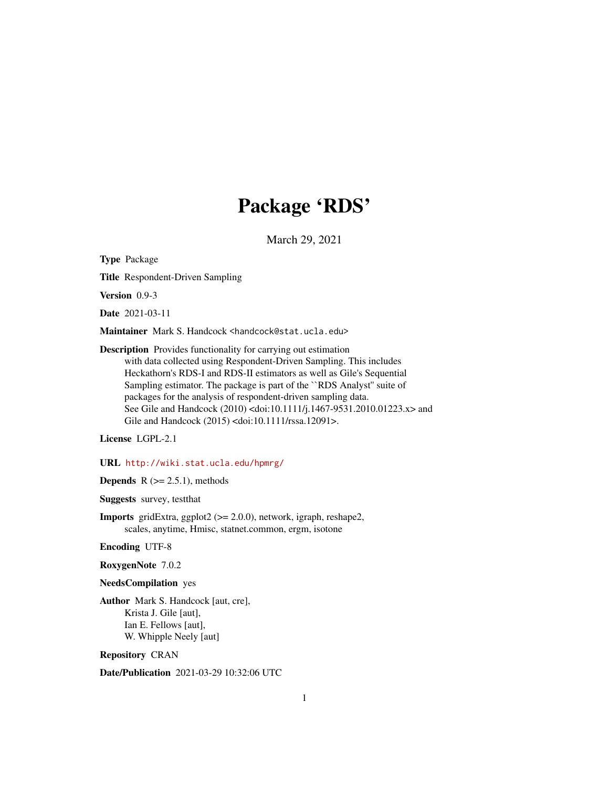# Package 'RDS'

March 29, 2021

<span id="page-0-0"></span>Type Package

Title Respondent-Driven Sampling

Version 0.9-3

Date 2021-03-11

Maintainer Mark S. Handcock <handcock@stat.ucla.edu>

Description Provides functionality for carrying out estimation with data collected using Respondent-Driven Sampling. This includes Heckathorn's RDS-I and RDS-II estimators as well as Gile's Sequential Sampling estimator. The package is part of the ``RDS Analyst'' suite of packages for the analysis of respondent-driven sampling data. See Gile and Handcock (2010) <doi:10.1111/j.1467-9531.2010.01223.x> and Gile and Handcock (2015) <doi:10.1111/rssa.12091>.

License LGPL-2.1

URL <http://wiki.stat.ucla.edu/hpmrg/>

**Depends**  $R$  ( $>= 2.5.1$ ), methods

Suggests survey, testthat

Imports gridExtra, ggplot2 (>= 2.0.0), network, igraph, reshape2, scales, anytime, Hmisc, statnet.common, ergm, isotone

Encoding UTF-8

RoxygenNote 7.0.2

#### NeedsCompilation yes

Author Mark S. Handcock [aut, cre], Krista J. Gile [aut], Ian E. Fellows [aut], W. Whipple Neely [aut]

Repository CRAN

Date/Publication 2021-03-29 10:32:06 UTC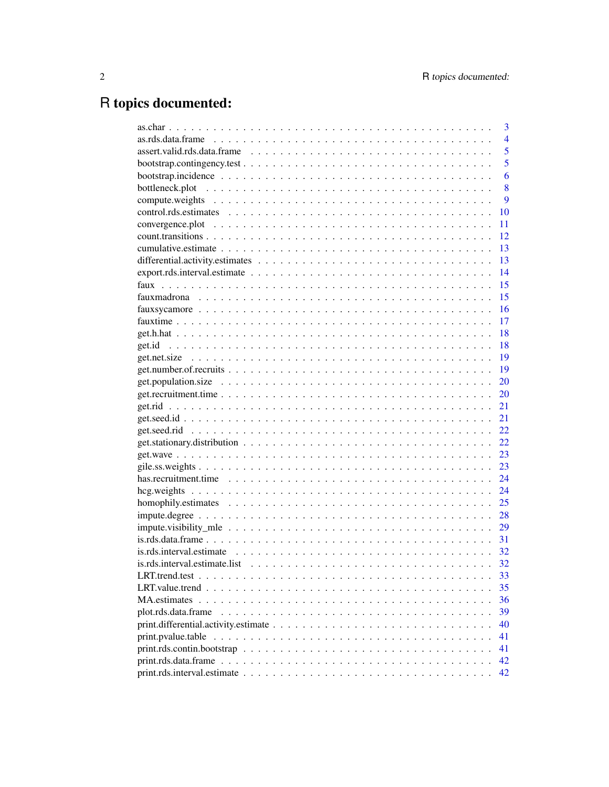# R topics documented:

|                                                                                                            | 3              |
|------------------------------------------------------------------------------------------------------------|----------------|
|                                                                                                            | $\overline{4}$ |
|                                                                                                            | 5              |
|                                                                                                            | 5              |
|                                                                                                            | 6              |
|                                                                                                            | 8              |
|                                                                                                            | 9              |
|                                                                                                            | 10             |
|                                                                                                            | 11             |
|                                                                                                            | 12             |
|                                                                                                            | 13             |
|                                                                                                            | 13             |
|                                                                                                            | 14             |
|                                                                                                            | 15             |
|                                                                                                            | 15             |
|                                                                                                            | 16             |
|                                                                                                            | 17             |
|                                                                                                            | 18             |
|                                                                                                            | 18             |
|                                                                                                            | 19             |
|                                                                                                            | 19             |
|                                                                                                            | 20             |
|                                                                                                            | 20             |
|                                                                                                            | 21             |
|                                                                                                            | 21             |
|                                                                                                            | 22             |
|                                                                                                            | 22             |
|                                                                                                            | 23             |
|                                                                                                            | 23             |
|                                                                                                            | 24             |
|                                                                                                            | 24             |
|                                                                                                            | 25             |
|                                                                                                            | 28             |
|                                                                                                            | 29             |
|                                                                                                            | 31             |
| $is.rds.$ interval.estimate $\ldots \ldots \ldots \ldots \ldots \ldots \ldots \ldots \ldots \ldots \ldots$ | 32             |
|                                                                                                            | 32             |
|                                                                                                            | 33             |
|                                                                                                            | 35             |
|                                                                                                            | 36             |
| plot.rds.data.frame                                                                                        | 39             |
|                                                                                                            | 40             |
|                                                                                                            | 41             |
|                                                                                                            | 41             |
|                                                                                                            | 42             |
|                                                                                                            | 42             |
|                                                                                                            |                |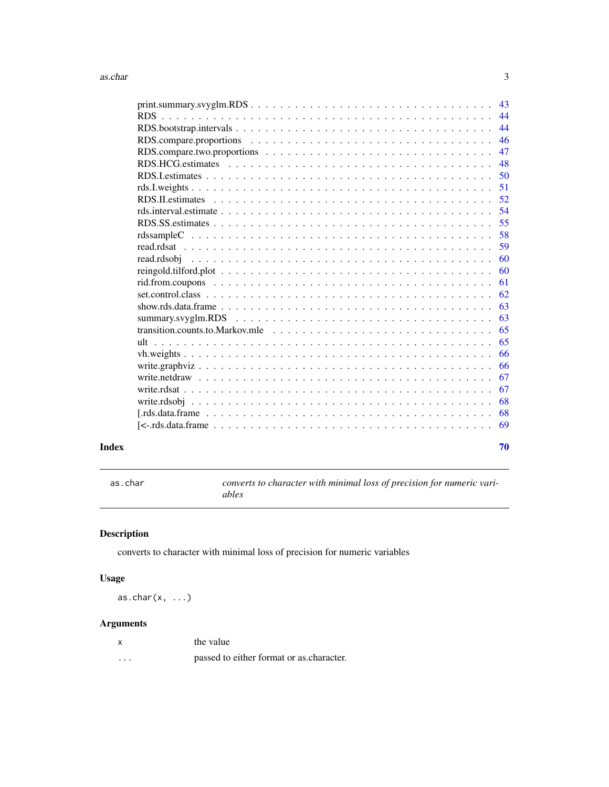<span id="page-2-0"></span>

|                                                                                                                 | 43 |
|-----------------------------------------------------------------------------------------------------------------|----|
|                                                                                                                 | 44 |
|                                                                                                                 | 44 |
|                                                                                                                 | 46 |
|                                                                                                                 | 47 |
|                                                                                                                 | 48 |
|                                                                                                                 | 50 |
|                                                                                                                 | 51 |
|                                                                                                                 | 52 |
|                                                                                                                 | 54 |
|                                                                                                                 | 55 |
|                                                                                                                 | 58 |
|                                                                                                                 | 59 |
|                                                                                                                 | 60 |
|                                                                                                                 | 60 |
|                                                                                                                 | 61 |
|                                                                                                                 | 62 |
|                                                                                                                 | 63 |
| summary.svyglm.RDS $\ldots \ldots \ldots \ldots \ldots \ldots \ldots \ldots \ldots \ldots \ldots \ldots \ldots$ | 63 |
| transition.counts.to.Markov.mle $\ldots \ldots \ldots \ldots \ldots \ldots \ldots \ldots \ldots \ldots \ldots$  | 65 |
|                                                                                                                 | 65 |
|                                                                                                                 | 66 |
|                                                                                                                 | 66 |
|                                                                                                                 | 67 |
|                                                                                                                 | 67 |
|                                                                                                                 | 68 |
|                                                                                                                 | 68 |
|                                                                                                                 | 69 |
|                                                                                                                 |    |

#### $\blacksquare$  Index  $\blacksquare$

as.char *converts to character with minimal loss of precision for numeric variables*

### Description

converts to character with minimal loss of precision for numeric variables

### Usage

as.char $(x, \ldots)$ 

| x | the value                                |
|---|------------------------------------------|
| . | passed to either format or as character. |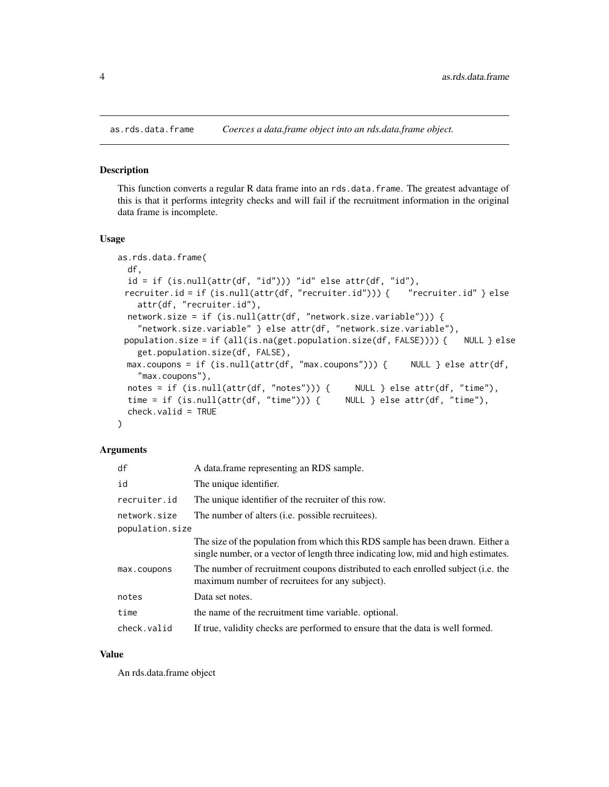<span id="page-3-0"></span>

#### Description

This function converts a regular R data frame into an rds.data.frame. The greatest advantage of this is that it performs integrity checks and will fail if the recruitment information in the original data frame is incomplete.

#### Usage

```
as.rds.data.frame(
 df,
 id = if (is.null(attr(df, "id"))) "id" else attr(df, "id"),recruiter.id = if (is.null(attr(df, "recruiter.id"))) { "recruiter.id" } else
    attr(df, "recruiter.id"),
  network.size = if (is.null(attr(df, "network.size.variable"))) {
    "network.size.variable" } else attr(df, "network.size.variable"),
 population.size = if (all(is.na(get.population.size(df, FALSE)))) { NULL } else
    get.population.size(df, FALSE),
 max.coupons = if (is.null(attr(df, "max.coupons"))) { NULL } else attr(df,
    "max.coupons"),
 notes = if (is.null(attr(df, "notes"))) { NULL } else attr(df, "time"),
  time = if (is.null(attr(df, "time"))) { NULL } else attr(df, "time"),
  check.valid = TRUE
)
```
### Arguments

| A data.frame representing an RDS sample.                                                                                                                             |
|----------------------------------------------------------------------------------------------------------------------------------------------------------------------|
| The unique identifier.                                                                                                                                               |
| The unique identifier of the recruiter of this row.                                                                                                                  |
| The number of alters (i.e. possible recruitees).                                                                                                                     |
|                                                                                                                                                                      |
| The size of the population from which this RDS sample has been drawn. Either a<br>single number, or a vector of length three indicating low, mid and high estimates. |
| The number of recruitment coupons distributed to each enrolled subject (i.e. the<br>maximum number of recruitees for any subject).                                   |
| Data set notes.                                                                                                                                                      |
| the name of the recruitment time variable, optional.                                                                                                                 |
| If true, validity checks are performed to ensure that the data is well formed.                                                                                       |
|                                                                                                                                                                      |

#### Value

An rds.data.frame object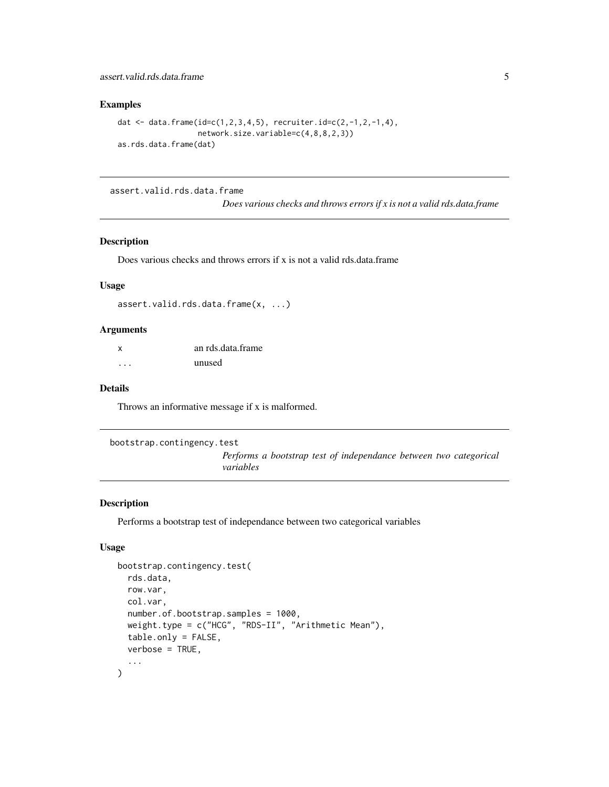### <span id="page-4-0"></span>Examples

```
dat <- data.frame(id=c(1,2,3,4,5), recruiter.id=c(2,-1,2,-1,4),
                  network.size.variable=c(4,8,8,2,3))
as.rds.data.frame(dat)
```
assert.valid.rds.data.frame

*Does various checks and throws errors if x is not a valid rds.data.frame*

### Description

Does various checks and throws errors if x is not a valid rds.data.frame

#### Usage

```
assert.valid.rds.data.frame(x, ...)
```
#### Arguments

| $\boldsymbol{\mathsf{x}}$ | an rds.data.frame |
|---------------------------|-------------------|
| .                         | unused            |

### Details

Throws an informative message if x is malformed.

```
bootstrap.contingency.test
```
*Performs a bootstrap test of independance between two categorical variables*

### Description

Performs a bootstrap test of independance between two categorical variables

```
bootstrap.contingency.test(
  rds.data,
  row.var,
  col.var,
  number.of.bootstrap.samples = 1000,
  weight.type = c("HCG", "RDS-II", "Arithmetic Mean"),
  table.only = FALSE,
  verbose = TRUE,
  ...
\mathcal{L}
```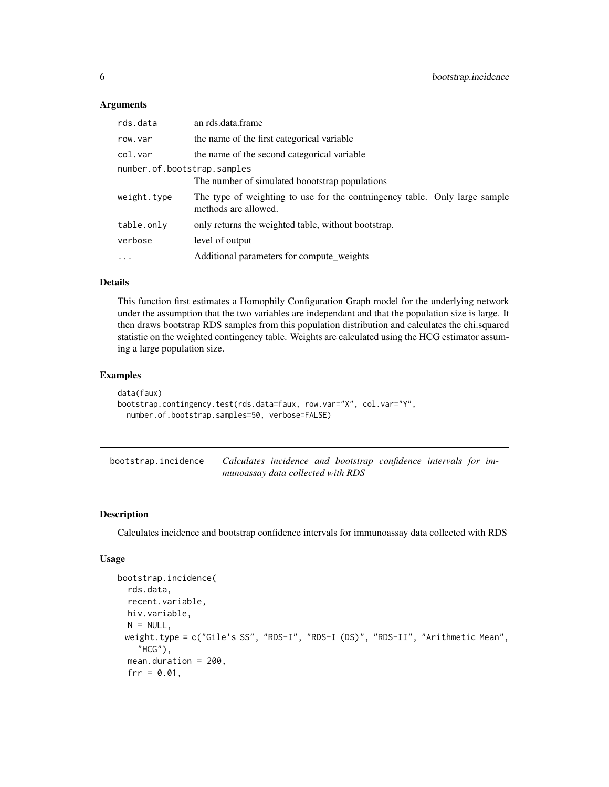#### <span id="page-5-0"></span>**Arguments**

| rds.data                    | an rds.data.frame                                                                                  |  |
|-----------------------------|----------------------------------------------------------------------------------------------------|--|
| row.var                     | the name of the first categorical variable                                                         |  |
| col.var                     | the name of the second categorical variable                                                        |  |
| number.of.bootstrap.samples |                                                                                                    |  |
|                             | The number of simulated boootstrap populations                                                     |  |
| weight.type                 | The type of weighting to use for the continuation table. Only large sample<br>methods are allowed. |  |
| table.only                  | only returns the weighted table, without bootstrap.                                                |  |
| verbose                     | level of output                                                                                    |  |
| $\cdot$                     | Additional parameters for compute_weights                                                          |  |

#### Details

This function first estimates a Homophily Configuration Graph model for the underlying network under the assumption that the two variables are independant and that the population size is large. It then draws bootstrap RDS samples from this population distribution and calculates the chi.squared statistic on the weighted contingency table. Weights are calculated using the HCG estimator assuming a large population size.

#### Examples

```
data(faux)
bootstrap.contingency.test(rds.data=faux, row.var="X", col.var="Y",
 number.of.bootstrap.samples=50, verbose=FALSE)
```
bootstrap.incidence *Calculates incidence and bootstrap confidence intervals for immunoassay data collected with RDS*

### Description

Calculates incidence and bootstrap confidence intervals for immunoassay data collected with RDS

```
bootstrap.incidence(
  rds.data,
  recent.variable,
  hiv.variable,
 N = NULL,weight.type = c("Gile's SS", "RDS-I", "RDS-I (DS)", "RDS-II", "Arithmetic Mean",
    "HCG"),
  mean.duration = 200,
  frr = 0.01,
```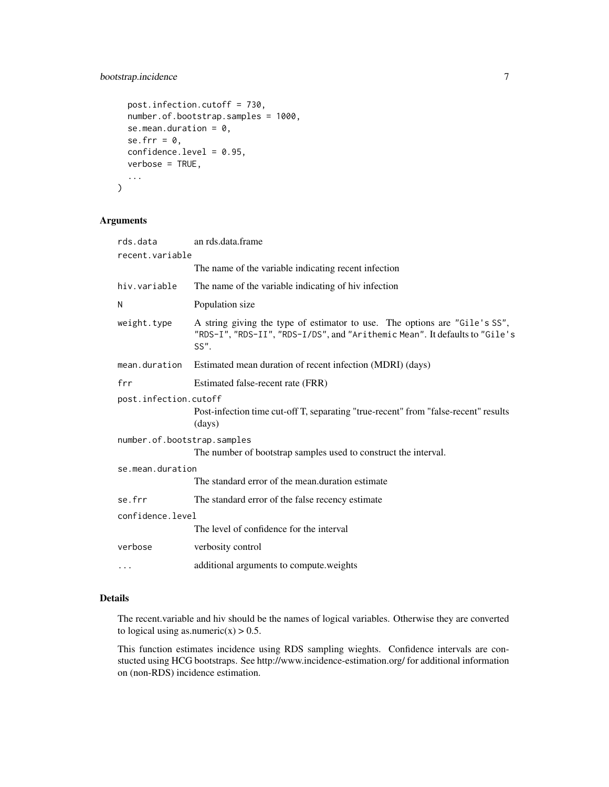### bootstrap.incidence 7

```
post.infection.cutoff = 730,
  number.of.bootstrap.samples = 1000,
  se.mean.duration = 0,
  se.frr = \theta,
  confidence.level = 0.95,
  verbose = TRUE,
  ...
\mathcal{L}
```
### Arguments

| rds.data                    | an rds.data.frame                                                                                                                                                  |
|-----------------------------|--------------------------------------------------------------------------------------------------------------------------------------------------------------------|
| recent.variable             |                                                                                                                                                                    |
|                             | The name of the variable indicating recent infection                                                                                                               |
| hiv.variable                | The name of the variable indicating of hiv infection                                                                                                               |
| N                           | Population size                                                                                                                                                    |
| weight.type                 | A string giving the type of estimator to use. The options are "Gile's SS",<br>"RDS-I", "RDS-II", "RDS-I/DS", and "Arithemic Mean". It defaults to "Gile's<br>SS''. |
| mean.duration               | Estimated mean duration of recent infection (MDRI) (days)                                                                                                          |
| frr                         | Estimated false-recent rate (FRR)                                                                                                                                  |
| post.infection.cutoff       |                                                                                                                                                                    |
|                             | Post-infection time cut-off T, separating "true-recent" from "false-recent" results<br>(days)                                                                      |
| number.of.bootstrap.samples |                                                                                                                                                                    |
|                             | The number of bootstrap samples used to construct the interval.                                                                                                    |
| se.mean.duration            |                                                                                                                                                                    |
|                             | The standard error of the mean duration estimate                                                                                                                   |
| se.frr                      | The standard error of the false recency estimate                                                                                                                   |
| confidence.level            |                                                                                                                                                                    |
|                             | The level of confidence for the interval                                                                                                                           |
| verbose                     | verbosity control                                                                                                                                                  |
| $\cdots$                    | additional arguments to compute weights                                                                                                                            |

### Details

The recent.variable and hiv should be the names of logical variables. Otherwise they are converted to logical using as.numeric( $x$ ) > 0.5.

This function estimates incidence using RDS sampling wieghts. Confidence intervals are constucted using HCG bootstraps. See http://www.incidence-estimation.org/ for additional information on (non-RDS) incidence estimation.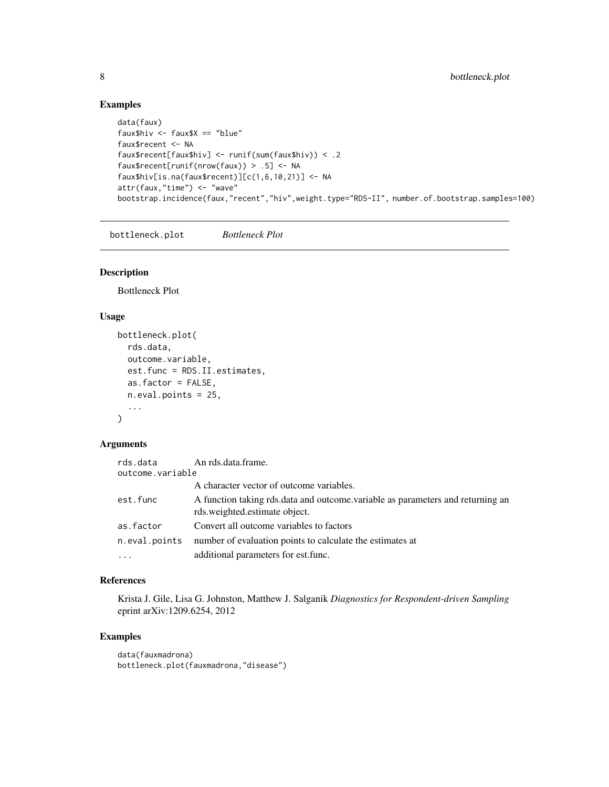### Examples

```
data(faux)
faux$hiv <- faux$X == "blue"
faux$recent <- NA
faux$recent[faux$hiv] <- runif(sum(faux$hiv)) < .2
faux$recent[runif(nrow(faux)) > .5] <- NA
faux$hiv[is.na(faux$recent)][c(1,6,10,21)] <- NA
attr(faux,"time") <- "wave"
bootstrap.incidence(faux,"recent","hiv",weight.type="RDS-II", number.of.bootstrap.samples=100)
```
bottleneck.plot *Bottleneck Plot*

### Description

Bottleneck Plot

### Usage

```
bottleneck.plot(
  rds.data,
  outcome.variable,
  est.func = RDS.II.estimates,
  as.factor = FALSE,
  n.eval.points = 25,
  ...
\mathcal{L}
```
### Arguments

| rds.data         | An rds.data.frame.                                                                                              |
|------------------|-----------------------------------------------------------------------------------------------------------------|
| outcome.variable |                                                                                                                 |
|                  | A character vector of outcome variables.                                                                        |
| est.func         | A function taking rds data and outcome variable as parameters and returning an<br>rds.weighted.estimate object. |
| as.factor        | Convert all outcome variables to factors                                                                        |
| n.eval.points    | number of evaluation points to calculate the estimates at                                                       |
| $\cdot$          | additional parameters for est. func.                                                                            |

### References

Krista J. Gile, Lisa G. Johnston, Matthew J. Salganik *Diagnostics for Respondent-driven Sampling* eprint arXiv:1209.6254, 2012

### Examples

```
data(fauxmadrona)
bottleneck.plot(fauxmadrona,"disease")
```
<span id="page-7-0"></span>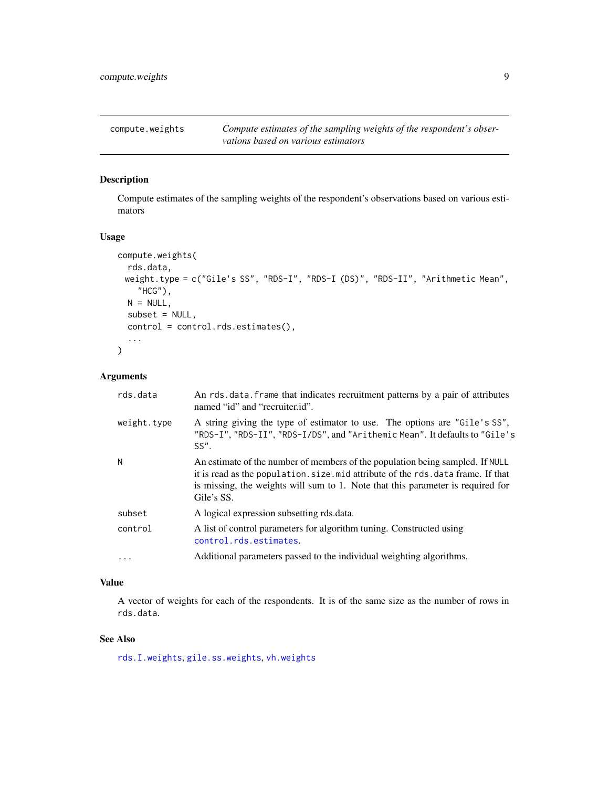<span id="page-8-0"></span>

### Description

Compute estimates of the sampling weights of the respondent's observations based on various estimators

#### Usage

```
compute.weights(
  rds.data,
 weight.type = c("Gile's SS", "RDS-I", "RDS-I (DS)", "RDS-II", "Arithmetic Mean",
    "HCG"),
 N = NULL,subset = NULL,
  control = control.rds.estimates(),
  ...
)
```
### Arguments

| rds.data    | An rds data frame that indicates recruitment patterns by a pair of attributes<br>named "id" and "recruiter.id".                                                                                                                                                    |
|-------------|--------------------------------------------------------------------------------------------------------------------------------------------------------------------------------------------------------------------------------------------------------------------|
| weight.type | A string giving the type of estimator to use. The options are "Gile's SS",<br>"RDS-I", "RDS-II", "RDS-I/DS", and "Arithemic Mean". It defaults to "Gile's<br>SS''.                                                                                                 |
| N           | An estimate of the number of members of the population being sampled. If NULL<br>it is read as the population. size mid attribute of the rds. data frame. If that<br>is missing, the weights will sum to 1. Note that this parameter is required for<br>Gile's SS. |
| subset      | A logical expression subsetting rds.data.                                                                                                                                                                                                                          |
| control     | A list of control parameters for algorithm tuning. Constructed using<br>control.rds.estimates.                                                                                                                                                                     |
| $\ddotsc$   | Additional parameters passed to the individual weighting algorithms.                                                                                                                                                                                               |

#### Value

A vector of weights for each of the respondents. It is of the same size as the number of rows in rds.data.

### See Also

[rds.I.weights](#page-50-1), [gile.ss.weights](#page-22-1), [vh.weights](#page-65-1)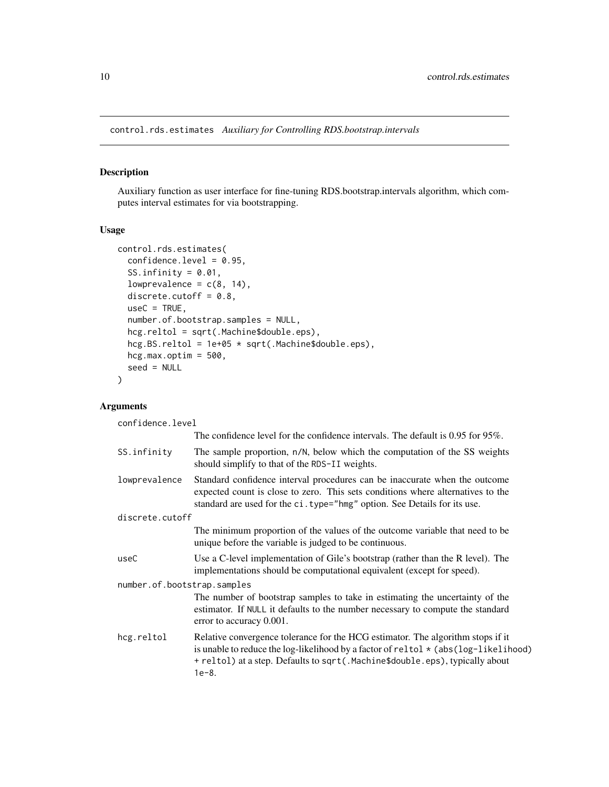<span id="page-9-1"></span><span id="page-9-0"></span>control.rds.estimates *Auxiliary for Controlling RDS.bootstrap.intervals*

### Description

Auxiliary function as user interface for fine-tuning RDS.bootstrap.intervals algorithm, which computes interval estimates for via bootstrapping.

### Usage

```
control.rds.estimates(
 confidence.level = 0.95,
  SS.infinity = 0.01,
  lowprevalence = c(8, 14),
  discrete.cutoff = 0.8,
 useC = TRUE,number.of.bootstrap.samples = NULL,
 hcg.reltol = sqrt(.Machine$double.eps),
 hcg.BS.reltol = 1e+05 * sqrt(.Machine$double.eps),
 hcg.max.optim = 500,
  seed = NULL
)
```
### Arguments

confidence.level

|                             | The confidence level for the confidence intervals. The default is 0.95 for 95%.                                                                                                                                                                                          |  |
|-----------------------------|--------------------------------------------------------------------------------------------------------------------------------------------------------------------------------------------------------------------------------------------------------------------------|--|
| SS.infinity                 | The sample proportion, n/N, below which the computation of the SS weights<br>should simplify to that of the RDS-II weights.                                                                                                                                              |  |
| lowprevalence               | Standard confidence interval procedures can be inaccurate when the outcome<br>expected count is close to zero. This sets conditions where alternatives to the<br>standard are used for the ci.type="hmg" option. See Details for its use.                                |  |
| discrete.cutoff             |                                                                                                                                                                                                                                                                          |  |
|                             | The minimum proportion of the values of the outcome variable that need to be<br>unique before the variable is judged to be continuous.                                                                                                                                   |  |
| useC                        | Use a C-level implementation of Gile's bootstrap (rather than the R level). The<br>implementations should be computational equivalent (except for speed).                                                                                                                |  |
| number.of.bootstrap.samples |                                                                                                                                                                                                                                                                          |  |
|                             | The number of bootstrap samples to take in estimating the uncertainty of the<br>estimator. If NULL it defaults to the number necessary to compute the standard<br>error to accuracy 0.001.                                                                               |  |
| hcg.reltol                  | Relative convergence tolerance for the HCG estimator. The algorithm stops if it<br>is unable to reduce the log-likelihood by a factor of reltol $\star$ (abs (log-likelihood)<br>+ reltol) at a step. Defaults to sqrt(.Machine\$double.eps), typically about<br>$1e-8.$ |  |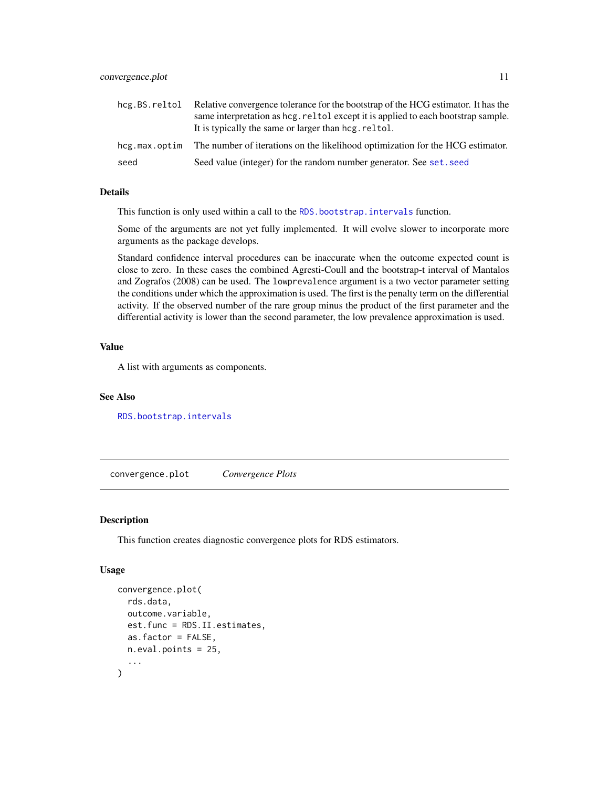<span id="page-10-0"></span>

| hcg.BS.reltol | Relative convergence tolerance for the bootstrap of the HCG estimator. It has the<br>same interpretation as hcg. reltol except it is applied to each bootstrap sample.<br>It is typically the same or larger than hcg. reltol. |
|---------------|--------------------------------------------------------------------------------------------------------------------------------------------------------------------------------------------------------------------------------|
| hcg.max.optim | The number of iterations on the likelihood optimization for the HCG estimator.                                                                                                                                                 |
| seed          | Seed value (integer) for the random number generator. See set. seed                                                                                                                                                            |

### Details

This function is only used within a call to the [RDS.bootstrap.intervals](#page-43-1) function.

Some of the arguments are not yet fully implemented. It will evolve slower to incorporate more arguments as the package develops.

Standard confidence interval procedures can be inaccurate when the outcome expected count is close to zero. In these cases the combined Agresti-Coull and the bootstrap-t interval of Mantalos and Zografos (2008) can be used. The lowprevalence argument is a two vector parameter setting the conditions under which the approximation is used. The first is the penalty term on the differential activity. If the observed number of the rare group minus the product of the first parameter and the differential activity is lower than the second parameter, the low prevalence approximation is used.

### Value

A list with arguments as components.

#### See Also

[RDS.bootstrap.intervals](#page-43-1)

convergence.plot *Convergence Plots*

#### Description

This function creates diagnostic convergence plots for RDS estimators.

```
convergence.plot(
  rds.data,
  outcome.variable,
  est.func = RDS.II.estimates,
  as.factor = FALSE,
 n.eval.points = 25,
  ...
)
```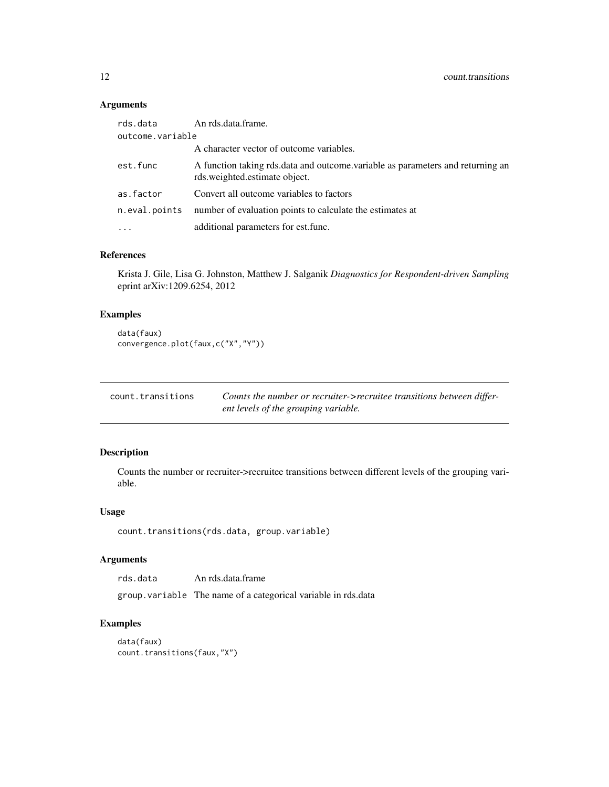### <span id="page-11-0"></span>Arguments

| rds.data         | An rds.data.frame.                                                                                              |
|------------------|-----------------------------------------------------------------------------------------------------------------|
| outcome.variable |                                                                                                                 |
|                  | A character vector of outcome variables.                                                                        |
| est.func         | A function taking rds data and outcome variable as parameters and returning an<br>rds.weighted.estimate object. |
| as.factor        | Convert all outcome variables to factors                                                                        |
| n.eval.points    | number of evaluation points to calculate the estimates at                                                       |
| $\cdots$         | additional parameters for est. func.                                                                            |
|                  |                                                                                                                 |

### References

Krista J. Gile, Lisa G. Johnston, Matthew J. Salganik *Diagnostics for Respondent-driven Sampling* eprint arXiv:1209.6254, 2012

### Examples

```
data(faux)
convergence.plot(faux,c("X","Y"))
```

| count.transitions | Counts the number or recruiter->recruitee transitions between differ- |
|-------------------|-----------------------------------------------------------------------|
|                   | ent levels of the grouping variable.                                  |

### Description

Counts the number or recruiter->recruitee transitions between different levels of the grouping variable.

### Usage

```
count.transitions(rds.data, group.variable)
```
### Arguments

rds.data An rds.data.frame

group.variable The name of a categorical variable in rds.data

### Examples

```
data(faux)
count.transitions(faux,"X")
```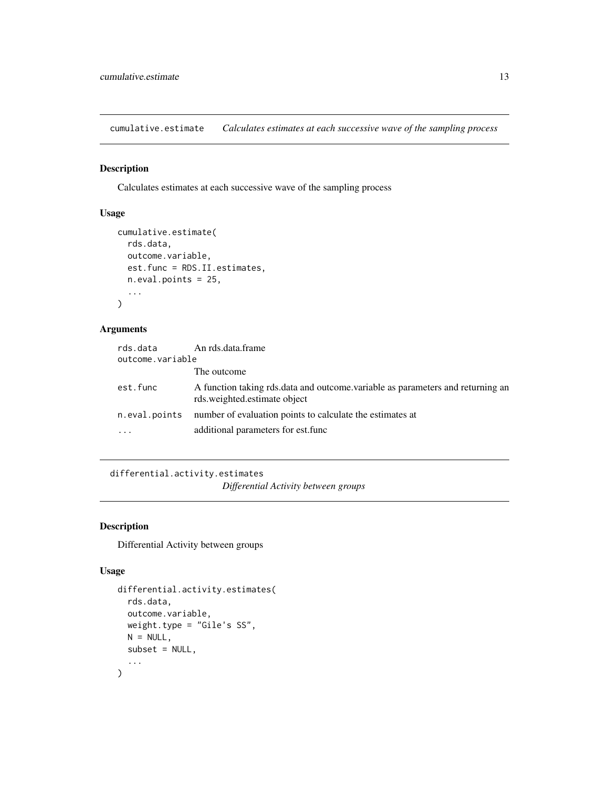<span id="page-12-0"></span>cumulative.estimate *Calculates estimates at each successive wave of the sampling process*

### Description

Calculates estimates at each successive wave of the sampling process

### Usage

```
cumulative.estimate(
  rds.data,
  outcome.variable,
  est.func = RDS.II.estimates,
  n.eval.points = 25,
  ...
\mathcal{L}
```
### Arguments

| rds.data         | An rds.data.frame                                                                                              |
|------------------|----------------------------------------------------------------------------------------------------------------|
| outcome.variable |                                                                                                                |
|                  | The outcome                                                                                                    |
| est.func         | A function taking rds data and outcome variable as parameters and returning an<br>rds.weighted.estimate object |
| n.eval.points    | number of evaluation points to calculate the estimates at                                                      |
| $\cdots$         | additional parameters for est. func                                                                            |

differential.activity.estimates *Differential Activity between groups*

### Description

Differential Activity between groups

```
differential.activity.estimates(
  rds.data,
  outcome.variable,
 weight.type = "Gile's SS",
 N = NULL,subset = NULL,...
\mathcal{L}
```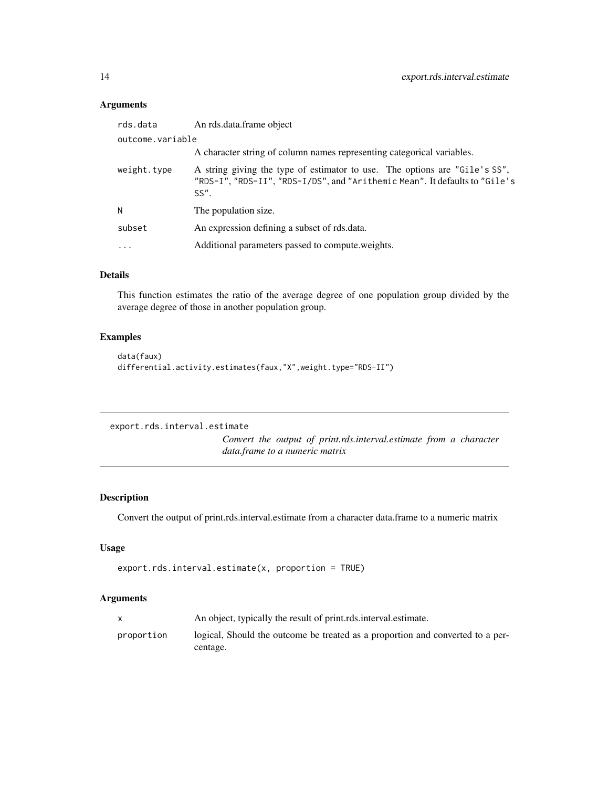### <span id="page-13-0"></span>Arguments

| rds.data         | An rds.data.frame object                                                                                                                                           |
|------------------|--------------------------------------------------------------------------------------------------------------------------------------------------------------------|
| outcome.variable |                                                                                                                                                                    |
|                  | A character string of column names representing categorical variables.                                                                                             |
| weight.type      | A string giving the type of estimator to use. The options are "Gile's SS",<br>"RDS-I", "RDS-II", "RDS-I/DS", and "Arithemic Mean". It defaults to "Gile's<br>SS''. |
| N                | The population size.                                                                                                                                               |
| subset           | An expression defining a subset of rds.data.                                                                                                                       |
| $\cdots$         | Additional parameters passed to compute weights.                                                                                                                   |
|                  |                                                                                                                                                                    |

### Details

This function estimates the ratio of the average degree of one population group divided by the average degree of those in another population group.

### Examples

```
data(faux)
differential.activity.estimates(faux,"X",weight.type="RDS-II")
```

```
export.rds.interval.estimate
```
*Convert the output of print.rds.interval.estimate from a character data.frame to a numeric matrix*

### Description

Convert the output of print.rds.interval.estimate from a character data.frame to a numeric matrix

### Usage

```
export.rds.interval.estimate(x, proportion = TRUE)
```

|            | An object, typically the result of print rds interval estimate.                |
|------------|--------------------------------------------------------------------------------|
| proportion | logical, Should the outcome be treated as a proportion and converted to a per- |
|            | centage.                                                                       |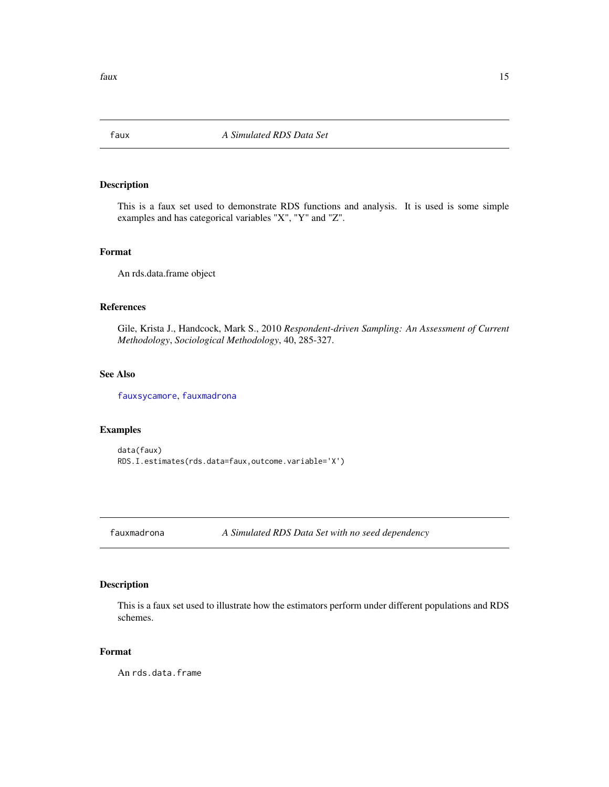<span id="page-14-2"></span><span id="page-14-0"></span>

### Description

This is a faux set used to demonstrate RDS functions and analysis. It is used is some simple examples and has categorical variables "X", "Y" and "Z".

#### Format

An rds.data.frame object

### References

Gile, Krista J., Handcock, Mark S., 2010 *Respondent-driven Sampling: An Assessment of Current Methodology*, *Sociological Methodology*, 40, 285-327.

### See Also

[fauxsycamore](#page-15-1), [fauxmadrona](#page-14-1)

#### Examples

```
data(faux)
RDS.I.estimates(rds.data=faux,outcome.variable='X')
```
<span id="page-14-1"></span>fauxmadrona *A Simulated RDS Data Set with no seed dependency*

### Description

This is a faux set used to illustrate how the estimators perform under different populations and RDS schemes.

#### Format

An rds.data.frame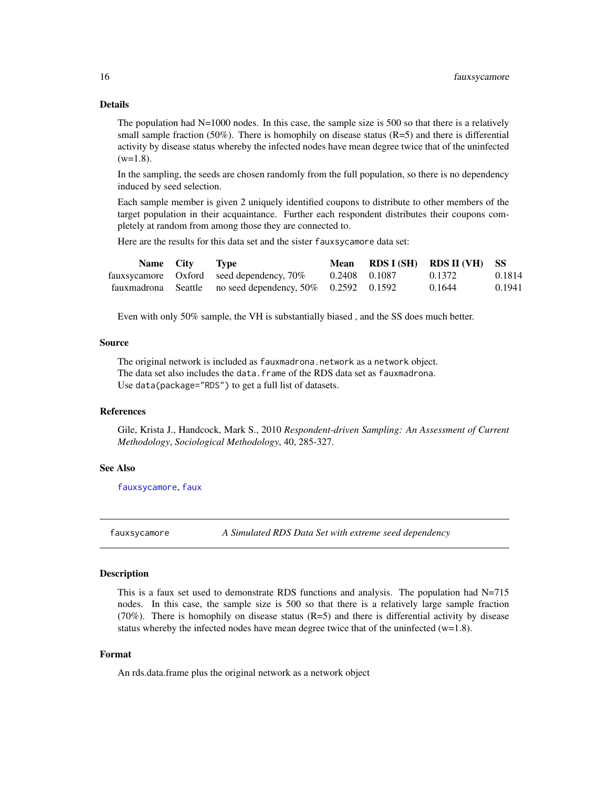### <span id="page-15-0"></span>Details

The population had  $N=1000$  nodes. In this case, the sample size is 500 so that there is a relatively small sample fraction  $(50\%)$ . There is homophily on disease status  $(R=5)$  and there is differential activity by disease status whereby the infected nodes have mean degree twice that of the uninfected  $(w=1.8)$ .

In the sampling, the seeds are chosen randomly from the full population, so there is no dependency induced by seed selection.

Each sample member is given 2 uniquely identified coupons to distribute to other members of the target population in their acquaintance. Further each respondent distributes their coupons completely at random from among those they are connected to.

Here are the results for this data set and the sister fauxsycamore data set:

| Name City | Type                                                      | Mean |               | RDS I (SH) RDS II (VH) SS |        |
|-----------|-----------------------------------------------------------|------|---------------|---------------------------|--------|
|           | faux sycamore Oxford seed dependency, 70%                 |      | 0.2408 0.1087 | 0.1372                    | 0.1814 |
|           | fauxmadrona Seattle no seed dependency, 50% 0.2592 0.1592 |      |               | 0.1644                    | 0.1941 |

Even with only 50% sample, the VH is substantially biased , and the SS does much better.

#### Source

The original network is included as fauxmadrona.network as a network object. The data set also includes the data. frame of the RDS data set as fauxmadrona. Use data(package="RDS") to get a full list of datasets.

#### References

Gile, Krista J., Handcock, Mark S., 2010 *Respondent-driven Sampling: An Assessment of Current Methodology*, *Sociological Methodology*, 40, 285-327.

#### See Also

[fauxsycamore](#page-15-1), [faux](#page-14-2)

<span id="page-15-1"></span>fauxsycamore *A Simulated RDS Data Set with extreme seed dependency*

### Description

This is a faux set used to demonstrate RDS functions and analysis. The population had  $N=715$ nodes. In this case, the sample size is 500 so that there is a relatively large sample fraction  $(70\%)$ . There is homophily on disease status  $(R=5)$  and there is differential activity by disease status whereby the infected nodes have mean degree twice that of the uninfected  $(w=1.8)$ .

#### Format

An rds.data.frame plus the original network as a network object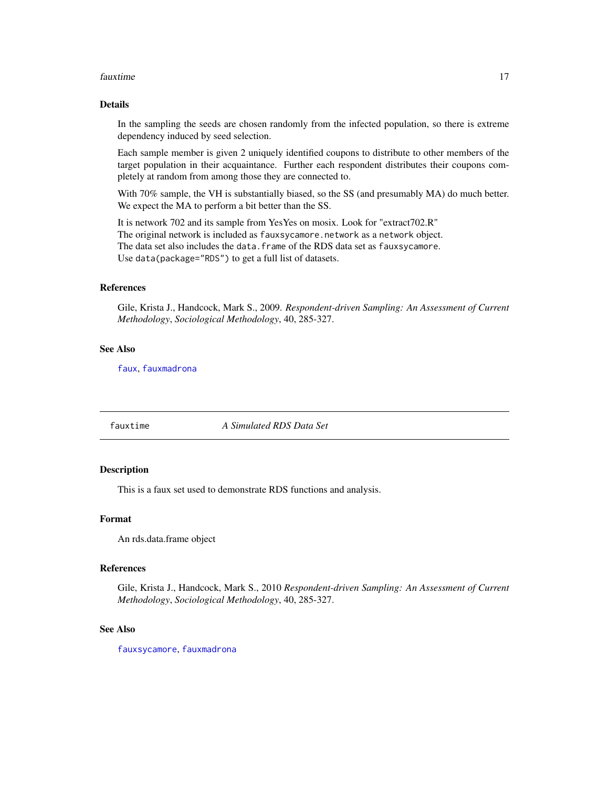#### <span id="page-16-0"></span>fauxtime that the contract of the contract of the contract of the contract of the contract of the contract of the contract of the contract of the contract of the contract of the contract of the contract of the contract of

#### Details

In the sampling the seeds are chosen randomly from the infected population, so there is extreme dependency induced by seed selection.

Each sample member is given 2 uniquely identified coupons to distribute to other members of the target population in their acquaintance. Further each respondent distributes their coupons completely at random from among those they are connected to.

With 70% sample, the VH is substantially biased, so the SS (and presumably MA) do much better. We expect the MA to perform a bit better than the SS.

It is network 702 and its sample from YesYes on mosix. Look for "extract702.R" The original network is included as fauxsycamore.network as a network object. The data set also includes the data.frame of the RDS data set as fauxsycamore. Use data(package="RDS") to get a full list of datasets.

#### References

Gile, Krista J., Handcock, Mark S., 2009. *Respondent-driven Sampling: An Assessment of Current Methodology*, *Sociological Methodology*, 40, 285-327.

### See Also

[faux](#page-14-2), [fauxmadrona](#page-14-1)

fauxtime *A Simulated RDS Data Set*

### Description

This is a faux set used to demonstrate RDS functions and analysis.

#### Format

An rds.data.frame object

#### References

Gile, Krista J., Handcock, Mark S., 2010 *Respondent-driven Sampling: An Assessment of Current Methodology*, *Sociological Methodology*, 40, 285-327.

#### See Also

[fauxsycamore](#page-15-1), [fauxmadrona](#page-14-1)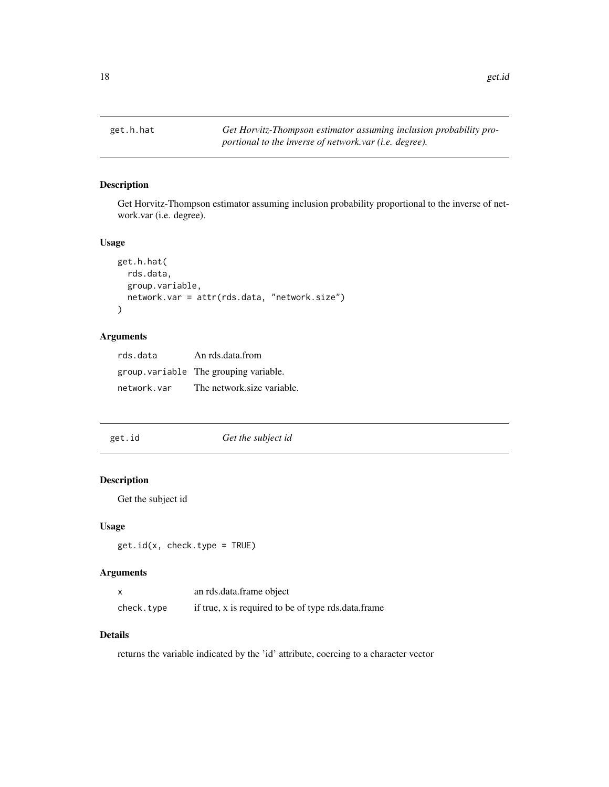<span id="page-17-0"></span>

### Description

Get Horvitz-Thompson estimator assuming inclusion probability proportional to the inverse of network.var (i.e. degree).

### Usage

```
get.h.hat(
  rds.data,
  group.variable,
  network.var = attr(rds.data, "network.size")
\mathcal{L}
```
### Arguments

| rds.data    | An rds.data.from                       |
|-------------|----------------------------------------|
|             | group. variable The grouping variable. |
| network.var | The network size variable.             |

| get.id | Get the subject id |
|--------|--------------------|
|        |                    |

### Description

Get the subject id

#### Usage

```
get.id(x, check.type = TRUE)
```
### Arguments

|            | an rds.data.frame object                            |
|------------|-----------------------------------------------------|
| check.type | if true, x is required to be of type rds.data.frame |

### Details

returns the variable indicated by the 'id' attribute, coercing to a character vector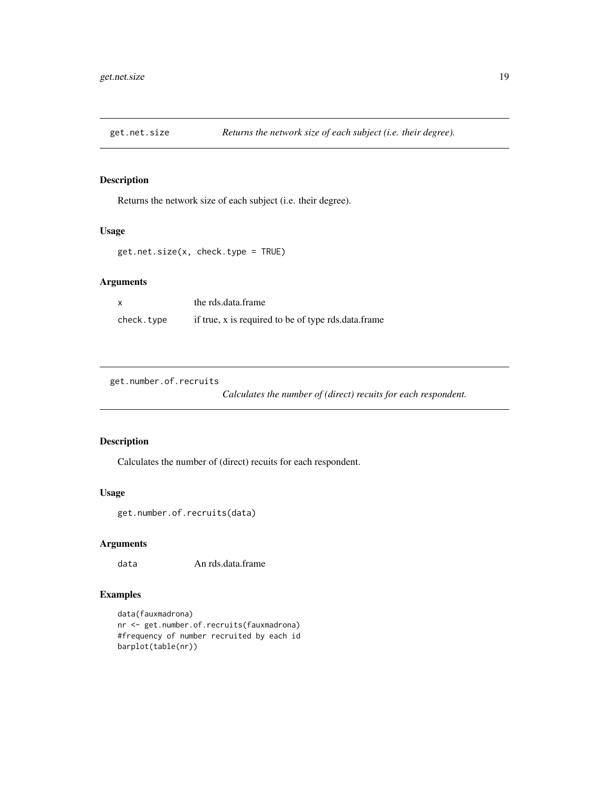<span id="page-18-0"></span>

### Description

Returns the network size of each subject (i.e. their degree).

#### Usage

get.net.size(x, check.type = TRUE)

### Arguments

|            | the rds.data.frame                                  |
|------------|-----------------------------------------------------|
| check.type | if true, x is required to be of type rds.data.frame |

get.number.of.recruits

*Calculates the number of (direct) recuits for each respondent.*

### Description

Calculates the number of (direct) recuits for each respondent.

### Usage

```
get.number.of.recruits(data)
```
### Arguments

data An rds.data.frame

### Examples

```
data(fauxmadrona)
nr <- get.number.of.recruits(fauxmadrona)
#frequency of number recruited by each id
barplot(table(nr))
```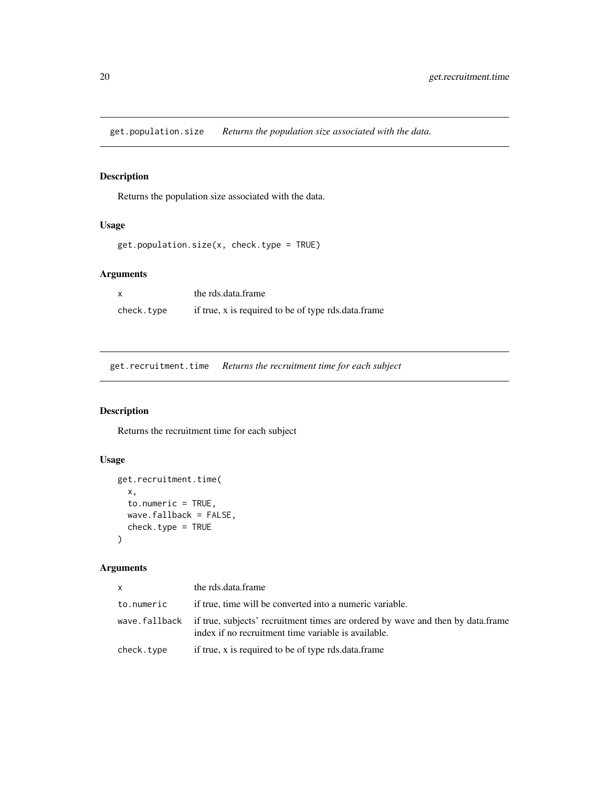<span id="page-19-0"></span>get.population.size *Returns the population size associated with the data.*

### Description

Returns the population size associated with the data.

### Usage

```
get.population.size(x, check.type = TRUE)
```
### Arguments

x the rds.data.frame check.type if true, x is required to be of type rds.data.frame

get.recruitment.time *Returns the recruitment time for each subject*

### Description

Returns the recruitment time for each subject

### Usage

```
get.recruitment.time(
  x,
  to.numeric = TRUE,
  wave.fallback = FALSE,
  check.type = TRUE
\mathcal{L}
```

| <b>X</b>   | the rds.data.frame                                                                                                                                   |
|------------|------------------------------------------------------------------------------------------------------------------------------------------------------|
| to.numeric | if true, time will be converted into a numeric variable.                                                                                             |
|            | wave fallback if true, subjects' recruitment times are ordered by wave and then by data.frame<br>index if no recruitment time variable is available. |
| check.type | if true, x is required to be of type rds.data.frame                                                                                                  |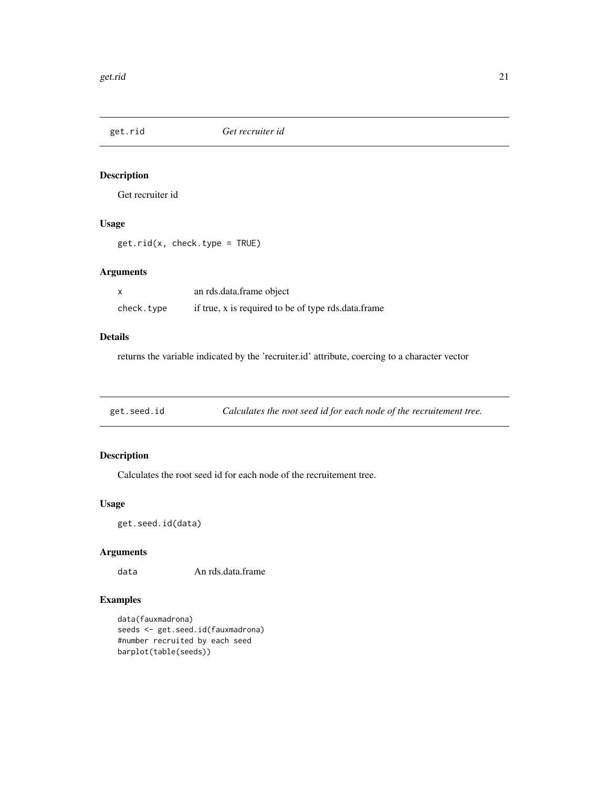<span id="page-20-0"></span>

### Description

Get recruiter id

### Usage

get.rid(x, check.type = TRUE)

### Arguments

|            | an rds.data.frame object                            |
|------------|-----------------------------------------------------|
| check.type | if true, x is required to be of type rds.data.frame |

### Details

returns the variable indicated by the 'recruiter.id' attribute, coercing to a character vector

get.seed.id *Calculates the root seed id for each node of the recruitement tree.*

### Description

Calculates the root seed id for each node of the recruitement tree.

### Usage

get.seed.id(data)

### Arguments

data An rds.data.frame

### Examples

```
data(fauxmadrona)
seeds <- get.seed.id(fauxmadrona)
#number recruited by each seed
barplot(table(seeds))
```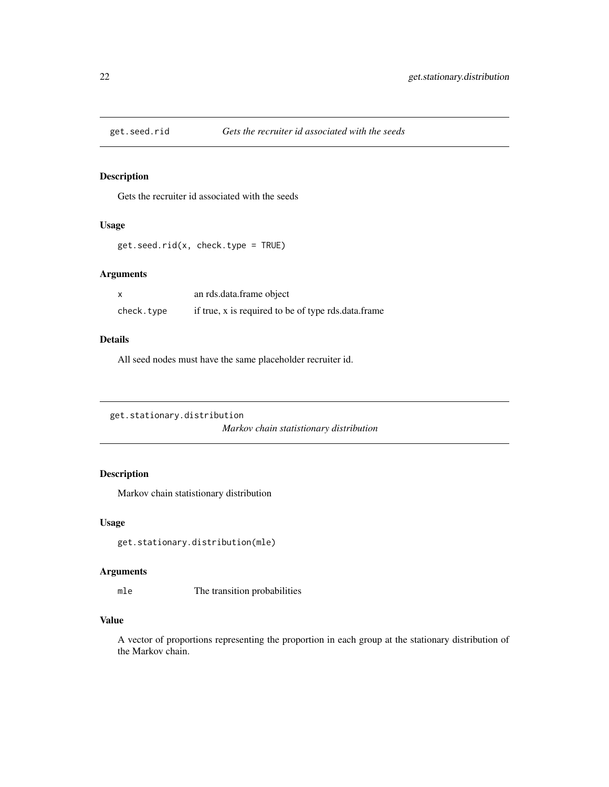<span id="page-21-0"></span>

#### Description

Gets the recruiter id associated with the seeds

#### Usage

```
get.seed.rid(x, check.type = TRUE)
```
#### Arguments

|            | an rds.data.frame object                            |
|------------|-----------------------------------------------------|
| check.type | if true, x is required to be of type rds.data.frame |

### Details

All seed nodes must have the same placeholder recruiter id.

```
get.stationary.distribution
                         Markov chain statistionary distribution
```
### Description

Markov chain statistionary distribution

#### Usage

get.stationary.distribution(mle)

#### Arguments

mle The transition probabilities

#### Value

A vector of proportions representing the proportion in each group at the stationary distribution of the Markov chain.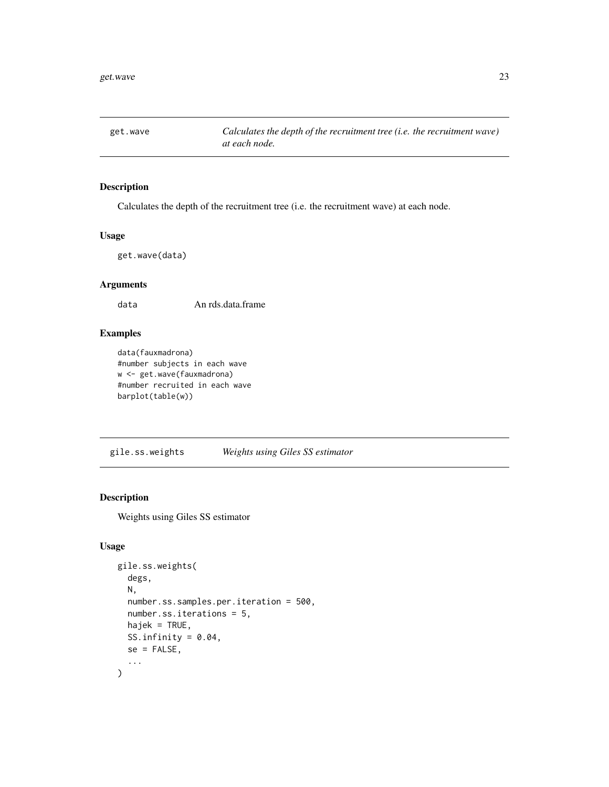<span id="page-22-0"></span>get.wave *Calculates the depth of the recruitment tree (i.e. the recruitment wave) at each node.*

### Description

Calculates the depth of the recruitment tree (i.e. the recruitment wave) at each node.

#### Usage

get.wave(data)

### Arguments

data An rds.data.frame

### Examples

```
data(fauxmadrona)
#number subjects in each wave
w <- get.wave(fauxmadrona)
#number recruited in each wave
barplot(table(w))
```
<span id="page-22-1"></span>gile.ss.weights *Weights using Giles SS estimator*

### Description

Weights using Giles SS estimator

```
gile.ss.weights(
  degs,
  N,
  number.ss.samples.per.iteration = 500,
  number.ss.iterations = 5,
  hajek = TRUE,
  SS.infinity = 0.04,
  se = FALSE,...
\mathcal{L}
```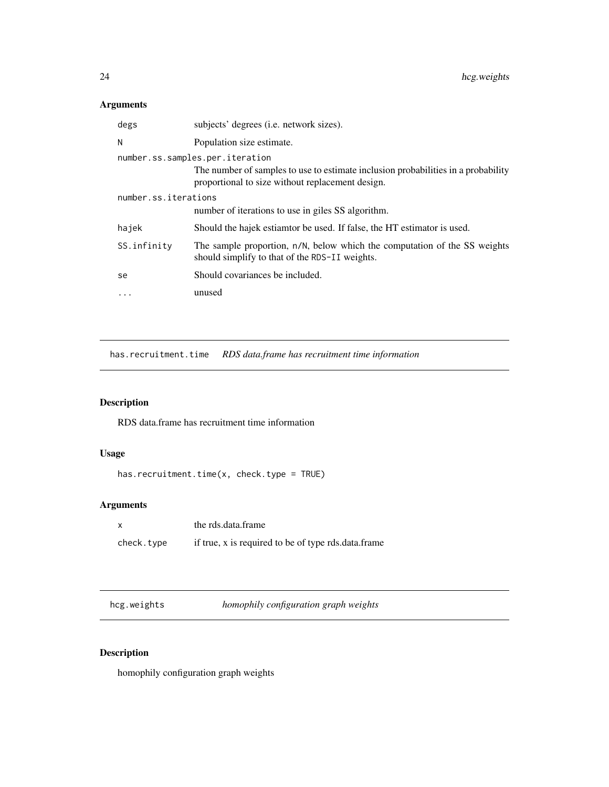### <span id="page-23-0"></span>Arguments

| degs                 | subjects' degrees (i.e. network sizes).                                                                                               |  |
|----------------------|---------------------------------------------------------------------------------------------------------------------------------------|--|
| N                    | Population size estimate.                                                                                                             |  |
|                      | number.ss.samples.per.iteration                                                                                                       |  |
|                      | The number of samples to use to estimate inclusion probabilities in a probability<br>proportional to size without replacement design. |  |
| number.ss.iterations |                                                                                                                                       |  |
|                      | number of iterations to use in giles SS algorithm.                                                                                    |  |
| hajek                | Should the hajek estiamtor be used. If false, the HT estimator is used.                                                               |  |
| SS.infinity          | The sample proportion, n/N, below which the computation of the SS weights<br>should simplify to that of the RDS-II weights.           |  |
| se                   | Should covariances be included.                                                                                                       |  |
| $\ddots$ .           | unused                                                                                                                                |  |

has.recruitment.time *RDS data.frame has recruitment time information*

### Description

RDS data.frame has recruitment time information

### Usage

```
has.recruitment.time(x, check.type = TRUE)
```
### Arguments

| $\times$   | the rds.data.frame                                  |
|------------|-----------------------------------------------------|
| check.type | if true, x is required to be of type rds.data.frame |

hcg.weights *homophily configuration graph weights*

### Description

homophily configuration graph weights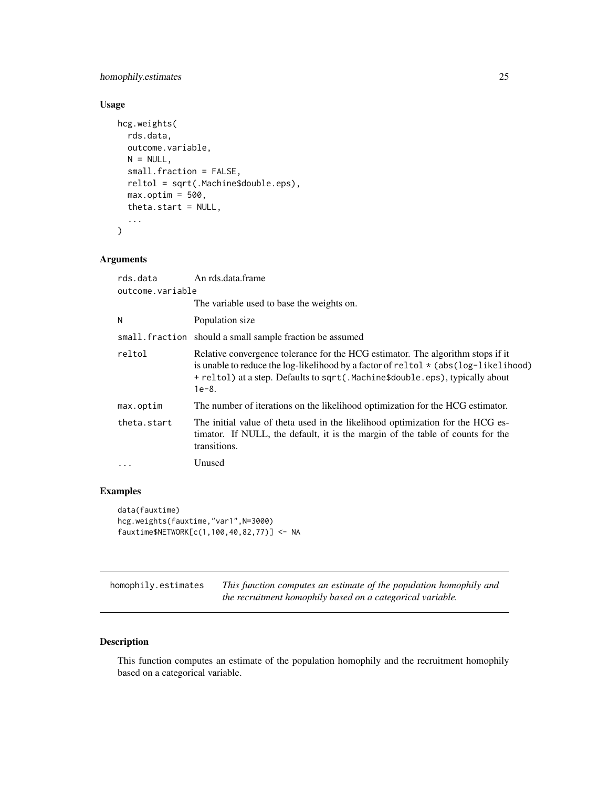### <span id="page-24-0"></span>homophily.estimates 25

### Usage

```
hcg.weights(
  rds.data,
  outcome.variable,
 N = NULL,small.fraction = FALSE,
  reltol = sqrt(.Machine$double.eps),
 max.optim = 500,
  theta.start = NULL,
  ...
)
```
### Arguments

| rds.data         | An rds.data.frame                                                                                                                                                                                                                                                         |  |
|------------------|---------------------------------------------------------------------------------------------------------------------------------------------------------------------------------------------------------------------------------------------------------------------------|--|
| outcome.variable |                                                                                                                                                                                                                                                                           |  |
|                  | The variable used to base the weights on.                                                                                                                                                                                                                                 |  |
| Ν                | Population size                                                                                                                                                                                                                                                           |  |
|                  | small. fraction should a small sample fraction be assumed                                                                                                                                                                                                                 |  |
| reltol           | Relative convergence tolerance for the HCG estimator. The algorithm stops if it<br>is unable to reduce the log-likelihood by a factor of related $\star$ (abs (log-likelihood)<br>+ reltol) at a step. Defaults to sqrt(.Machine\$double.eps), typically about<br>$1e-8.$ |  |
| max.optim        | The number of iterations on the likelihood optimization for the HCG estimator.                                                                                                                                                                                            |  |
| theta.start      | The initial value of theta used in the likelihood optimization for the HCG es-<br>timator. If NULL, the default, it is the margin of the table of counts for the<br>transitions.                                                                                          |  |
| $\cdot$          | Unused                                                                                                                                                                                                                                                                    |  |
|                  |                                                                                                                                                                                                                                                                           |  |

### Examples

```
data(fauxtime)
hcg.weights(fauxtime,"var1",N=3000)
fauxtime$NETWORK[c(1,100,40,82,77)] <- NA
```
homophily.estimates *This function computes an estimate of the population homophily and the recruitment homophily based on a categorical variable.*

#### Description

This function computes an estimate of the population homophily and the recruitment homophily based on a categorical variable.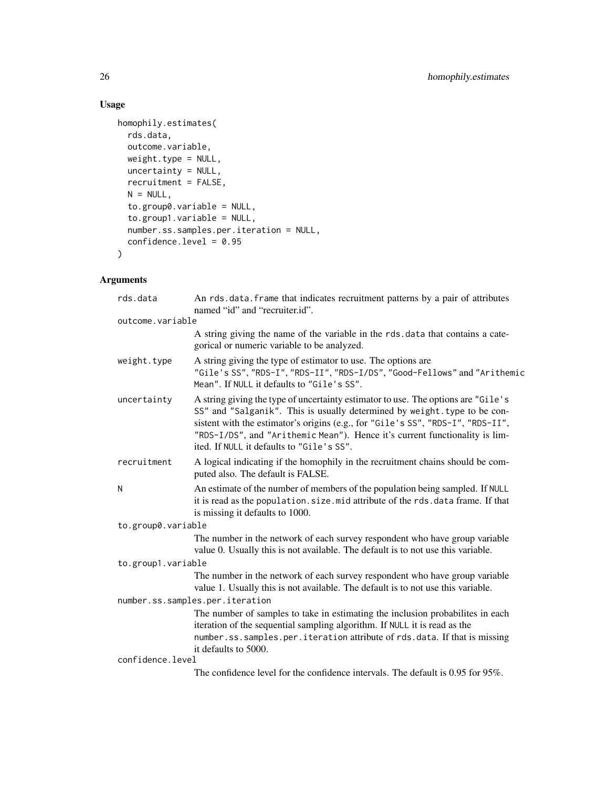### Usage

```
homophily.estimates(
 rds.data,
 outcome.variable,
 weight.type = NULL,
 uncertainty = NULL,
 recruitment = FALSE,
 N = NULL,to.group0.variable = NULL,
  to.group1.variable = NULL,
 number.ss.samples.per.iteration = NULL,
 confidence.level = 0.95
)
```

| rds.data                        | An rds.data.frame that indicates recruitment patterns by a pair of attributes<br>named "id" and "recruiter.id".                                                                                                                                                                                                                                                               |  |
|---------------------------------|-------------------------------------------------------------------------------------------------------------------------------------------------------------------------------------------------------------------------------------------------------------------------------------------------------------------------------------------------------------------------------|--|
| outcome.variable                |                                                                                                                                                                                                                                                                                                                                                                               |  |
|                                 | A string giving the name of the variable in the rds. data that contains a cate-<br>gorical or numeric variable to be analyzed.                                                                                                                                                                                                                                                |  |
| weight.type                     | A string giving the type of estimator to use. The options are<br>"Gile's SS", "RDS-I", "RDS-II", "RDS-I/DS", "Good-Fellows" and "Arithemic<br>Mean". If NULL it defaults to "Gile's SS".                                                                                                                                                                                      |  |
| uncertainty                     | A string giving the type of uncertainty estimator to use. The options are "Gile's<br>SS" and "Salganik". This is usually determined by weight. type to be con-<br>sistent with the estimator's origins (e.g., for "Gile's SS", "RDS-I", "RDS-II",<br>"RDS-I/DS", and "Arithemic Mean"). Hence it's current functionality is lim-<br>ited. If NULL it defaults to "Gile's SS". |  |
| recruitment                     | A logical indicating if the homophily in the recruitment chains should be com-<br>puted also. The default is FALSE.                                                                                                                                                                                                                                                           |  |
| N                               | An estimate of the number of members of the population being sampled. If NULL<br>it is read as the population. size. mid attribute of the rds. data frame. If that<br>is missing it defaults to 1000.                                                                                                                                                                         |  |
| to.group0.variable              |                                                                                                                                                                                                                                                                                                                                                                               |  |
|                                 | The number in the network of each survey respondent who have group variable<br>value 0. Usually this is not available. The default is to not use this variable.                                                                                                                                                                                                               |  |
| to.group1.variable              |                                                                                                                                                                                                                                                                                                                                                                               |  |
|                                 | The number in the network of each survey respondent who have group variable<br>value 1. Usually this is not available. The default is to not use this variable.                                                                                                                                                                                                               |  |
| number.ss.samples.per.iteration |                                                                                                                                                                                                                                                                                                                                                                               |  |
|                                 | The number of samples to take in estimating the inclusion probabilites in each<br>iteration of the sequential sampling algorithm. If NULL it is read as the<br>number.ss.samples.per.iteration attribute of rds.data. If that is missing<br>it defaults to 5000.                                                                                                              |  |
| confidence.level                |                                                                                                                                                                                                                                                                                                                                                                               |  |
|                                 | The confidence level for the confidence intervals. The default is 0.95 for 95%.                                                                                                                                                                                                                                                                                               |  |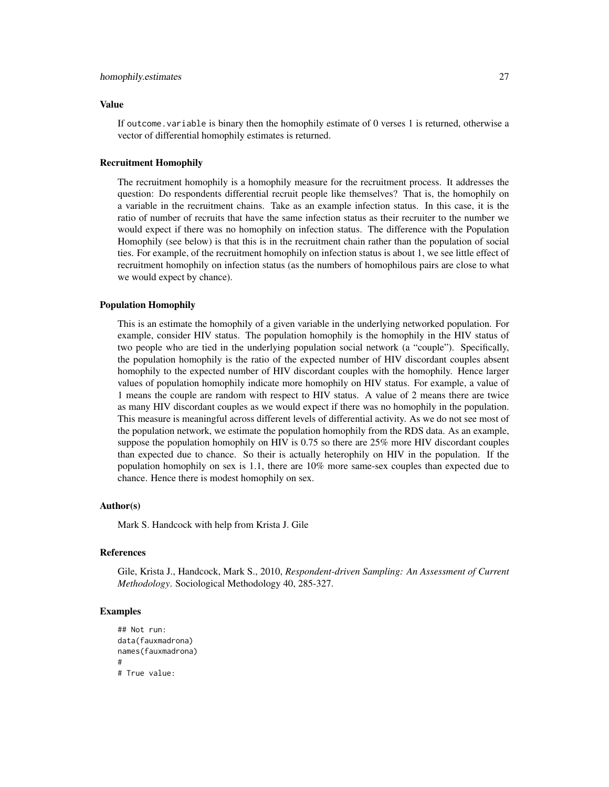#### homophily.estimates 27

#### Value

If outcome. variable is binary then the homophily estimate of  $0$  verses 1 is returned, otherwise a vector of differential homophily estimates is returned.

#### Recruitment Homophily

The recruitment homophily is a homophily measure for the recruitment process. It addresses the question: Do respondents differential recruit people like themselves? That is, the homophily on a variable in the recruitment chains. Take as an example infection status. In this case, it is the ratio of number of recruits that have the same infection status as their recruiter to the number we would expect if there was no homophily on infection status. The difference with the Population Homophily (see below) is that this is in the recruitment chain rather than the population of social ties. For example, of the recruitment homophily on infection status is about 1, we see little effect of recruitment homophily on infection status (as the numbers of homophilous pairs are close to what we would expect by chance).

#### Population Homophily

This is an estimate the homophily of a given variable in the underlying networked population. For example, consider HIV status. The population homophily is the homophily in the HIV status of two people who are tied in the underlying population social network (a "couple"). Specifically, the population homophily is the ratio of the expected number of HIV discordant couples absent homophily to the expected number of HIV discordant couples with the homophily. Hence larger values of population homophily indicate more homophily on HIV status. For example, a value of 1 means the couple are random with respect to HIV status. A value of 2 means there are twice as many HIV discordant couples as we would expect if there was no homophily in the population. This measure is meaningful across different levels of differential activity. As we do not see most of the population network, we estimate the population homophily from the RDS data. As an example, suppose the population homophily on HIV is 0.75 so there are 25% more HIV discordant couples than expected due to chance. So their is actually heterophily on HIV in the population. If the population homophily on sex is 1.1, there are 10% more same-sex couples than expected due to chance. Hence there is modest homophily on sex.

#### Author(s)

Mark S. Handcock with help from Krista J. Gile

#### References

Gile, Krista J., Handcock, Mark S., 2010, *Respondent-driven Sampling: An Assessment of Current Methodology*. Sociological Methodology 40, 285-327.

#### Examples

```
## Not run:
data(fauxmadrona)
names(fauxmadrona)
#
# True value:
```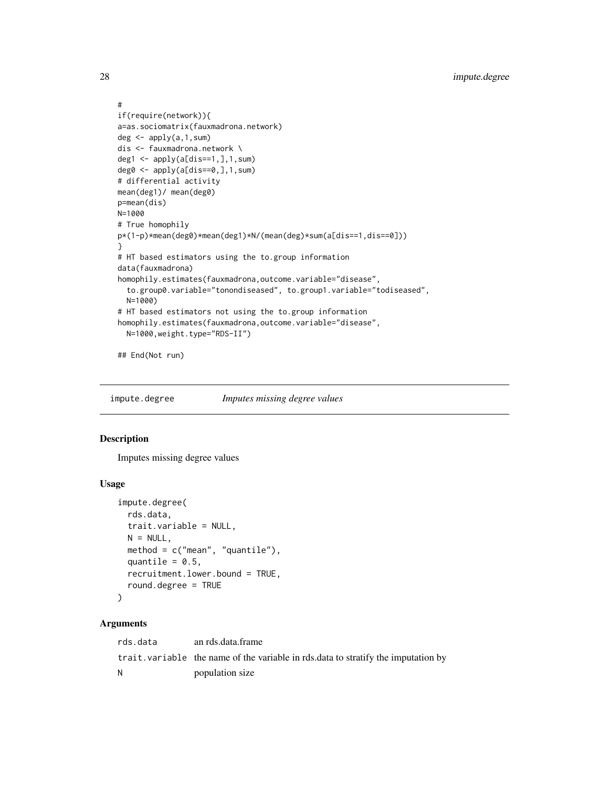```
#
if(require(network)){
a=as.sociomatrix(fauxmadrona.network)
deg \leftarrow apply(a, 1, sum)dis <- fauxmadrona.network \
deg1 <- apply(a[dis==1,],1,sum)
deg0 \leq apply(a[dis==0,],1,sum)
# differential activity
mean(deg1)/ mean(deg0)
p=mean(dis)
N=1000
# True homophily
p*(1-p)*mean(deg0)*mean(deg1)*N/(mean(deg)*sum(a[dis==1,dis==0]))
}
# HT based estimators using the to.group information
data(fauxmadrona)
homophily.estimates(fauxmadrona,outcome.variable="disease",
  to.group0.variable="tonondiseased", to.group1.variable="todiseased",
  N=1000)
# HT based estimators not using the to.group information
homophily.estimates(fauxmadrona,outcome.variable="disease",
  N=1000,weight.type="RDS-II")
## End(Not run)
```
impute.degree *Imputes missing degree values*

#### Description

Imputes missing degree values

#### Usage

```
impute.degree(
  rds.data,
  trait.variable = NULL,
 N = NULL.
 method = c("mean", "quantile"),
  quantile = 0.5,
  recruitment.lower.bound = TRUE,
  round.degree = TRUE
)
```
#### Arguments

rds.data an rds.data.frame trait.variable the name of the variable in rds.data to stratify the imputation by N population size

<span id="page-27-0"></span>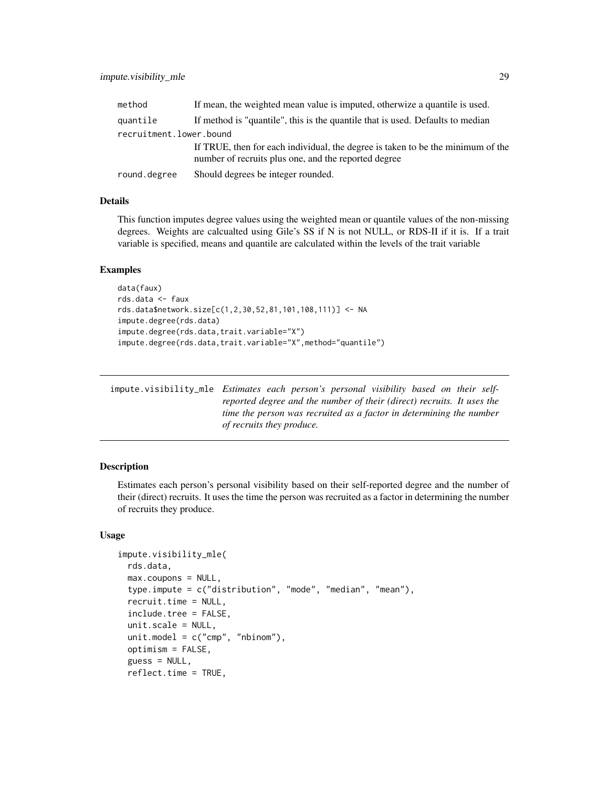<span id="page-28-0"></span>

| method                  | If mean, the weighted mean value is imputed, otherwize a quantile is used.                                                              |
|-------------------------|-----------------------------------------------------------------------------------------------------------------------------------------|
| quantile                | If method is "quantile", this is the quantile that is used. Defaults to median                                                          |
| recruitment.lower.bound |                                                                                                                                         |
|                         | If TRUE, then for each individual, the degree is taken to be the minimum of the<br>number of recruits plus one, and the reported degree |
| round.degree            | Should degrees be integer rounded.                                                                                                      |

#### Details

This function imputes degree values using the weighted mean or quantile values of the non-missing degrees. Weights are calcualted using Gile's SS if N is not NULL, or RDS-II if it is. If a trait variable is specified, means and quantile are calculated within the levels of the trait variable

#### Examples

```
data(faux)
rds.data <- faux
rds.data$network.size[c(1,2,30,52,81,101,108,111)] <- NA
impute.degree(rds.data)
impute.degree(rds.data,trait.variable="X")
impute.degree(rds.data,trait.variable="X",method="quantile")
```
impute.visibility\_mle *Estimates each person's personal visibility based on their selfreported degree and the number of their (direct) recruits. It uses the time the person was recruited as a factor in determining the number of recruits they produce.*

#### **Description**

Estimates each person's personal visibility based on their self-reported degree and the number of their (direct) recruits. It uses the time the person was recruited as a factor in determining the number of recruits they produce.

```
impute.visibility_mle(
  rds.data,
 max.coupons = NULL,
  type.impute = c("distribution", "mode", "median", "mean"),
  recruit.time = NULL,
  include.tree = FALSE,
  unit.scale = NULL,
  unit.model = c("cmp", "nbinom"),optimism = FALSE,
  guess = NULL,reflect.time = TRUE,
```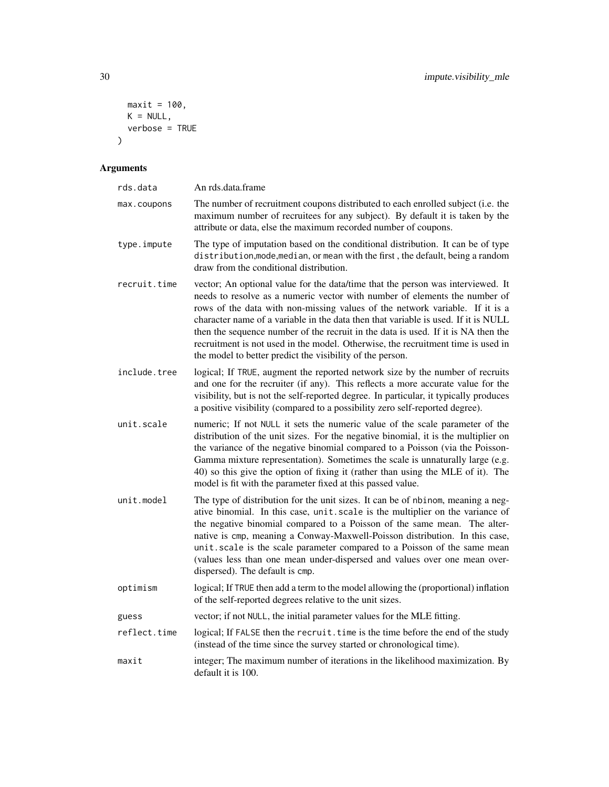```
maxit = 100,
 K = NULL,verbose = TRUE)
```

| rds.data     | An rds.data.frame                                                                                                                                                                                                                                                                                                                                                                                                                                                                                                                                                         |
|--------------|---------------------------------------------------------------------------------------------------------------------------------------------------------------------------------------------------------------------------------------------------------------------------------------------------------------------------------------------------------------------------------------------------------------------------------------------------------------------------------------------------------------------------------------------------------------------------|
| max.coupons  | The number of recruitment coupons distributed to each enrolled subject (i.e. the<br>maximum number of recruitees for any subject). By default it is taken by the<br>attribute or data, else the maximum recorded number of coupons.                                                                                                                                                                                                                                                                                                                                       |
| type.impute  | The type of imputation based on the conditional distribution. It can be of type<br>distribution, mode, median, or mean with the first, the default, being a random<br>draw from the conditional distribution.                                                                                                                                                                                                                                                                                                                                                             |
| recruit.time | vector; An optional value for the data/time that the person was interviewed. It<br>needs to resolve as a numeric vector with number of elements the number of<br>rows of the data with non-missing values of the network variable. If it is a<br>character name of a variable in the data then that variable is used. If it is NULL<br>then the sequence number of the recruit in the data is used. If it is NA then the<br>recruitment is not used in the model. Otherwise, the recruitment time is used in<br>the model to better predict the visibility of the person. |
| include.tree | logical; If TRUE, augment the reported network size by the number of recruits<br>and one for the recruiter (if any). This reflects a more accurate value for the<br>visibility, but is not the self-reported degree. In particular, it typically produces<br>a positive visibility (compared to a possibility zero self-reported degree).                                                                                                                                                                                                                                 |
| unit.scale   | numeric; If not NULL it sets the numeric value of the scale parameter of the<br>distribution of the unit sizes. For the negative binomial, it is the multiplier on<br>the variance of the negative binomial compared to a Poisson (via the Poisson-<br>Gamma mixture representation). Sometimes the scale is unnaturally large (e.g.<br>40) so this give the option of fixing it (rather than using the MLE of it). The<br>model is fit with the parameter fixed at this passed value.                                                                                    |
| unit.model   | The type of distribution for the unit sizes. It can be of nbinom, meaning a neg-<br>ative binomial. In this case, unit scale is the multiplier on the variance of<br>the negative binomial compared to a Poisson of the same mean. The alter-<br>native is cmp, meaning a Conway-Maxwell-Poisson distribution. In this case,<br>unit.scale is the scale parameter compared to a Poisson of the same mean<br>(values less than one mean under-dispersed and values over one mean over-<br>dispersed). The default is cmp.                                                  |
| optimism     | logical; If TRUE then add a term to the model allowing the (proportional) inflation<br>of the self-reported degrees relative to the unit sizes.                                                                                                                                                                                                                                                                                                                                                                                                                           |
| guess        | vector; if not NULL, the initial parameter values for the MLE fitting.                                                                                                                                                                                                                                                                                                                                                                                                                                                                                                    |
| reflect.time | logical; If FALSE then the recruit. time is the time before the end of the study<br>(instead of the time since the survey started or chronological time).                                                                                                                                                                                                                                                                                                                                                                                                                 |
| maxit        | integer; The maximum number of iterations in the likelihood maximization. By<br>default it is 100.                                                                                                                                                                                                                                                                                                                                                                                                                                                                        |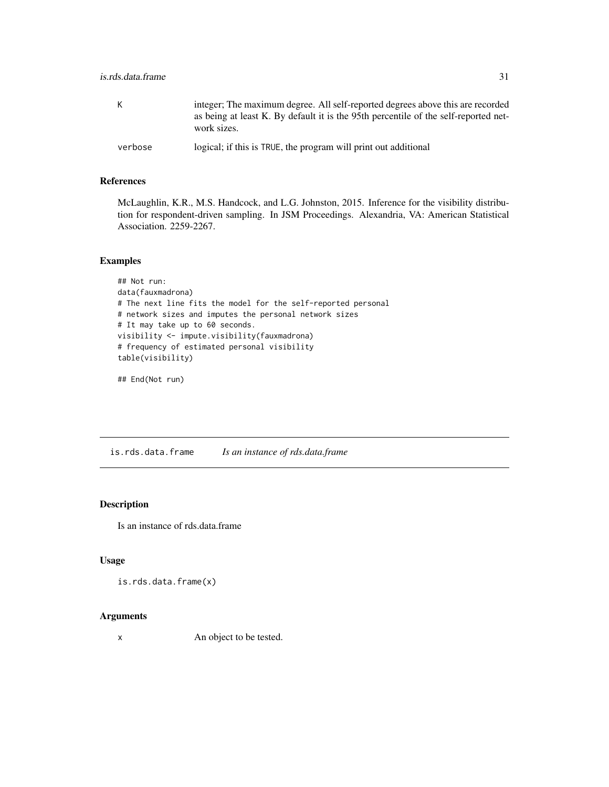<span id="page-30-0"></span>

| К       | integer; The maximum degree. All self-reported degrees above this are recorded<br>as being at least K. By default it is the 95th percentile of the self-reported net-<br>work sizes. |
|---------|--------------------------------------------------------------------------------------------------------------------------------------------------------------------------------------|
| verbose | logical; if this is TRUE, the program will print out additional                                                                                                                      |

### References

McLaughlin, K.R., M.S. Handcock, and L.G. Johnston, 2015. Inference for the visibility distribution for respondent-driven sampling. In JSM Proceedings. Alexandria, VA: American Statistical Association. 2259-2267.

### Examples

```
## Not run:
data(fauxmadrona)
# The next line fits the model for the self-reported personal
# network sizes and imputes the personal network sizes
# It may take up to 60 seconds.
visibility <- impute.visibility(fauxmadrona)
# frequency of estimated personal visibility
table(visibility)
```
## End(Not run)

is.rds.data.frame *Is an instance of rds.data.frame*

### Description

Is an instance of rds.data.frame

### Usage

```
is.rds.data.frame(x)
```
#### Arguments

x An object to be tested.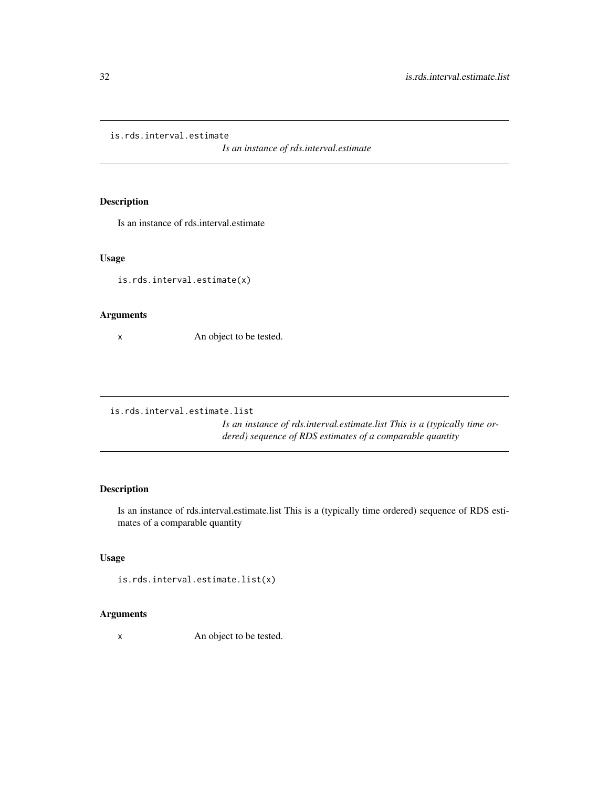<span id="page-31-0"></span>is.rds.interval.estimate

*Is an instance of rds.interval.estimate*

### Description

Is an instance of rds.interval.estimate

### Usage

is.rds.interval.estimate(x)

### Arguments

x An object to be tested.

is.rds.interval.estimate.list

*Is an instance of rds.interval.estimate.list This is a (typically time ordered) sequence of RDS estimates of a comparable quantity*

### Description

Is an instance of rds.interval.estimate.list This is a (typically time ordered) sequence of RDS estimates of a comparable quantity

### Usage

```
is.rds.interval.estimate.list(x)
```
### Arguments

x An object to be tested.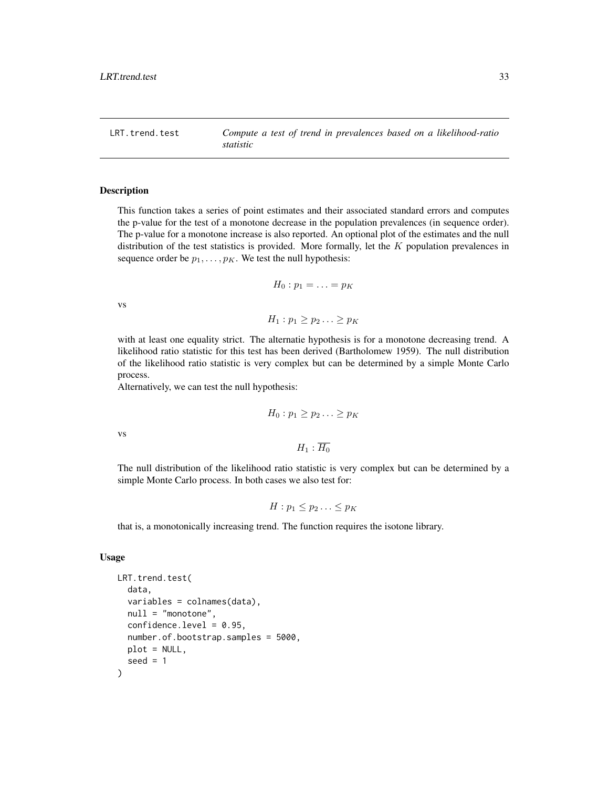<span id="page-32-0"></span>LRT.trend.test *Compute a test of trend in prevalences based on a likelihood-ratio statistic*

#### Description

This function takes a series of point estimates and their associated standard errors and computes the p-value for the test of a monotone decrease in the population prevalences (in sequence order). The p-value for a monotone increase is also reported. An optional plot of the estimates and the null distribution of the test statistics is provided. More formally, let the  $K$  population prevalences in sequence order be  $p_1, \ldots, p_K$ . We test the null hypothesis:

$$
H_0: p_1=\ldots=p_K
$$

vs

 $H_1 : p_1 \geq p_2 \ldots \geq p_K$ 

with at least one equality strict. The alternatie hypothesis is for a monotone decreasing trend. A likelihood ratio statistic for this test has been derived (Bartholomew 1959). The null distribution of the likelihood ratio statistic is very complex but can be determined by a simple Monte Carlo process.

Alternatively, we can test the null hypothesis:

$$
H_0: p_1 \geq p_2 \ldots \geq p_K
$$

vs

 $H_1$ :  $\overline{H_0}$ 

The null distribution of the likelihood ratio statistic is very complex but can be determined by a simple Monte Carlo process. In both cases we also test for:

$$
H: p_1 \leq p_2 \ldots \leq p_K
$$

that is, a monotonically increasing trend. The function requires the isotone library.

```
LRT.trend.test(
  data,
  variables = colnames(data),
  null = "monotone",
  confidence. level = 0.95.
  number.of.bootstrap.samples = 5000,
  plot = NULL,
  seed = 1)
```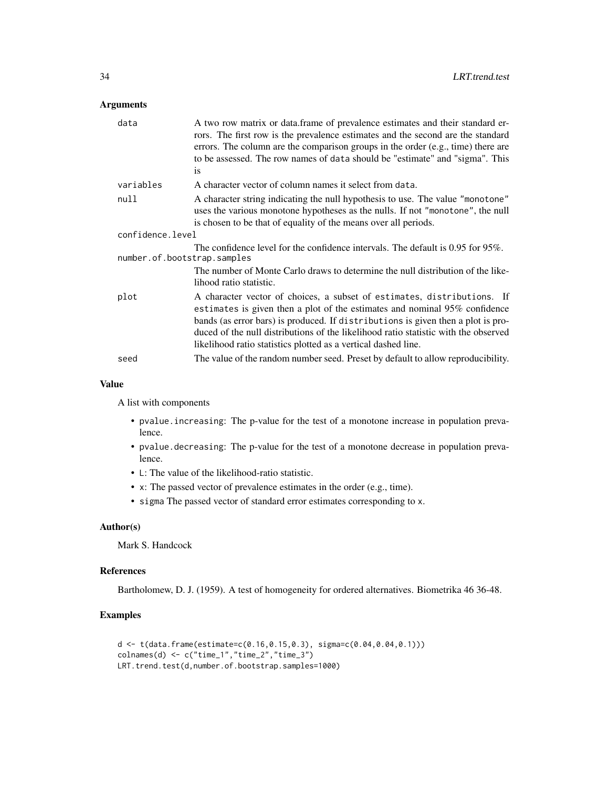### Arguments

| data                        | A two row matrix or data.frame of prevalence estimates and their standard er-<br>rors. The first row is the prevalence estimates and the second are the standard<br>errors. The column are the comparison groups in the order (e.g., time) there are<br>to be assessed. The row names of data should be "estimate" and "sigma". This<br><sup>is</sup>                                                 |  |
|-----------------------------|-------------------------------------------------------------------------------------------------------------------------------------------------------------------------------------------------------------------------------------------------------------------------------------------------------------------------------------------------------------------------------------------------------|--|
| variables                   | A character vector of column names it select from data.                                                                                                                                                                                                                                                                                                                                               |  |
| null                        | A character string indicating the null hypothesis to use. The value "monotone"<br>uses the various monotone hypotheses as the nulls. If not "monotone", the null<br>is chosen to be that of equality of the means over all periods.                                                                                                                                                                   |  |
| confidence.level            |                                                                                                                                                                                                                                                                                                                                                                                                       |  |
| number.of.bootstrap.samples | The confidence level for the confidence intervals. The default is $0.95$ for $95\%$ .                                                                                                                                                                                                                                                                                                                 |  |
|                             | The number of Monte Carlo draws to determine the null distribution of the like-<br>lihood ratio statistic.                                                                                                                                                                                                                                                                                            |  |
| plot                        | A character vector of choices, a subset of estimates, distributions. If<br>estimates is given then a plot of the estimates and nominal $95\%$ confidence<br>bands (as error bars) is produced. If distributions is given then a plot is pro-<br>duced of the null distributions of the likelihood ratio statistic with the observed<br>likelihood ratio statistics plotted as a vertical dashed line. |  |
| seed                        | The value of the random number seed. Preset by default to allow reproducibility.                                                                                                                                                                                                                                                                                                                      |  |

### Value

A list with components

- pvalue.increasing: The p-value for the test of a monotone increase in population prevalence.
- pvalue.decreasing: The p-value for the test of a monotone decrease in population prevalence.
- L: The value of the likelihood-ratio statistic.
- x: The passed vector of prevalence estimates in the order (e.g., time).
- sigma The passed vector of standard error estimates corresponding to x.

#### Author(s)

Mark S. Handcock

### References

Bartholomew, D. J. (1959). A test of homogeneity for ordered alternatives. Biometrika 46 36-48.

### Examples

```
d <- t(data.frame(estimate=c(0.16,0.15,0.3), sigma=c(0.04,0.04,0.1)))
\text{colnames}(d) \leq c("time_1", "time_2", "time_3")LRT.trend.test(d,number.of.bootstrap.samples=1000)
```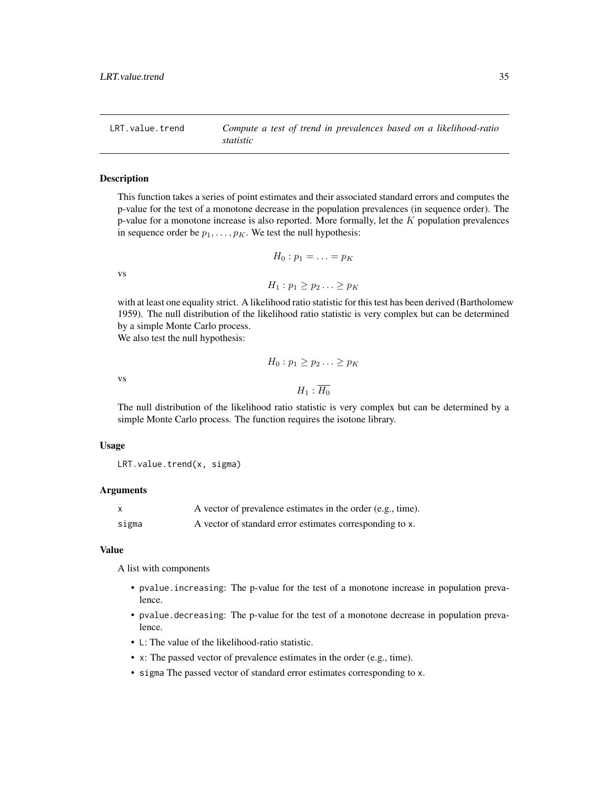<span id="page-34-0"></span>LRT.value.trend *Compute a test of trend in prevalences based on a likelihood-ratio statistic*

#### Description

This function takes a series of point estimates and their associated standard errors and computes the p-value for the test of a monotone decrease in the population prevalences (in sequence order). The p-value for a monotone increase is also reported. More formally, let the  $K$  population prevalences in sequence order be  $p_1, \ldots, p_K$ . We test the null hypothesis:

$$
H_0: p_1 = \ldots = p_K
$$
  

$$
H_1: p_1 \ge p_2 \ldots \ge p_K
$$
ikelihood ratio statistic for t

with at least one equality strict. A likelihood ratio statistic for this test has been derived (Bartholomew 1959). The null distribution of the likelihood ratio statistic is very complex but can be determined by a simple Monte Carlo process. We also test the null hypothesis:

vs

vs

$$
H_1:\overline{H_0}
$$

 $H_0: p_1 \geq p_2 \ldots \geq p_K$ 

The null distribution of the likelihood ratio statistic is very complex but can be determined by a simple Monte Carlo process. The function requires the isotone library.

#### Usage

LRT.value.trend(x, sigma)

#### Arguments

|       | A vector of prevalence estimates in the order (e.g., time). |
|-------|-------------------------------------------------------------|
| sigma | A vector of standard error estimates corresponding to x.    |

#### Value

A list with components

- pvalue.increasing: The p-value for the test of a monotone increase in population prevalence.
- pvalue.decreasing: The p-value for the test of a monotone decrease in population prevalence.
- L: The value of the likelihood-ratio statistic.
- x: The passed vector of prevalence estimates in the order (e.g., time).
- sigma The passed vector of standard error estimates corresponding to x.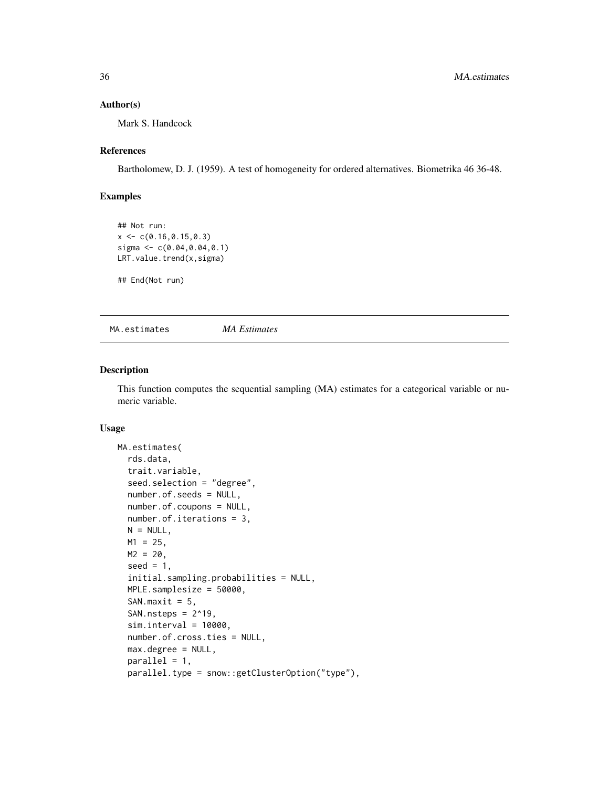#### <span id="page-35-0"></span>Author(s)

Mark S. Handcock

### References

Bartholomew, D. J. (1959). A test of homogeneity for ordered alternatives. Biometrika 46 36-48.

### Examples

```
## Not run:
x \leq -c(0.16, 0.15, 0.3)sigma <- c(0.04,0.04,0.1)
LRT.value.trend(x,sigma)
## End(Not run)
```
MA.estimates *MA Estimates*

#### Description

This function computes the sequential sampling (MA) estimates for a categorical variable or numeric variable.

```
MA.estimates(
  rds.data,
  trait.variable,
  seed.selection = "degree",
  number.of.seeds = NULL,
  number.of.coupons = NULL,
  number.of.iterations = 3,
 N = NULL,M1 = 25,
 M2 = 20,
  seed = 1,
  initial.sampling.probabilities = NULL,
  MPLE.samplesize = 50000,
  SAN.maxit = 5,
  SAN.nsteps = 2^19,
  sim.interval = 10000,
  number.of.cross.ties = NULL,
  max.degree = NULL,
  parallel = 1,
  parallel.type = snow::getClusterOption("type"),
```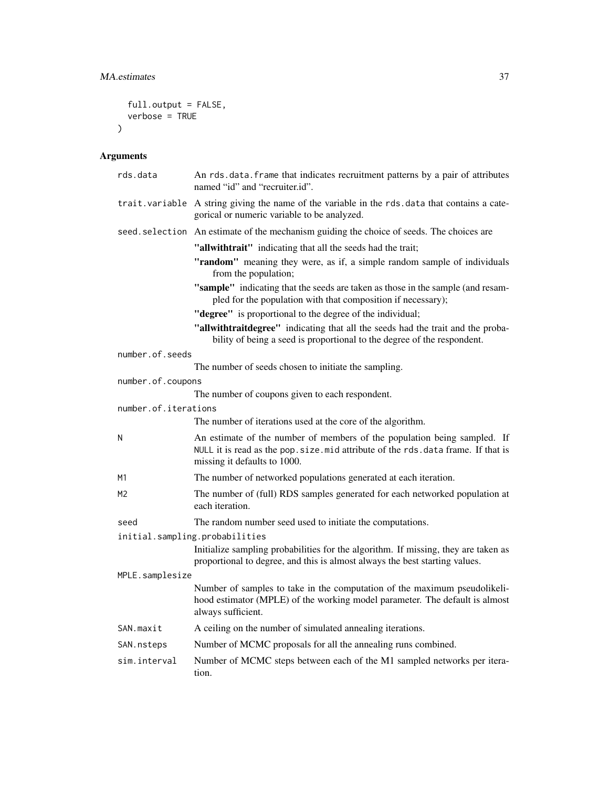```
full.output = FALSE,
  verbose = TRUE
\lambda
```

| rds.data             | An rds.data.frame that indicates recruitment patterns by a pair of attributes<br>named "id" and "recruiter.id".                                                                                |
|----------------------|------------------------------------------------------------------------------------------------------------------------------------------------------------------------------------------------|
|                      | trait.variable A string giving the name of the variable in the rds.data that contains a cate-<br>gorical or numeric variable to be analyzed.                                                   |
|                      | seed. selection An estimate of the mechanism guiding the choice of seeds. The choices are                                                                                                      |
|                      | "allwithtrait" indicating that all the seeds had the trait;                                                                                                                                    |
|                      | "random" meaning they were, as if, a simple random sample of individuals<br>from the population;                                                                                               |
|                      | "sample" indicating that the seeds are taken as those in the sample (and resam-<br>pled for the population with that composition if necessary);                                                |
|                      | "degree" is proportional to the degree of the individual;                                                                                                                                      |
|                      | "allwithtraitdegree" indicating that all the seeds had the trait and the proba-<br>bility of being a seed is proportional to the degree of the respondent.                                     |
| number.of.seeds      |                                                                                                                                                                                                |
|                      | The number of seeds chosen to initiate the sampling.                                                                                                                                           |
| number.of.coupons    |                                                                                                                                                                                                |
|                      | The number of coupons given to each respondent.                                                                                                                                                |
| number.of.iterations | The number of iterations used at the core of the algorithm.                                                                                                                                    |
|                      |                                                                                                                                                                                                |
| N                    | An estimate of the number of members of the population being sampled. If<br>NULL it is read as the pop. size. mid attribute of the rds. data frame. If that is<br>missing it defaults to 1000. |
| M1                   | The number of networked populations generated at each iteration.                                                                                                                               |
| M <sub>2</sub>       | The number of (full) RDS samples generated for each networked population at<br>each iteration.                                                                                                 |
| seed                 | The random number seed used to initiate the computations.                                                                                                                                      |
|                      | initial.sampling.probabilities                                                                                                                                                                 |
|                      | Initialize sampling probabilities for the algorithm. If missing, they are taken as<br>proportional to degree, and this is almost always the best starting values.                              |
| MPLE.samplesize      |                                                                                                                                                                                                |
|                      | Number of samples to take in the computation of the maximum pseudolikeli-<br>hood estimator (MPLE) of the working model parameter. The default is almost<br>always sufficient.                 |
| SAN.maxit            | A ceiling on the number of simulated annealing iterations.                                                                                                                                     |
| SAN.nsteps           | Number of MCMC proposals for all the annealing runs combined.                                                                                                                                  |
| sim.interval         | Number of MCMC steps between each of the M1 sampled networks per itera-<br>tion.                                                                                                               |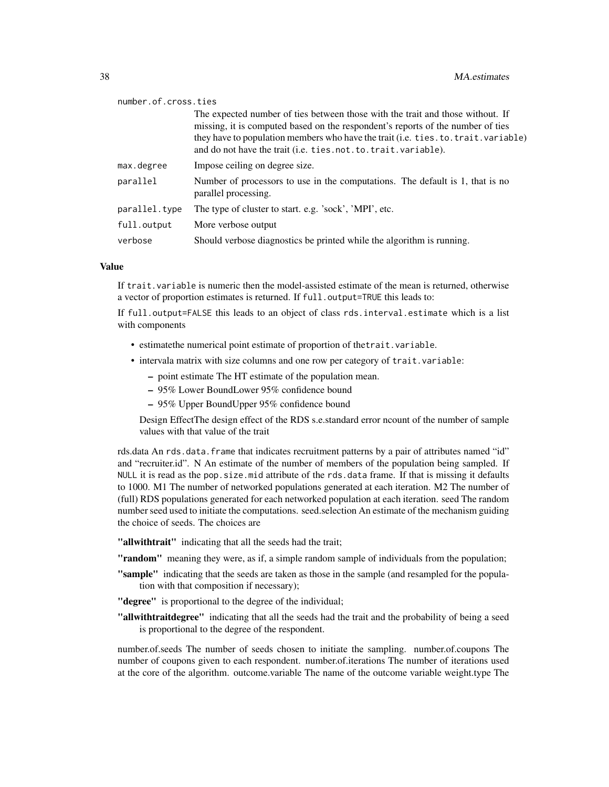#### number.of.cross.ties

|               | The expected number of ties between those with the trait and those without. If<br>missing, it is computed based on the respondent's reports of the number of ties<br>they have to population members who have the trait (i.e. ties. to. trait. variable)<br>and do not have the trait (i.e. ties.not.to.trait.variable). |
|---------------|--------------------------------------------------------------------------------------------------------------------------------------------------------------------------------------------------------------------------------------------------------------------------------------------------------------------------|
| max.degree    | Impose ceiling on degree size.                                                                                                                                                                                                                                                                                           |
| parallel      | Number of processors to use in the computations. The default is 1, that is no<br>parallel processing.                                                                                                                                                                                                                    |
| parallel.type | The type of cluster to start. e.g. 'sock', 'MPI', etc.                                                                                                                                                                                                                                                                   |
| full.output   | More verbose output                                                                                                                                                                                                                                                                                                      |
| verbose       | Should verbose diagnostics be printed while the algorithm is running.                                                                                                                                                                                                                                                    |

#### Value

If trait.variable is numeric then the model-assisted estimate of the mean is returned, otherwise a vector of proportion estimates is returned. If full.output=TRUE this leads to:

If full.output=FALSE this leads to an object of class rds.interval.estimate which is a list with components

- estimatethe numerical point estimate of proportion of thetrait.variable.
- intervala matrix with size columns and one row per category of trait.variable:
	- point estimate The HT estimate of the population mean.
	- 95% Lower BoundLower 95% confidence bound
	- 95% Upper BoundUpper 95% confidence bound

Design EffectThe design effect of the RDS s.e.standard error ncount of the number of sample values with that value of the trait

rds.data An rds.data.frame that indicates recruitment patterns by a pair of attributes named "id" and "recruiter.id". N An estimate of the number of members of the population being sampled. If NULL it is read as the pop.size.mid attribute of the rds.data frame. If that is missing it defaults to 1000. M1 The number of networked populations generated at each iteration. M2 The number of (full) RDS populations generated for each networked population at each iteration. seed The random number seed used to initiate the computations. seed.selection An estimate of the mechanism guiding the choice of seeds. The choices are

"allwithtrait" indicating that all the seeds had the trait;

- "random" meaning they were, as if, a simple random sample of individuals from the population;
- "sample" indicating that the seeds are taken as those in the sample (and resampled for the population with that composition if necessary);
- "degree" is proportional to the degree of the individual;
- "allwithtraitdegree" indicating that all the seeds had the trait and the probability of being a seed is proportional to the degree of the respondent.

number.of.seeds The number of seeds chosen to initiate the sampling. number.of.coupons The number of coupons given to each respondent. number.of.iterations The number of iterations used at the core of the algorithm. outcome.variable The name of the outcome variable weight.type The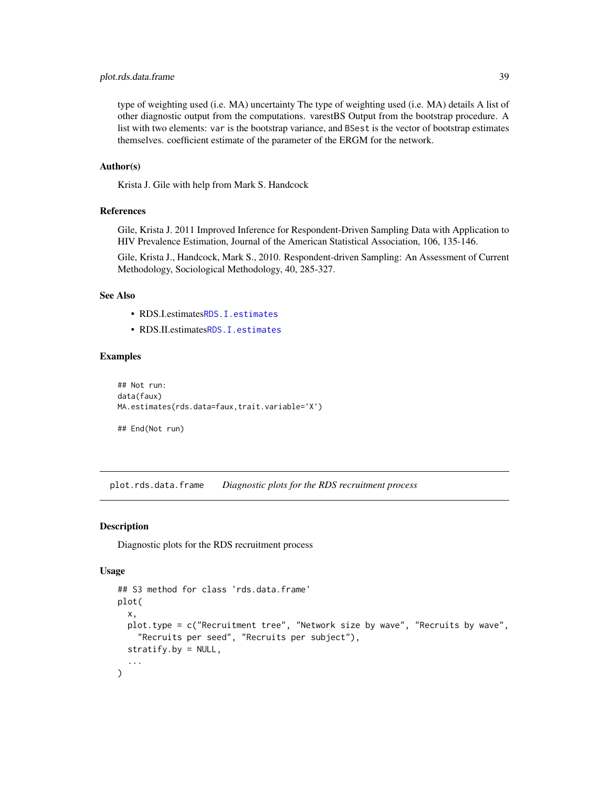### <span id="page-38-0"></span>plot.rds.data.frame 39

type of weighting used (i.e. MA) uncertainty The type of weighting used (i.e. MA) details A list of other diagnostic output from the computations. varestBS Output from the bootstrap procedure. A list with two elements: var is the bootstrap variance, and BSest is the vector of bootstrap estimates themselves. coefficient estimate of the parameter of the ERGM for the network.

#### Author(s)

Krista J. Gile with help from Mark S. Handcock

#### References

Gile, Krista J. 2011 Improved Inference for Respondent-Driven Sampling Data with Application to HIV Prevalence Estimation, Journal of the American Statistical Association, 106, 135-146.

Gile, Krista J., Handcock, Mark S., 2010. Respondent-driven Sampling: An Assessment of Current Methodology, Sociological Methodology, 40, 285-327.

#### See Also

- RDS.I.estimates[RDS.I.estimates](#page-49-1)
- RDS.II.estimates[RDS.I.estimates](#page-49-1)

#### Examples

```
## Not run:
data(faux)
MA.estimates(rds.data=faux,trait.variable='X')
```
## End(Not run)

plot.rds.data.frame *Diagnostic plots for the RDS recruitment process*

#### Description

Diagnostic plots for the RDS recruitment process

```
## S3 method for class 'rds.data.frame'
plot(
  x,
 plot.type = c("Recruitment tree", "Network size by wave", "Recruits by wave",
    "Recruits per seed", "Recruits per subject"),
  stratify.by = NULL,
  ...
)
```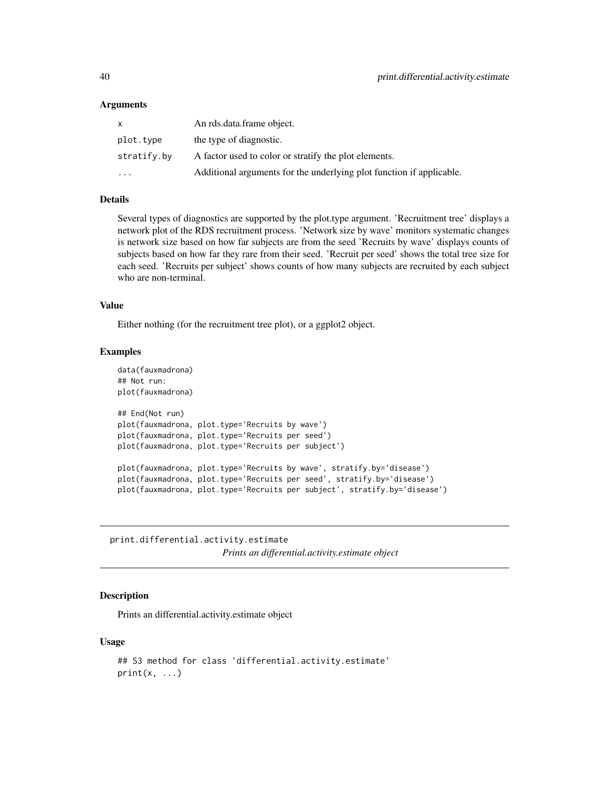#### <span id="page-39-0"></span>Arguments

| X           | An rds.data.frame object.                                            |
|-------------|----------------------------------------------------------------------|
| plot.type   | the type of diagnostic.                                              |
| stratify.by | A factor used to color or stratify the plot elements.                |
| $\cdot$     | Additional arguments for the underlying plot function if applicable. |

#### Details

Several types of diagnostics are supported by the plot.type argument. 'Recruitment tree' displays a network plot of the RDS recruitment process. 'Network size by wave' monitors systematic changes is network size based on how far subjects are from the seed 'Recruits by wave' displays counts of subjects based on how far they rare from their seed. 'Recruit per seed' shows the total tree size for each seed. 'Recruits per subject' shows counts of how many subjects are recruited by each subject who are non-terminal.

#### Value

Either nothing (for the recruitment tree plot), or a ggplot2 object.

#### Examples

```
data(fauxmadrona)
## Not run:
plot(fauxmadrona)
## End(Not run)
plot(fauxmadrona, plot.type='Recruits by wave')
plot(fauxmadrona, plot.type='Recruits per seed')
plot(fauxmadrona, plot.type='Recruits per subject')
plot(fauxmadrona, plot.type='Recruits by wave', stratify.by='disease')
plot(fauxmadrona, plot.type='Recruits per seed', stratify.by='disease')
plot(fauxmadrona, plot.type='Recruits per subject', stratify.by='disease')
```
print.differential.activity.estimate *Prints an differential.activity.estimate object*

### Description

Prints an differential.activity.estimate object

```
## S3 method for class 'differential.activity.estimate'
print(x, \ldots)
```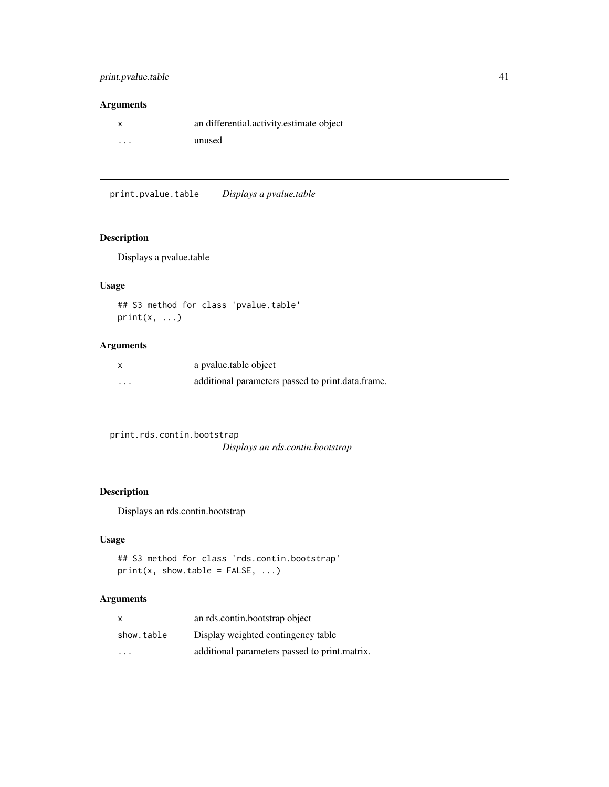### <span id="page-40-0"></span>print.pvalue.table 41

### Arguments

|                         | an differential.activity.estimate object |
|-------------------------|------------------------------------------|
| $\cdot$ $\cdot$ $\cdot$ | unused                                   |

print.pvalue.table *Displays a pvalue.table*

### Description

Displays a pvalue.table

### Usage

## S3 method for class 'pvalue.table'  $print(x, \ldots)$ 

### Arguments

|          | a pvalue.table object                             |
|----------|---------------------------------------------------|
| $\cdots$ | additional parameters passed to print.data.frame. |

print.rds.contin.bootstrap

*Displays an rds.contin.bootstrap*

### Description

Displays an rds.contin.bootstrap

### Usage

```
## S3 method for class 'rds.contin.bootstrap'
print(x, show.table = FALSE, ...)
```

| $\mathsf{x}$ | an rds.contin.bootstrap object                |
|--------------|-----------------------------------------------|
| show.table   | Display weighted contingency table            |
| $\cdot$      | additional parameters passed to print.matrix. |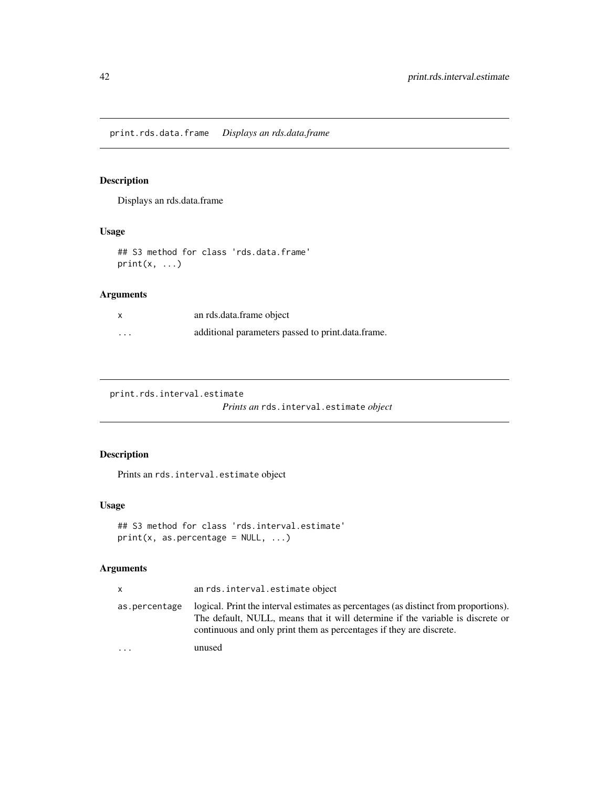<span id="page-41-0"></span>print.rds.data.frame *Displays an rds.data.frame*

### Description

Displays an rds.data.frame

### Usage

## S3 method for class 'rds.data.frame'  $print(x, \ldots)$ 

### Arguments

| x        | an rds.data.frame object                          |
|----------|---------------------------------------------------|
| $\cdots$ | additional parameters passed to print.data.frame. |

print.rds.interval.estimate

*Prints an* rds.interval.estimate *object*

### Description

Prints an rds.interval.estimate object

### Usage

```
## S3 method for class 'rds.interval.estimate'
print(x, as.percentage = NULL, ...)
```

| x             | an rds. interval. estimate object                                                                                                                                                                                                             |
|---------------|-----------------------------------------------------------------------------------------------------------------------------------------------------------------------------------------------------------------------------------------------|
| as.percentage | logical. Print the interval estimates as percentages (as distinct from proportions).<br>The default, NULL, means that it will determine if the variable is discrete or<br>continuous and only print them as percentages if they are discrete. |
| $\ddots$      | unused                                                                                                                                                                                                                                        |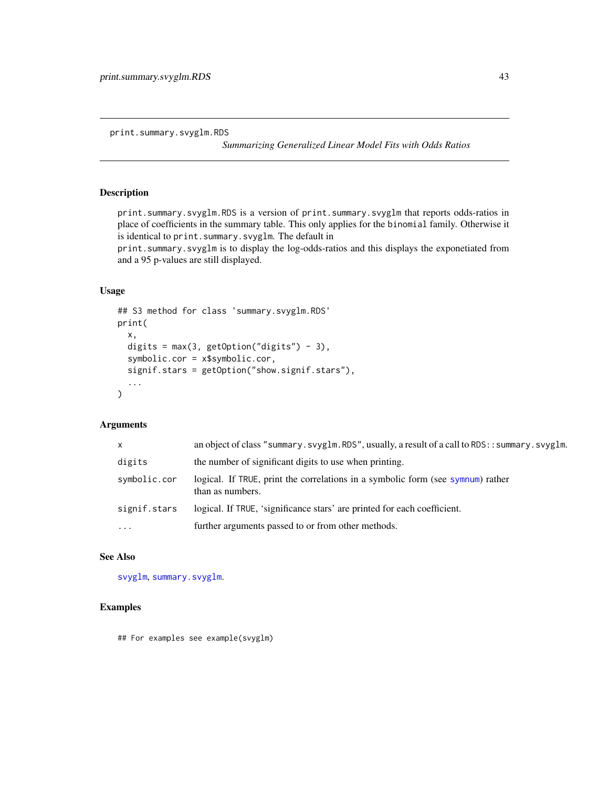<span id="page-42-0"></span>print.summary.svyglm.RDS

*Summarizing Generalized Linear Model Fits with Odds Ratios*

### Description

print.summary.svyglm.RDS is a version of print.summary.svyglm that reports odds-ratios in place of coefficients in the summary table. This only applies for the binomial family. Otherwise it is identical to print.summary.svyglm. The default in

print.summary.svyglm is to display the log-odds-ratios and this displays the exponetiated from and a 95 p-values are still displayed.

### Usage

```
## S3 method for class 'summary.svyglm.RDS'
print(
  x,
  digits = max(3, getOption("digits") - 3),
  symbolic.cor = x$symbolic.cor,
  signif.stars = getOption("show.signif.stars"),
  ...
\mathcal{L}
```
#### Arguments

| $\mathsf{x}$ | an object of class "summary.svyglm.RDS", usually, a result of a call to RDS:: summary.svyglm.       |
|--------------|-----------------------------------------------------------------------------------------------------|
| digits       | the number of significant digits to use when printing.                                              |
| symbolic.cor | logical. If TRUE, print the correlations in a symbolic form (see sympum) rather<br>than as numbers. |
| signif.stars | logical. If TRUE, 'significance stars' are printed for each coefficient.                            |
| $\cdot$      | further arguments passed to or from other methods.                                                  |

### See Also

[svyglm](#page-0-0), [summary.svyglm](#page-0-0).

### Examples

## For examples see example(svyglm)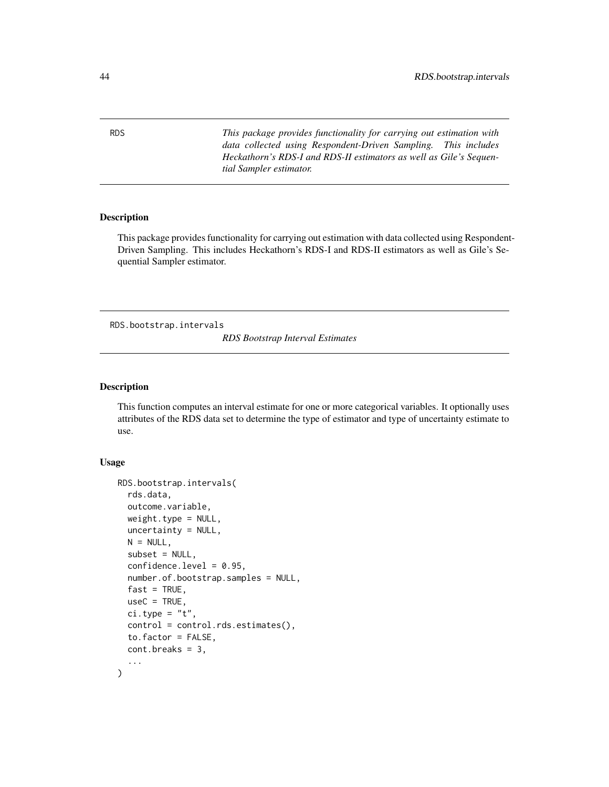RDS *This package provides functionality for carrying out estimation with data collected using Respondent-Driven Sampling. This includes Heckathorn's RDS-I and RDS-II estimators as well as Gile's Sequential Sampler estimator.*

#### Description

This package provides functionality for carrying out estimation with data collected using Respondent-Driven Sampling. This includes Heckathorn's RDS-I and RDS-II estimators as well as Gile's Sequential Sampler estimator.

<span id="page-43-1"></span>RDS.bootstrap.intervals

*RDS Bootstrap Interval Estimates*

### Description

This function computes an interval estimate for one or more categorical variables. It optionally uses attributes of the RDS data set to determine the type of estimator and type of uncertainty estimate to use.

```
RDS.bootstrap.intervals(
  rds.data,
  outcome.variable,
 weight.type = NULL,
  uncertainty = NULL,
 N = NULL,subset = NULL,confidence. level = 0.95,number.of.bootstrap.samples = NULL,
  fast = TRUE,useC = TRUE,ci.type = "t",control = control.rds.estimates(),
  to.factor = FALSE,
  cont.breaks = 3,...
)
```
<span id="page-43-0"></span>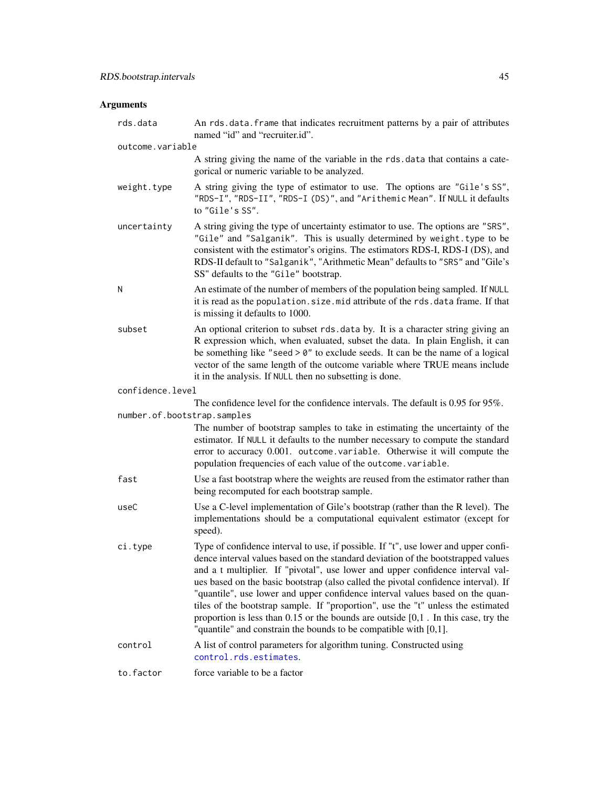<span id="page-44-0"></span>

| rds.data                    | An rds.data.frame that indicates recruitment patterns by a pair of attributes<br>named "id" and "recruiter.id".                                                                                                                                                                                                                                                                                                                                                                                                                                                                                                                                                                         |
|-----------------------------|-----------------------------------------------------------------------------------------------------------------------------------------------------------------------------------------------------------------------------------------------------------------------------------------------------------------------------------------------------------------------------------------------------------------------------------------------------------------------------------------------------------------------------------------------------------------------------------------------------------------------------------------------------------------------------------------|
| outcome.variable            |                                                                                                                                                                                                                                                                                                                                                                                                                                                                                                                                                                                                                                                                                         |
|                             | A string giving the name of the variable in the rds. data that contains a cate-<br>gorical or numeric variable to be analyzed.                                                                                                                                                                                                                                                                                                                                                                                                                                                                                                                                                          |
| weight.type                 | A string giving the type of estimator to use. The options are "Gile's SS",<br>"RDS-I", "RDS-II", "RDS-I (DS)", and "Arithemic Mean". If NULL it defaults<br>to "Gile's SS".                                                                                                                                                                                                                                                                                                                                                                                                                                                                                                             |
| uncertainty                 | A string giving the type of uncertainty estimator to use. The options are "SRS",<br>"Gile" and "Salganik". This is usually determined by weight.type to be<br>consistent with the estimator's origins. The estimators RDS-I, RDS-I (DS), and<br>RDS-II default to "Salganik", "Arithmetic Mean" defaults to "SRS" and "Gile's<br>SS" defaults to the "Gile" bootstrap.                                                                                                                                                                                                                                                                                                                  |
| Ν                           | An estimate of the number of members of the population being sampled. If NULL<br>it is read as the population. size. mid attribute of the rds. data frame. If that<br>is missing it defaults to 1000.                                                                                                                                                                                                                                                                                                                                                                                                                                                                                   |
| subset                      | An optional criterion to subset rds.data by. It is a character string giving an<br>R expression which, when evaluated, subset the data. In plain English, it can<br>be something like "seed $> 0$ " to exclude seeds. It can be the name of a logical<br>vector of the same length of the outcome variable where TRUE means include<br>it in the analysis. If NULL then no subsetting is done.                                                                                                                                                                                                                                                                                          |
| confidence.level            |                                                                                                                                                                                                                                                                                                                                                                                                                                                                                                                                                                                                                                                                                         |
| number.of.bootstrap.samples | The confidence level for the confidence intervals. The default is 0.95 for 95%.                                                                                                                                                                                                                                                                                                                                                                                                                                                                                                                                                                                                         |
|                             | The number of bootstrap samples to take in estimating the uncertainty of the<br>estimator. If NULL it defaults to the number necessary to compute the standard<br>error to accuracy 0.001. outcome. variable. Otherwise it will compute the<br>population frequencies of each value of the outcome. variable.                                                                                                                                                                                                                                                                                                                                                                           |
| fast                        | Use a fast bootstrap where the weights are reused from the estimator rather than<br>being recomputed for each bootstrap sample.                                                                                                                                                                                                                                                                                                                                                                                                                                                                                                                                                         |
| useC                        | Use a C-level implementation of Gile's bootstrap (rather than the R level). The<br>implementations should be a computational equivalent estimator (except for<br>speed).                                                                                                                                                                                                                                                                                                                                                                                                                                                                                                                |
| ci.type                     | Type of confidence interval to use, if possible. If "t", use lower and upper confi-<br>dence interval values based on the standard deviation of the bootstrapped values<br>and a t multiplier. If "pivotal", use lower and upper confidence interval val-<br>ues based on the basic bootstrap (also called the pivotal confidence interval). If<br>"quantile", use lower and upper confidence interval values based on the quan-<br>tiles of the bootstrap sample. If "proportion", use the "t" unless the estimated<br>proportion is less than $0.15$ or the bounds are outside $[0,1]$ . In this case, try the<br>"quantile" and constrain the bounds to be compatible with $[0,1]$ . |
| control                     | A list of control parameters for algorithm tuning. Constructed using<br>control.rds.estimates.                                                                                                                                                                                                                                                                                                                                                                                                                                                                                                                                                                                          |
| to.factor                   | force variable to be a factor                                                                                                                                                                                                                                                                                                                                                                                                                                                                                                                                                                                                                                                           |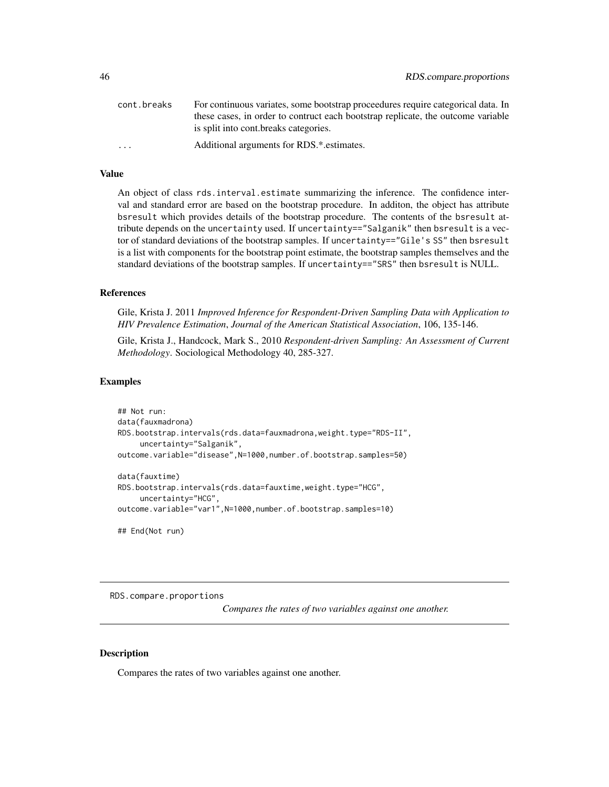<span id="page-45-0"></span>

| cont.breaks | For continuous variates, some bootstrap proceedures require categorical data. In |
|-------------|----------------------------------------------------------------------------------|
|             | these cases, in order to contruct each bootstrap replicate, the outcome variable |
|             | is split into cont. breaks categories.                                           |
| .           | Additional arguments for RDS.*.estimates.                                        |

#### Value

An object of class rds.interval.estimate summarizing the inference. The confidence interval and standard error are based on the bootstrap procedure. In additon, the object has attribute bsresult which provides details of the bootstrap procedure. The contents of the bsresult attribute depends on the uncertainty used. If uncertainty=="Salganik" then bsresult is a vector of standard deviations of the bootstrap samples. If uncertainty=="Gile's SS" then bsresult is a list with components for the bootstrap point estimate, the bootstrap samples themselves and the standard deviations of the bootstrap samples. If uncertainty=="SRS" then bsresult is NULL.

#### References

Gile, Krista J. 2011 *Improved Inference for Respondent-Driven Sampling Data with Application to HIV Prevalence Estimation*, *Journal of the American Statistical Association*, 106, 135-146.

Gile, Krista J., Handcock, Mark S., 2010 *Respondent-driven Sampling: An Assessment of Current Methodology*. Sociological Methodology 40, 285-327.

### Examples

```
## Not run:
data(fauxmadrona)
RDS.bootstrap.intervals(rds.data=fauxmadrona,weight.type="RDS-II",
     uncertainty="Salganik",
outcome.variable="disease",N=1000,number.of.bootstrap.samples=50)
data(fauxtime)
RDS.bootstrap.intervals(rds.data=fauxtime,weight.type="HCG",
     uncertainty="HCG",
outcome.variable="var1",N=1000,number.of.bootstrap.samples=10)
```
## End(Not run)

RDS.compare.proportions

*Compares the rates of two variables against one another.*

#### **Description**

Compares the rates of two variables against one another.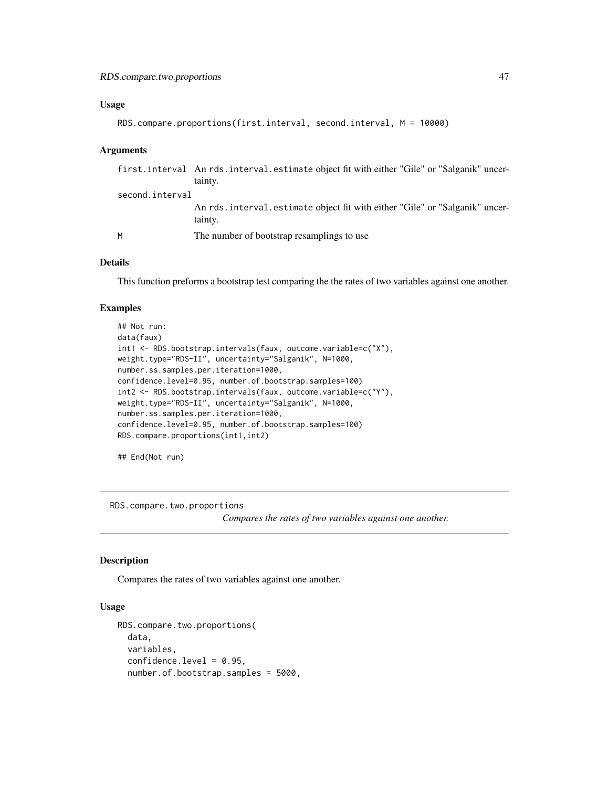#### <span id="page-46-0"></span>Usage

```
RDS.compare.proportions(first.interval, second.interval, M = 10000)
```
#### Arguments

|                 | first.interval An rds.interval.estimate object fit with either "Gile" or "Salganik" uncer-<br>tainty. |
|-----------------|-------------------------------------------------------------------------------------------------------|
| second.interval |                                                                                                       |
|                 | An rds. interval. estimate object fit with either "Gile" or "Salganik" uncer-<br>tainty.              |
| м               | The number of bootstrap resamplings to use                                                            |

### Details

This function preforms a bootstrap test comparing the the rates of two variables against one another.

#### Examples

```
## Not run:
data(faux)
int1 <- RDS.bootstrap.intervals(faux, outcome.variable=c("X"),
weight.type="RDS-II", uncertainty="Salganik", N=1000,
number.ss.samples.per.iteration=1000,
confidence.level=0.95, number.of.bootstrap.samples=100)
int2 <- RDS.bootstrap.intervals(faux, outcome.variable=c("Y"),
weight.type="RDS-II", uncertainty="Salganik", N=1000,
number.ss.samples.per.iteration=1000,
confidence.level=0.95, number.of.bootstrap.samples=100)
RDS.compare.proportions(int1,int2)
```
## End(Not run)

RDS.compare.two.proportions

*Compares the rates of two variables against one another.*

#### Description

Compares the rates of two variables against one another.

```
RDS.compare.two.proportions(
  data,
  variables,
  confidence.level = 0.95,
  number.of.bootstrap.samples = 5000,
```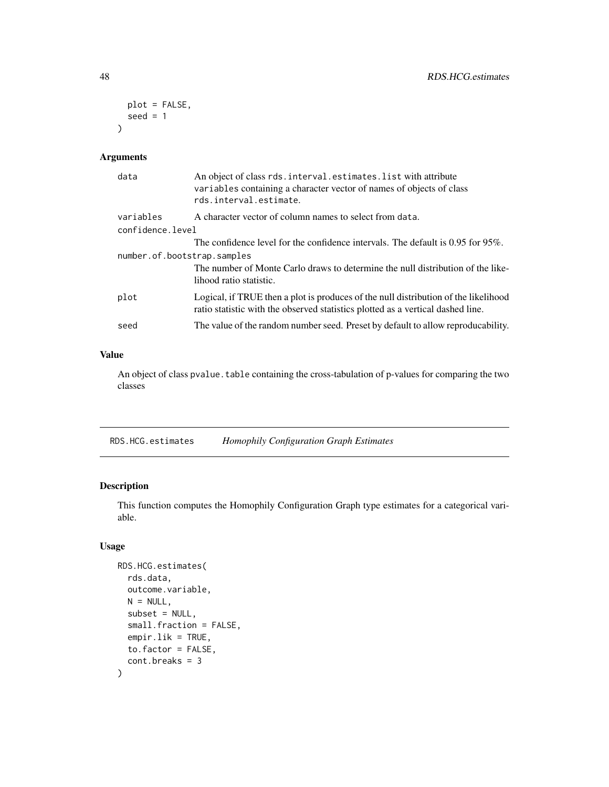```
plot = FALSE,
 seed = 1\lambda
```
#### Arguments

| data                        | An object of class rds. interval. estimates. list with attribute<br>variables containing a character vector of names of objects of class<br>rds.interval.estimate.     |  |
|-----------------------------|------------------------------------------------------------------------------------------------------------------------------------------------------------------------|--|
| variables                   | A character vector of column names to select from data.                                                                                                                |  |
| confidence.level            |                                                                                                                                                                        |  |
|                             | The confidence level for the confidence intervals. The default is $0.95$ for $95\%$ .                                                                                  |  |
| number.of.bootstrap.samples |                                                                                                                                                                        |  |
|                             | The number of Monte Carlo draws to determine the null distribution of the like-<br>lihood ratio statistic.                                                             |  |
| plot                        | Logical, if TRUE then a plot is produces of the null distribution of the likelihood<br>ratio statistic with the observed statistics plotted as a vertical dashed line. |  |
| seed                        | The value of the random number seed. Preset by default to allow reproducability.                                                                                       |  |

### Value

An object of class pvalue. table containing the cross-tabulation of p-values for comparing the two classes

RDS.HCG.estimates *Homophily Configuration Graph Estimates*

### Description

This function computes the Homophily Configuration Graph type estimates for a categorical variable.

```
RDS.HCG.estimates(
  rds.data,
 outcome.variable,
 N = NULL,subset = NULL,small.fraction = FALSE,
  empir.lik = TRUE,
  to.factor = FALSE,
  cont.breaks = 3
\mathcal{E}
```
<span id="page-47-0"></span>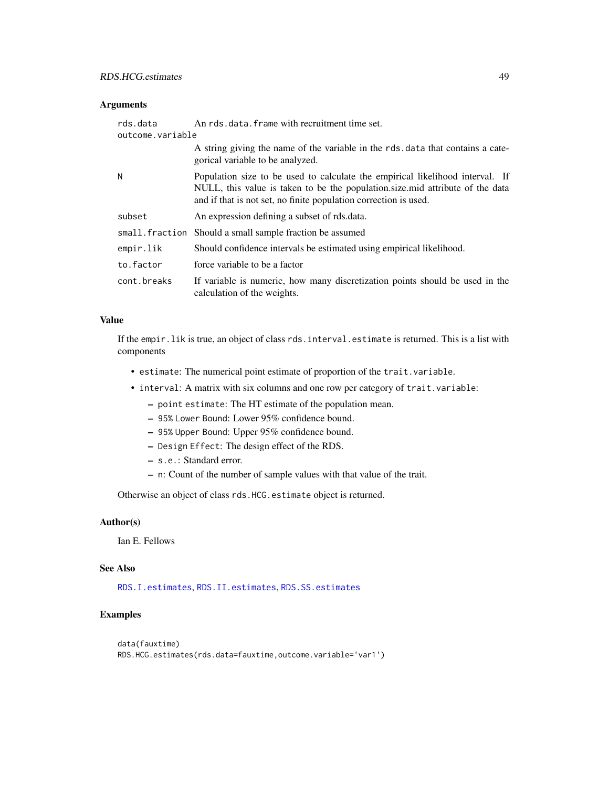### <span id="page-48-0"></span>Arguments

| rds.data         | An rds.data.frame with recruitment time set.                                                                                                                                                                                       |
|------------------|------------------------------------------------------------------------------------------------------------------------------------------------------------------------------------------------------------------------------------|
| outcome.variable |                                                                                                                                                                                                                                    |
|                  | A string giving the name of the variable in the rds data that contains a cate-<br>gorical variable to be analyzed.                                                                                                                 |
| Ν                | Population size to be used to calculate the empirical likelihood interval. If<br>NULL, this value is taken to be the population size mid attribute of the data<br>and if that is not set, no finite population correction is used. |
| subset           | An expression defining a subset of rds.data.                                                                                                                                                                                       |
|                  | small.fraction Should a small sample fraction be assumed                                                                                                                                                                           |
| empir.lik        | Should confidence intervals be estimated using empirical likelihood.                                                                                                                                                               |
| to.factor        | force variable to be a factor                                                                                                                                                                                                      |
| cont.breaks      | If variable is numeric, how many discretization points should be used in the<br>calculation of the weights.                                                                                                                        |

#### Value

If the empir. lik is true, an object of class rds. interval. estimate is returned. This is a list with components

- estimate: The numerical point estimate of proportion of the trait. variable.
- interval: A matrix with six columns and one row per category of trait.variable:
	- point estimate: The HT estimate of the population mean.
	- 95% Lower Bound: Lower 95% confidence bound.
	- 95% Upper Bound: Upper 95% confidence bound.
	- Design Effect: The design effect of the RDS.
	- s.e.: Standard error.
	- n: Count of the number of sample values with that value of the trait.

Otherwise an object of class rds.HCG.estimate object is returned.

#### Author(s)

Ian E. Fellows

### See Also

[RDS.I.estimates](#page-49-1), [RDS.II.estimates](#page-51-1), [RDS.SS.estimates](#page-54-1)

### Examples

```
data(fauxtime)
RDS.HCG.estimates(rds.data=fauxtime,outcome.variable='var1')
```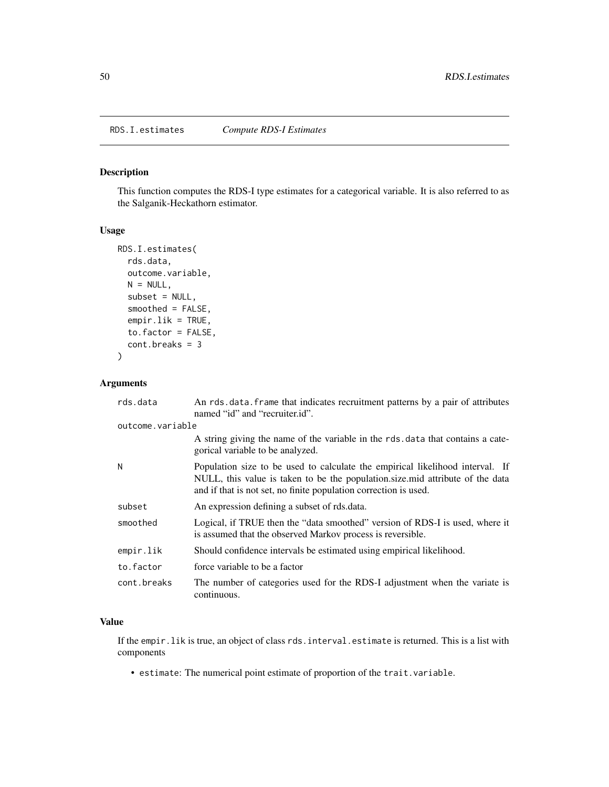### Description

This function computes the RDS-I type estimates for a categorical variable. It is also referred to as the Salganik-Heckathorn estimator.

### Usage

```
RDS.I.estimates(
  rds.data,
  outcome.variable,
 N = NULL,subset = NULL,smoothed = FALSE,
  empir.lik = TRUE,
  to.factor = FALSE,
  cont.breaks = 3
\mathcal{L}
```
### Arguments

| rds.data         | An rds data frame that indicates recruitment patterns by a pair of attributes<br>named "id" and "recruiter.id".                                                                                                                    |
|------------------|------------------------------------------------------------------------------------------------------------------------------------------------------------------------------------------------------------------------------------|
| outcome.variable |                                                                                                                                                                                                                                    |
|                  | A string giving the name of the variable in the rds data that contains a cate-<br>gorical variable to be analyzed.                                                                                                                 |
| N                | Population size to be used to calculate the empirical likelihood interval. If<br>NULL, this value is taken to be the population.size.mid attribute of the data<br>and if that is not set, no finite population correction is used. |
| subset           | An expression defining a subset of rds.data.                                                                                                                                                                                       |
| smoothed         | Logical, if TRUE then the "data smoothed" version of RDS-I is used, where it<br>is assumed that the observed Markov process is reversible.                                                                                         |
| empir.lik        | Should confidence intervals be estimated using empirical likelihood.                                                                                                                                                               |
| to.factor        | force variable to be a factor                                                                                                                                                                                                      |
| cont.breaks      | The number of categories used for the RDS-I adjustment when the variate is<br>continuous.                                                                                                                                          |

### Value

If the empir. lik is true, an object of class rds. interval. estimate is returned. This is a list with components

• estimate: The numerical point estimate of proportion of the trait. variable.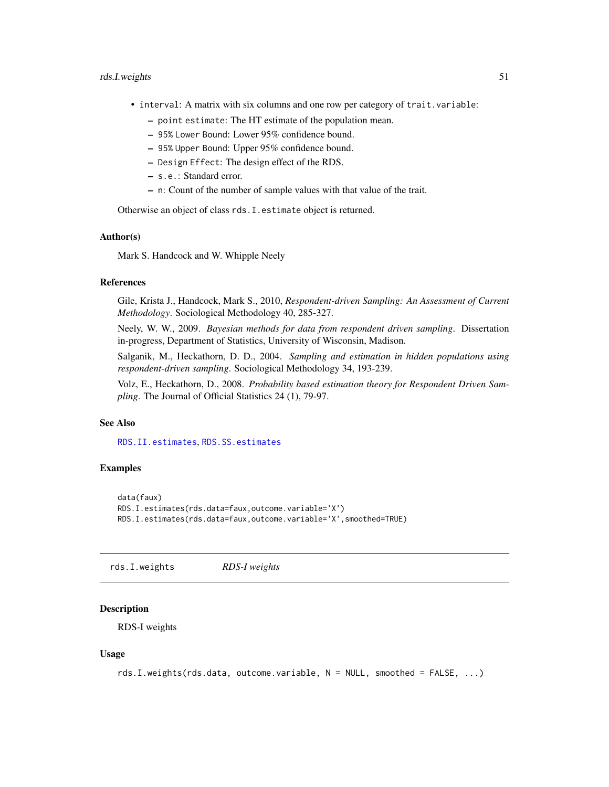#### <span id="page-50-0"></span>rds.I.weights 51

- interval: A matrix with six columns and one row per category of trait.variable:
	- point estimate: The HT estimate of the population mean.
	- 95% Lower Bound: Lower 95% confidence bound.
	- 95% Upper Bound: Upper 95% confidence bound.
	- Design Effect: The design effect of the RDS.
	- s.e.: Standard error.
	- n: Count of the number of sample values with that value of the trait.

Otherwise an object of class rds.I.estimate object is returned.

#### Author(s)

Mark S. Handcock and W. Whipple Neely

### References

Gile, Krista J., Handcock, Mark S., 2010, *Respondent-driven Sampling: An Assessment of Current Methodology*. Sociological Methodology 40, 285-327.

Neely, W. W., 2009. *Bayesian methods for data from respondent driven sampling*. Dissertation in-progress, Department of Statistics, University of Wisconsin, Madison.

Salganik, M., Heckathorn, D. D., 2004. *Sampling and estimation in hidden populations using respondent-driven sampling*. Sociological Methodology 34, 193-239.

Volz, E., Heckathorn, D., 2008. *Probability based estimation theory for Respondent Driven Sampling*. The Journal of Official Statistics 24 (1), 79-97.

#### See Also

[RDS.II.estimates](#page-51-1), [RDS.SS.estimates](#page-54-1)

### Examples

```
data(faux)
RDS.I.estimates(rds.data=faux,outcome.variable='X')
RDS.I.estimates(rds.data=faux,outcome.variable='X',smoothed=TRUE)
```
<span id="page-50-1"></span>rds.I.weights *RDS-I weights*

#### **Description**

RDS-I weights

```
rds.I.weights(rds.data, outcome.variable, N = NULL, smoothed = FALSE, ...)
```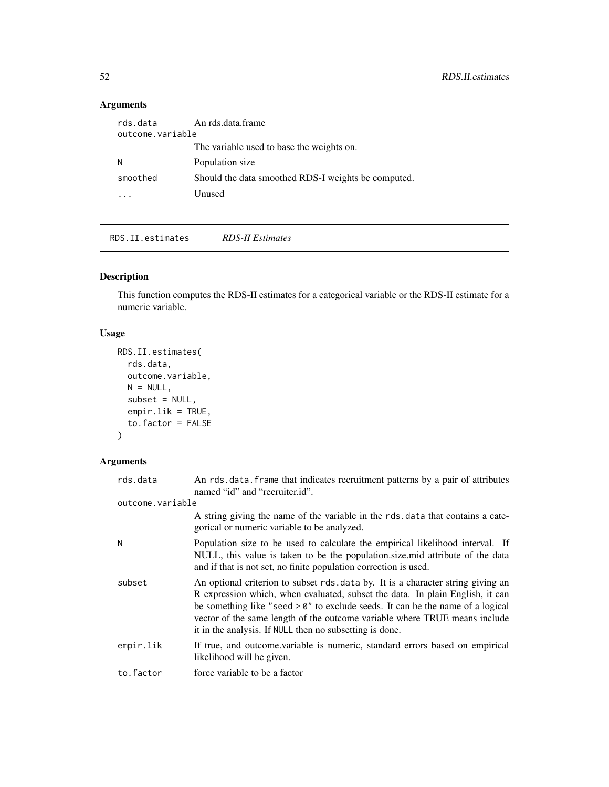### <span id="page-51-0"></span>Arguments

| An rds.data.frame                                   |  |  |
|-----------------------------------------------------|--|--|
| outcome.variable                                    |  |  |
| The variable used to base the weights on.           |  |  |
| Population size                                     |  |  |
| Should the data smoothed RDS-I weights be computed. |  |  |
| Unused                                              |  |  |
|                                                     |  |  |

<span id="page-51-1"></span>RDS.II.estimates *RDS-II Estimates*

### Description

This function computes the RDS-II estimates for a categorical variable or the RDS-II estimate for a numeric variable.

### Usage

```
RDS.II.estimates(
 rds.data,
 outcome.variable,
 N = NULL,subset = NULL,
 empir.lik = TRUE,
  to.factor = FALSE
)
```

| rds.data         | An rds.data.frame that indicates recruitment patterns by a pair of attributes<br>named "id" and "recruiter.id".                                                                                                                                                                                                                                                                                |
|------------------|------------------------------------------------------------------------------------------------------------------------------------------------------------------------------------------------------------------------------------------------------------------------------------------------------------------------------------------------------------------------------------------------|
| outcome.variable |                                                                                                                                                                                                                                                                                                                                                                                                |
|                  | A string giving the name of the variable in the rds data that contains a cate-<br>gorical or numeric variable to be analyzed.                                                                                                                                                                                                                                                                  |
| N                | Population size to be used to calculate the empirical likelihood interval. If<br>NULL, this value is taken to be the population size mid attribute of the data<br>and if that is not set, no finite population correction is used.                                                                                                                                                             |
| subset           | An optional criterion to subset rds data by. It is a character string giving an<br>R expression which, when evaluated, subset the data. In plain English, it can<br>be something like "seed $> 0$ " to exclude seeds. It can be the name of a logical<br>vector of the same length of the outcome variable where TRUE means include<br>it in the analysis. If NULL then no subsetting is done. |
| empir.lik        | If true, and outcome variable is numeric, standard errors based on empirical<br>likelihood will be given.                                                                                                                                                                                                                                                                                      |
| to.factor        | force variable to be a factor                                                                                                                                                                                                                                                                                                                                                                  |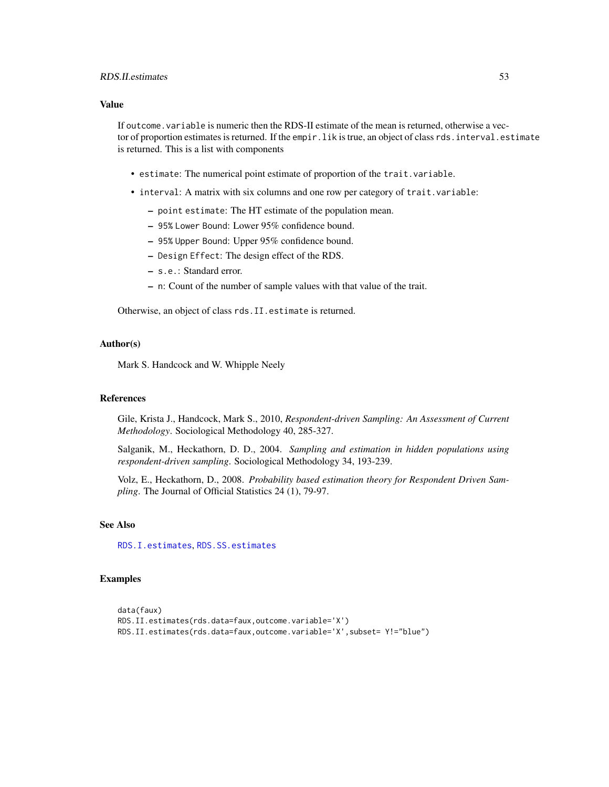#### <span id="page-52-0"></span>RDS.II.estimates 53

#### Value

If outcome. variable is numeric then the RDS-II estimate of the mean is returned, otherwise a vector of proportion estimates is returned. If the empir. lik is true, an object of class rds. interval.estimate is returned. This is a list with components

- estimate: The numerical point estimate of proportion of the trait.variable.
- interval: A matrix with six columns and one row per category of trait.variable:
	- point estimate: The HT estimate of the population mean.
	- 95% Lower Bound: Lower 95% confidence bound.
	- 95% Upper Bound: Upper 95% confidence bound.
	- Design Effect: The design effect of the RDS.
	- s.e.: Standard error.
	- n: Count of the number of sample values with that value of the trait.

Otherwise, an object of class rds.II.estimate is returned.

### Author(s)

Mark S. Handcock and W. Whipple Neely

#### References

Gile, Krista J., Handcock, Mark S., 2010, *Respondent-driven Sampling: An Assessment of Current Methodology*. Sociological Methodology 40, 285-327.

Salganik, M., Heckathorn, D. D., 2004. *Sampling and estimation in hidden populations using respondent-driven sampling*. Sociological Methodology 34, 193-239.

Volz, E., Heckathorn, D., 2008. *Probability based estimation theory for Respondent Driven Sampling*. The Journal of Official Statistics 24 (1), 79-97.

#### See Also

[RDS.I.estimates](#page-49-1), [RDS.SS.estimates](#page-54-1)

#### Examples

```
data(faux)
RDS.II.estimates(rds.data=faux,outcome.variable='X')
RDS.II.estimates(rds.data=faux,outcome.variable='X',subset= Y!="blue")
```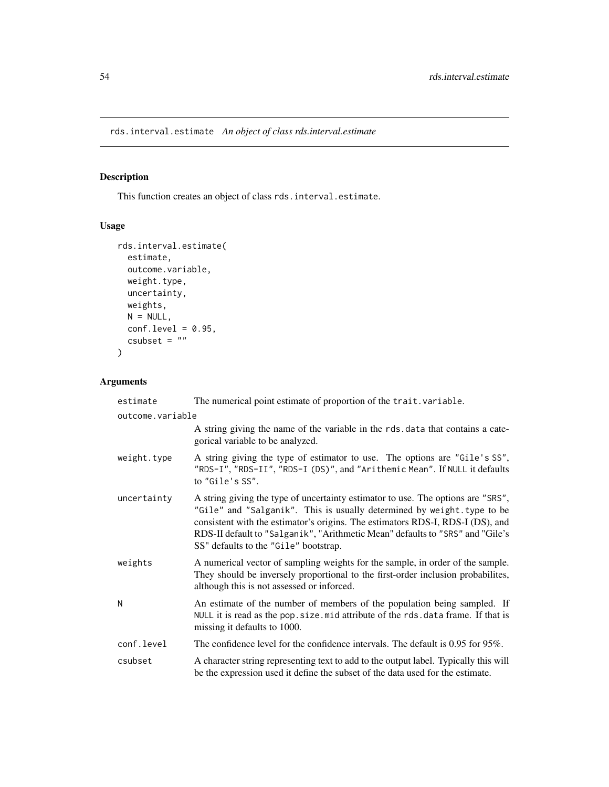<span id="page-53-0"></span>rds.interval.estimate *An object of class rds.interval.estimate*

### Description

This function creates an object of class rds.interval.estimate.

### Usage

```
rds.interval.estimate(
 estimate,
 outcome.variable,
 weight.type,
 uncertainty,
 weights,
 N = NULL,conf. level = 0.95,csubset = ")
```

| estimate         | The numerical point estimate of proportion of the trait. variable.                                                                                                                                                                                                                                                                                                     |  |
|------------------|------------------------------------------------------------------------------------------------------------------------------------------------------------------------------------------------------------------------------------------------------------------------------------------------------------------------------------------------------------------------|--|
| outcome.variable |                                                                                                                                                                                                                                                                                                                                                                        |  |
|                  | A string giving the name of the variable in the rds. data that contains a cate-<br>gorical variable to be analyzed.                                                                                                                                                                                                                                                    |  |
| weight.type      | A string giving the type of estimator to use. The options are "Gile's SS",<br>"RDS-I", "RDS-II", "RDS-I (DS)", and "Arithemic Mean". If NULL it defaults<br>to "Gile's SS".                                                                                                                                                                                            |  |
| uncertainty      | A string giving the type of uncertainty estimator to use. The options are "SRS",<br>"Gile" and "Salganik". This is usually determined by weight.type to be<br>consistent with the estimator's origins. The estimators RDS-I, RDS-I (DS), and<br>RDS-II default to "Salganik", "Arithmetic Mean" defaults to "SRS" and "Gile's<br>SS" defaults to the "Gile" bootstrap. |  |
| weights          | A numerical vector of sampling weights for the sample, in order of the sample.<br>They should be inversely proportional to the first-order inclusion probabilites,<br>although this is not assessed or inforced.                                                                                                                                                       |  |
| N                | An estimate of the number of members of the population being sampled. If<br>NULL it is read as the pop. size. mid attribute of the rds. data frame. If that is<br>missing it defaults to 1000.                                                                                                                                                                         |  |
| conf.level       | The confidence level for the confidence intervals. The default is 0.95 for 95%.                                                                                                                                                                                                                                                                                        |  |
| csubset          | A character string representing text to add to the output label. Typically this will<br>be the expression used it define the subset of the data used for the estimate.                                                                                                                                                                                                 |  |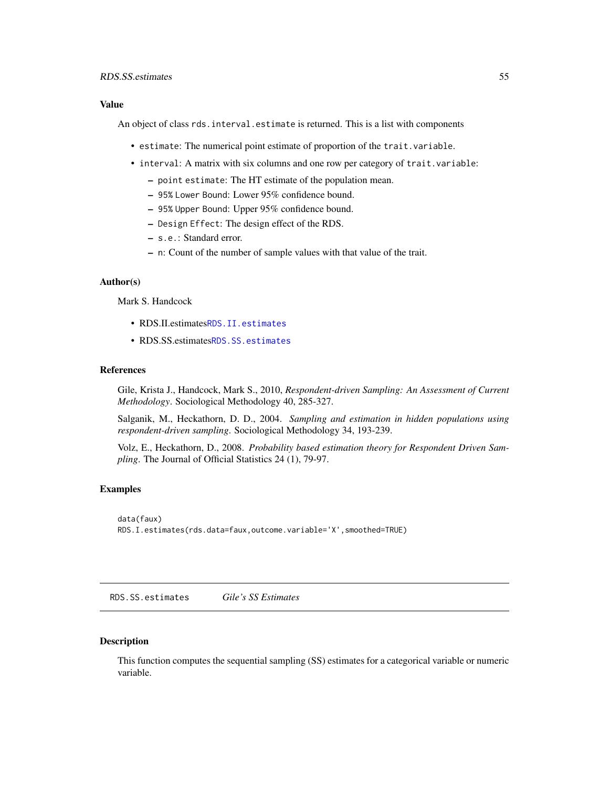#### <span id="page-54-0"></span>Value

An object of class rds.interval.estimate is returned. This is a list with components

- estimate: The numerical point estimate of proportion of the trait.variable.
- interval: A matrix with six columns and one row per category of trait.variable:
	- point estimate: The HT estimate of the population mean.
	- 95% Lower Bound: Lower 95% confidence bound.
	- 95% Upper Bound: Upper 95% confidence bound.
	- Design Effect: The design effect of the RDS.
	- s.e.: Standard error.
	- n: Count of the number of sample values with that value of the trait.

#### Author(s)

Mark S. Handcock

- RDS.II.estimates[RDS.II.estimates](#page-51-1)
- RDS.SS.estimates[RDS.SS.estimates](#page-54-1)

#### References

Gile, Krista J., Handcock, Mark S., 2010, *Respondent-driven Sampling: An Assessment of Current Methodology*. Sociological Methodology 40, 285-327.

Salganik, M., Heckathorn, D. D., 2004. *Sampling and estimation in hidden populations using respondent-driven sampling*. Sociological Methodology 34, 193-239.

Volz, E., Heckathorn, D., 2008. *Probability based estimation theory for Respondent Driven Sampling*. The Journal of Official Statistics 24 (1), 79-97.

#### Examples

```
data(faux)
RDS.I.estimates(rds.data=faux,outcome.variable='X',smoothed=TRUE)
```
<span id="page-54-1"></span>RDS.SS.estimates *Gile's SS Estimates*

#### **Description**

This function computes the sequential sampling (SS) estimates for a categorical variable or numeric variable.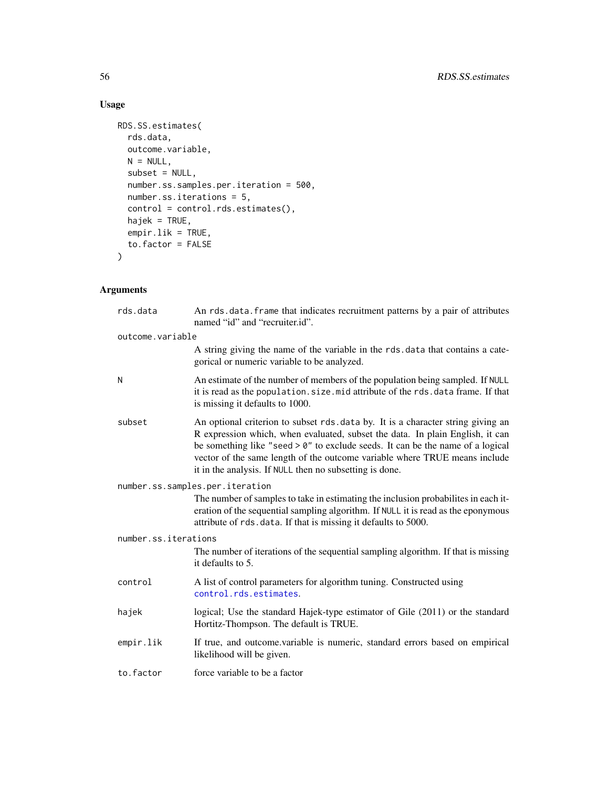### Usage

```
RDS.SS.estimates(
 rds.data,
 outcome.variable,
 N = NULL,subset = NULL,
 number.ss.samples.per.iteration = 500,
 number.ss.iterations = 5,
  control = control.rds.estimates(),
 hajek = TRUE,
 empir.lik = TRUE,
  to.factor = FALSE
)
```

| rds.data             | An rds.data.frame that indicates recruitment patterns by a pair of attributes<br>named "id" and "recruiter.id".                                                                                                                                                                                                                                                                                 |
|----------------------|-------------------------------------------------------------------------------------------------------------------------------------------------------------------------------------------------------------------------------------------------------------------------------------------------------------------------------------------------------------------------------------------------|
| outcome.variable     |                                                                                                                                                                                                                                                                                                                                                                                                 |
|                      | A string giving the name of the variable in the rds. data that contains a cate-<br>gorical or numeric variable to be analyzed.                                                                                                                                                                                                                                                                  |
| N                    | An estimate of the number of members of the population being sampled. If NULL<br>it is read as the population. size. mid attribute of the rds. data frame. If that<br>is missing it defaults to 1000.                                                                                                                                                                                           |
| subset               | An optional criterion to subset rds. data by. It is a character string giving an<br>R expression which, when evaluated, subset the data. In plain English, it can<br>be something like "seed $> 0$ " to exclude seeds. It can be the name of a logical<br>vector of the same length of the outcome variable where TRUE means include<br>it in the analysis. If NULL then no subsetting is done. |
|                      | number.ss.samples.per.iteration                                                                                                                                                                                                                                                                                                                                                                 |
|                      | The number of samples to take in estimating the inclusion probabilities in each it-<br>eration of the sequential sampling algorithm. If NULL it is read as the eponymous<br>attribute of rds. data. If that is missing it defaults to 5000.                                                                                                                                                     |
| number.ss.iterations |                                                                                                                                                                                                                                                                                                                                                                                                 |
|                      | The number of iterations of the sequential sampling algorithm. If that is missing<br>it defaults to 5.                                                                                                                                                                                                                                                                                          |
| control              | A list of control parameters for algorithm tuning. Constructed using<br>control.rds.estimates.                                                                                                                                                                                                                                                                                                  |
| hajek                | logical; Use the standard Hajek-type estimator of Gile (2011) or the standard<br>Hortitz-Thompson. The default is TRUE.                                                                                                                                                                                                                                                                         |
| empir.lik            | If true, and outcome.variable is numeric, standard errors based on empirical<br>likelihood will be given.                                                                                                                                                                                                                                                                                       |
| to.factor            | force variable to be a factor                                                                                                                                                                                                                                                                                                                                                                   |

<span id="page-55-0"></span>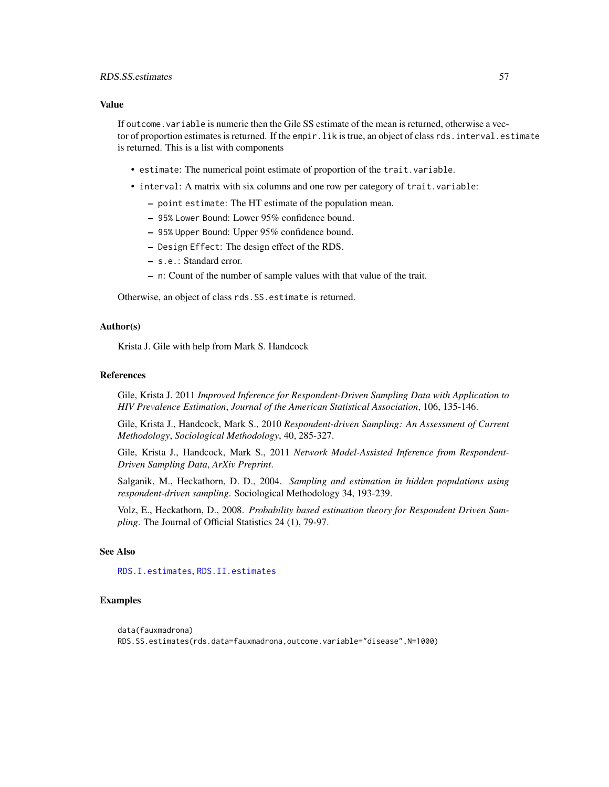#### <span id="page-56-0"></span>Value

If outcome.variable is numeric then the Gile SS estimate of the mean is returned, otherwise a vector of proportion estimates is returned. If the empir. lik is true, an object of class rds. interval.estimate is returned. This is a list with components

- estimate: The numerical point estimate of proportion of the trait.variable.
- interval: A matrix with six columns and one row per category of trait.variable:
	- point estimate: The HT estimate of the population mean.
	- 95% Lower Bound: Lower 95% confidence bound.
	- 95% Upper Bound: Upper 95% confidence bound.
	- Design Effect: The design effect of the RDS.
	- s.e.: Standard error.
	- n: Count of the number of sample values with that value of the trait.

Otherwise, an object of class rds.SS.estimate is returned.

#### Author(s)

Krista J. Gile with help from Mark S. Handcock

#### References

Gile, Krista J. 2011 *Improved Inference for Respondent-Driven Sampling Data with Application to HIV Prevalence Estimation*, *Journal of the American Statistical Association*, 106, 135-146.

Gile, Krista J., Handcock, Mark S., 2010 *Respondent-driven Sampling: An Assessment of Current Methodology*, *Sociological Methodology*, 40, 285-327.

Gile, Krista J., Handcock, Mark S., 2011 *Network Model-Assisted Inference from Respondent-Driven Sampling Data*, *ArXiv Preprint*.

Salganik, M., Heckathorn, D. D., 2004. *Sampling and estimation in hidden populations using respondent-driven sampling*. Sociological Methodology 34, 193-239.

Volz, E., Heckathorn, D., 2008. *Probability based estimation theory for Respondent Driven Sampling*. The Journal of Official Statistics 24 (1), 79-97.

### See Also

[RDS.I.estimates](#page-49-1), [RDS.II.estimates](#page-51-1)

#### Examples

```
data(fauxmadrona)
RDS.SS.estimates(rds.data=fauxmadrona,outcome.variable="disease",N=1000)
```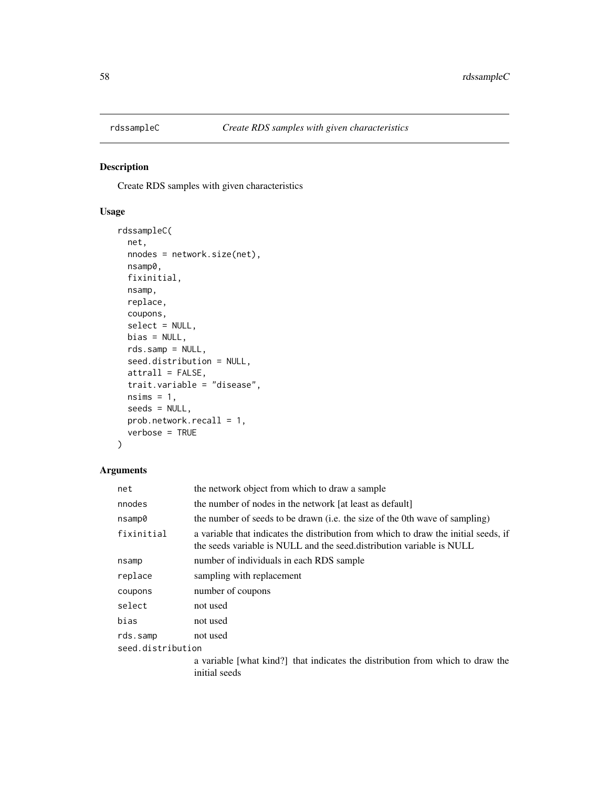<span id="page-57-0"></span>

### Description

Create RDS samples with given characteristics

### Usage

```
rdssampleC(
 net,
 nnodes = network.size(net),
 nsamp0,
 fixinitial,
 nsamp,
 replace,
 coupons,
  select = NULL,
 bias = NULL,
 rds.samp = NULL,
  seed.distribution = NULL,
 attrall = FALSE,
  trait.variable = "disease",
 nsims = 1,seeds = NULL,
 prob.network.recall = 1,
  verbose = TRUE
\mathcal{L}
```

| net               | the network object from which to draw a sample                                                                                                               |  |
|-------------------|--------------------------------------------------------------------------------------------------------------------------------------------------------------|--|
| nnodes            | the number of nodes in the network [at least as default]                                                                                                     |  |
| nsamp0            | the number of seeds to be drawn (i.e. the size of the 0th wave of sampling)                                                                                  |  |
| fixinitial        | a variable that indicates the distribution from which to draw the initial seeds, if<br>the seeds variable is NULL and the seed distribution variable is NULL |  |
| nsamp             | number of individuals in each RDS sample                                                                                                                     |  |
| replace           | sampling with replacement                                                                                                                                    |  |
| coupons           | number of coupons                                                                                                                                            |  |
| select            | not used                                                                                                                                                     |  |
| bias              | not used                                                                                                                                                     |  |
| rds.samp          | not used                                                                                                                                                     |  |
| seed.distribution |                                                                                                                                                              |  |
|                   | a variable [what kind?] that indicates the distribution from which to draw the<br>initial seeds                                                              |  |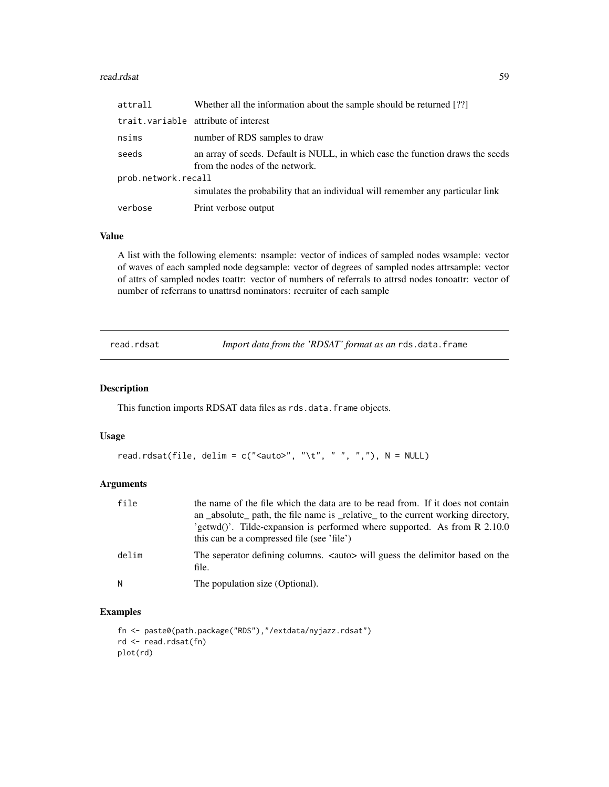#### <span id="page-58-0"></span>read.rdsat 59

| attrall             | Whether all the information about the sample should be returned [??]                                             |
|---------------------|------------------------------------------------------------------------------------------------------------------|
|                     | trait. variable attribute of interest                                                                            |
| nsims               | number of RDS samples to draw                                                                                    |
| seeds               | an array of seeds. Default is NULL, in which case the function draws the seeds<br>from the nodes of the network. |
| prob.network.recall |                                                                                                                  |
|                     | simulates the probability that an individual will remember any particular link                                   |
| verbose             | Print verbose output                                                                                             |

#### Value

A list with the following elements: nsample: vector of indices of sampled nodes wsample: vector of waves of each sampled node degsample: vector of degrees of sampled nodes attrsample: vector of attrs of sampled nodes toattr: vector of numbers of referrals to attrsd nodes tonoattr: vector of number of referrans to unattrsd nominators: recruiter of each sample

read.rdsat *Import data from the 'RDSAT' format as an* rds.data.frame

#### Description

This function imports RDSAT data files as rds.data.frame objects.

#### Usage

```
read.rdsat(file, delim = c("<i>auto</i>), "t", " " " " "", "), N = NULL)
```
### Arguments

| file  | the name of the file which the data are to be read from. If it does not contain<br>an absolute path, the file name is relative to the current working directory,<br>'getwd()'. Tilde-expansion is performed where supported. As from R 2.10.0<br>this can be a compressed file (see 'file') |
|-------|---------------------------------------------------------------------------------------------------------------------------------------------------------------------------------------------------------------------------------------------------------------------------------------------|
| delim | The seperator defining columns. <auto> will guess the delimitor based on the<br/>file.</auto>                                                                                                                                                                                               |
| Ν     | The population size (Optional).                                                                                                                                                                                                                                                             |

### Examples

```
fn <- paste0(path.package("RDS"),"/extdata/nyjazz.rdsat")
rd <- read.rdsat(fn)
plot(rd)
```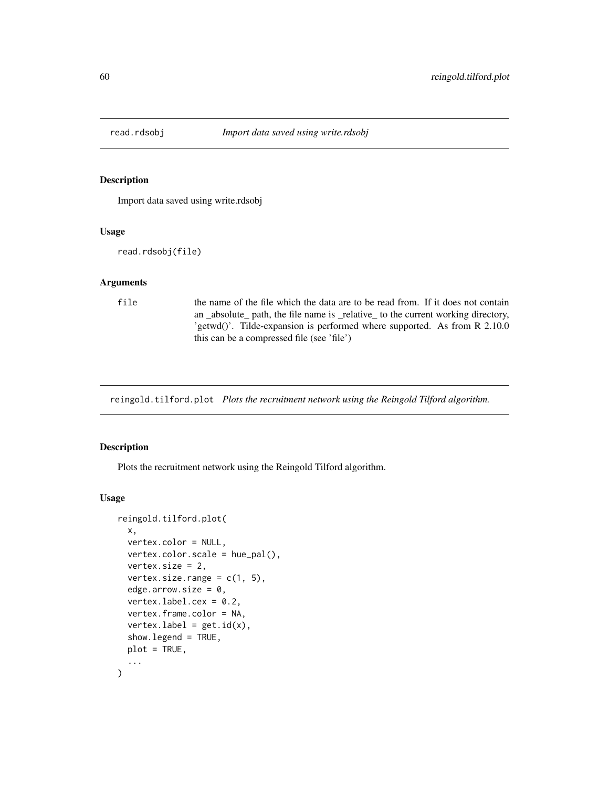<span id="page-59-0"></span>

### Description

Import data saved using write.rdsobj

#### Usage

read.rdsobj(file)

#### Arguments

file the name of the file which the data are to be read from. If it does not contain an \_absolute\_ path, the file name is \_relative\_ to the current working directory, 'getwd()'. Tilde-expansion is performed where supported. As from R 2.10.0 this can be a compressed file (see 'file')

reingold.tilford.plot *Plots the recruitment network using the Reingold Tilford algorithm.*

#### Description

Plots the recruitment network using the Reingold Tilford algorithm.

```
reingold.tilford.plot(
 x,
 vertex.color = NULL,
 vertex.color.scale = hue_pal(),
 vertex.size = 2,
 vertex.size.range = c(1, 5),
 edge.arrow.size = 0,
 vertex.label.cex = 0.2,
  vertex.frame.color = NA,
  vertexu = get.id(x),show.legend = TRUE,
 plot = TRUE,
  ...
)
```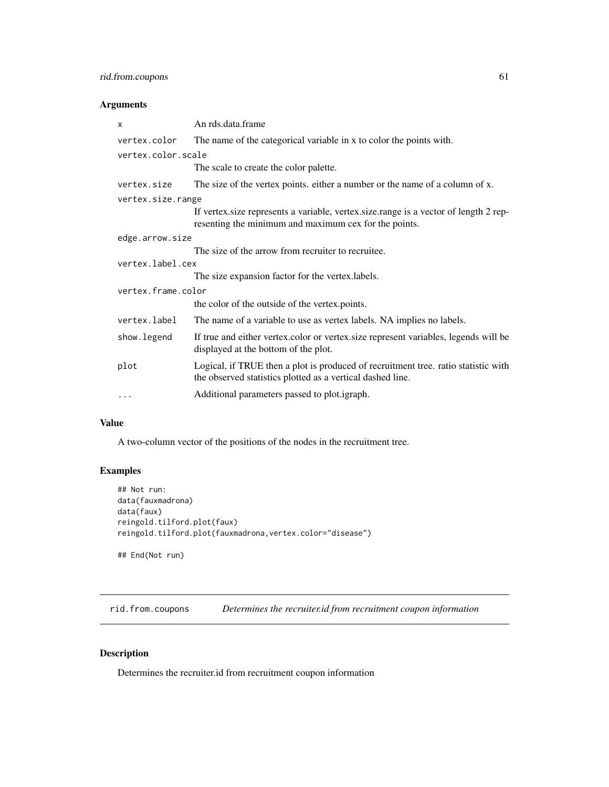### <span id="page-60-0"></span>rid.from.coupons 61

### Arguments

| X                  | An rds.data.frame                                                                                                                                |
|--------------------|--------------------------------------------------------------------------------------------------------------------------------------------------|
| vertex.color       | The name of the categorical variable in x to color the points with.                                                                              |
| vertex.color.scale |                                                                                                                                                  |
|                    | The scale to create the color palette.                                                                                                           |
| vertex.size        | The size of the vertex points, either a number or the name of a column of x.                                                                     |
| vertex.size.range  |                                                                                                                                                  |
|                    | If vertex size represents a variable, vertex size range is a vector of length 2 rep-<br>resenting the minimum and maximum cex for the points.    |
| edge.arrow.size    |                                                                                                                                                  |
|                    | The size of the arrow from recruiter to recruitee.                                                                                               |
| vertex.label.cex   |                                                                                                                                                  |
|                    | The size expansion factor for the vertex.labels.                                                                                                 |
| vertex.frame.color |                                                                                                                                                  |
|                    | the color of the outside of the vertex.points.                                                                                                   |
| vertex.label       | The name of a variable to use as vertex labels. NA implies no labels.                                                                            |
| show.legend        | If true and either vertex.color or vertex.size represent variables, legends will be<br>displayed at the bottom of the plot.                      |
| plot               | Logical, if TRUE then a plot is produced of recruitment tree. ratio statistic with<br>the observed statistics plotted as a vertical dashed line. |
| $\cdots$           | Additional parameters passed to plot. <i>igraph</i> .                                                                                            |

#### Value

A two-column vector of the positions of the nodes in the recruitment tree.

### Examples

```
## Not run:
data(fauxmadrona)
data(faux)
reingold.tilford.plot(faux)
reingold.tilford.plot(fauxmadrona,vertex.color="disease")
## End(Not run)
```
rid.from.coupons *Determines the recruiter.id from recruitment coupon information*

### Description

Determines the recruiter.id from recruitment coupon information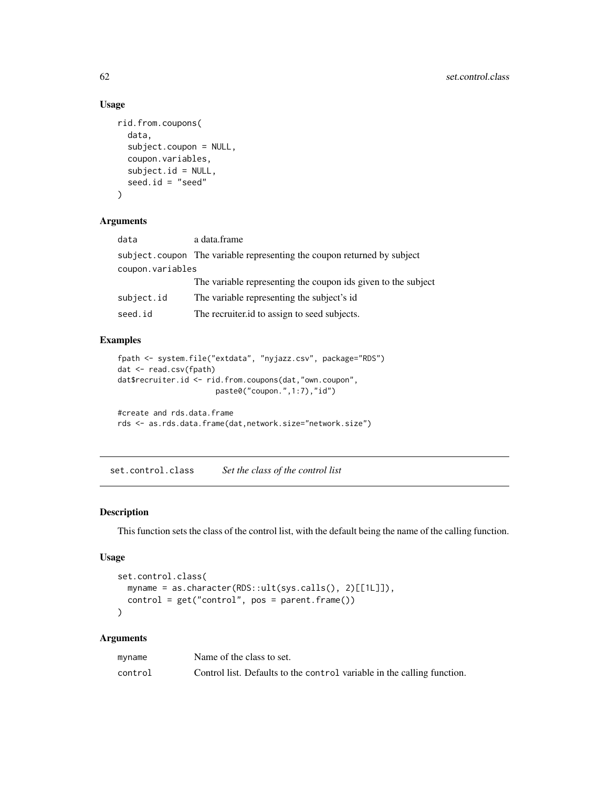#### Usage

```
rid.from.coupons(
  data,
  subject.coupon = NULL,
  coupon.variables,
  subject.id = NULL,seed.id = "seed"
)
```
### Arguments

| data             | a data.frame                                                            |
|------------------|-------------------------------------------------------------------------|
|                  | subject.coupon The variable representing the coupon returned by subject |
| coupon.variables |                                                                         |
|                  | The variable representing the coupon ids given to the subject           |
| subject.id       | The variable representing the subject's id.                             |
| seed.id          | The recruiter.id to assign to seed subjects.                            |

### Examples

```
fpath <- system.file("extdata", "nyjazz.csv", package="RDS")
dat <- read.csv(fpath)
dat$recruiter.id <- rid.from.coupons(dat,"own.coupon",
                      paste0("coupon.",1:7),"id")
```

```
#create and rds.data.frame
rds <- as.rds.data.frame(dat,network.size="network.size")
```
set.control.class *Set the class of the control list*

### Description

This function sets the class of the control list, with the default being the name of the calling function.

### Usage

```
set.control.class(
 myname = as.character(RDS::ult(sys.calls(), 2)[[1L]]),
 control = get("control", pos = parent.frame())
\lambda
```

| myname  | Name of the class to set.                                               |
|---------|-------------------------------------------------------------------------|
| control | Control list. Defaults to the control variable in the calling function. |

<span id="page-61-0"></span>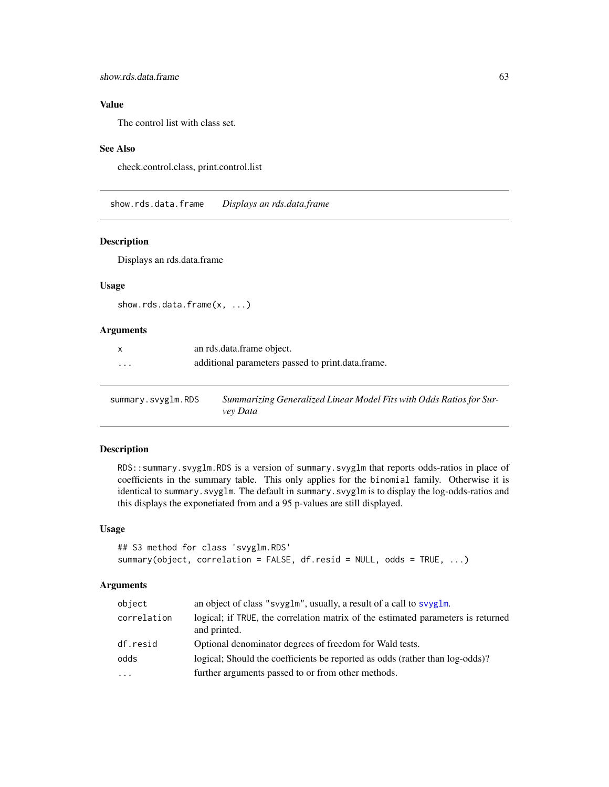### <span id="page-62-0"></span>Value

The control list with class set.

#### See Also

check.control.class, print.control.list

show.rds.data.frame *Displays an rds.data.frame*

### Description

Displays an rds.data.frame

#### Usage

show.rds.data.frame(x, ...)

#### Arguments

|          | an rds.data.frame object.                         |
|----------|---------------------------------------------------|
| $\cdots$ | additional parameters passed to print.data.frame. |

summary.svyglm.RDS *Summarizing Generalized Linear Model Fits with Odds Ratios for Survey Data*

### Description

RDS::summary.svyglm.RDS is a version of summary.svyglm that reports odds-ratios in place of coefficients in the summary table. This only applies for the binomial family. Otherwise it is identical to summary.svyglm. The default in summary.svyglm is to display the log-odds-ratios and this displays the exponetiated from and a 95 p-values are still displayed.

#### Usage

```
## S3 method for class 'svyglm.RDS'
summary(object, correlation = FALSE, df.resid = NULL, odds = TRUE, ...)
```

| object      | an object of class "svyglm", usually, a result of a call to svyglm.                              |  |
|-------------|--------------------------------------------------------------------------------------------------|--|
| correlation | logical; if TRUE, the correlation matrix of the estimated parameters is returned<br>and printed. |  |
| df.resid    | Optional denominator degrees of freedom for Wald tests.                                          |  |
| odds        | logical; Should the coefficients be reported as odds (rather than log-odds)?                     |  |
| $\cdots$    | further arguments passed to or from other methods.                                               |  |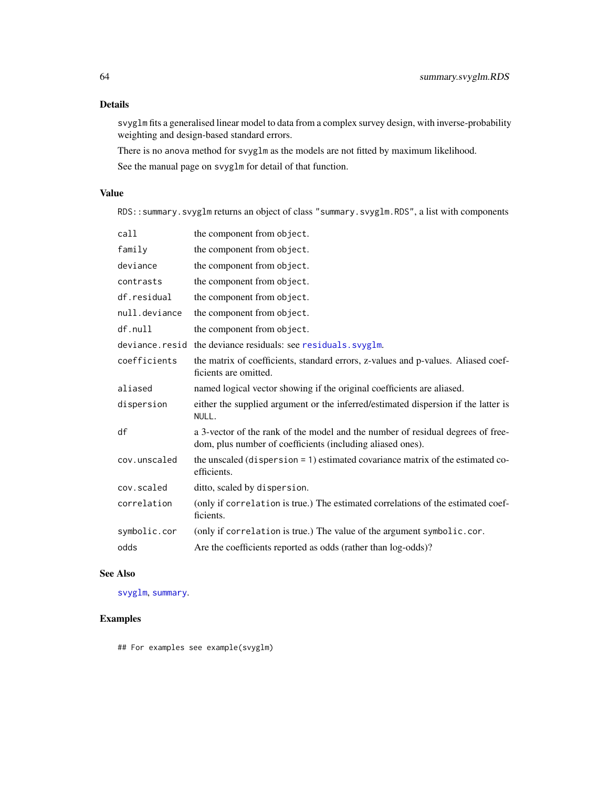### <span id="page-63-0"></span>Details

svyglm fits a generalised linear model to data from a complex survey design, with inverse-probability weighting and design-based standard errors.

There is no anova method for svyglm as the models are not fitted by maximum likelihood. See the manual page on svyglm for detail of that function.

### Value

RDS::summary.svyglm returns an object of class "summary.svyglm.RDS", a list with components

| the component from object.                                                                                                                    |
|-----------------------------------------------------------------------------------------------------------------------------------------------|
| the component from object.                                                                                                                    |
| the component from object.                                                                                                                    |
| the component from object.                                                                                                                    |
| the component from object.                                                                                                                    |
| the component from object.                                                                                                                    |
| the component from object.                                                                                                                    |
| deviance.resid the deviance residuals: see residuals.svyglm.                                                                                  |
| the matrix of coefficients, standard errors, z-values and p-values. Aliased coef-<br>ficients are omitted.                                    |
| named logical vector showing if the original coefficients are aliased.                                                                        |
| either the supplied argument or the inferred/estimated dispersion if the latter is<br>NULL.                                                   |
| a 3-vector of the rank of the model and the number of residual degrees of free-<br>dom, plus number of coefficients (including aliased ones). |
| the unscaled (dispersion = 1) estimated covariance matrix of the estimated co-<br>efficients.                                                 |
| ditto, scaled by dispersion.                                                                                                                  |
| (only if correlation is true.) The estimated correlations of the estimated coef-<br>ficients.                                                 |
| (only if correlation is true.) The value of the argument symbolic.cor.                                                                        |
| Are the coefficients reported as odds (rather than log-odds)?                                                                                 |
|                                                                                                                                               |

### See Also

[svyglm](#page-0-0), [summary](#page-0-0).

### Examples

## For examples see example(svyglm)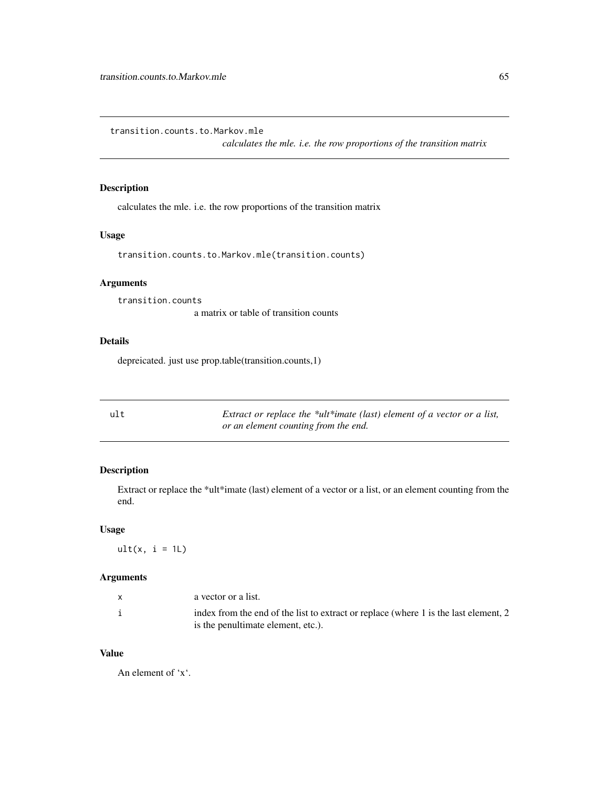<span id="page-64-0"></span>transition.counts.to.Markov.mle

*calculates the mle. i.e. the row proportions of the transition matrix*

### Description

calculates the mle. i.e. the row proportions of the transition matrix

### Usage

transition.counts.to.Markov.mle(transition.counts)

### Arguments

transition.counts

a matrix or table of transition counts

#### Details

depreicated. just use prop.table(transition.counts,1)

| ult | Extract or replace the *ult*imate (last) element of a vector or a list, |
|-----|-------------------------------------------------------------------------|
|     | or an element counting from the end.                                    |

### Description

Extract or replace the \*ult\*imate (last) element of a vector or a list, or an element counting from the end.

#### Usage

 $ult(x, i = 1L)$ 

### Arguments

| a vector or a list.                                                                  |
|--------------------------------------------------------------------------------------|
| index from the end of the list to extract or replace (where 1 is the last element, 2 |
| is the penultimate element, etc.).                                                   |

### Value

An element of 'x'.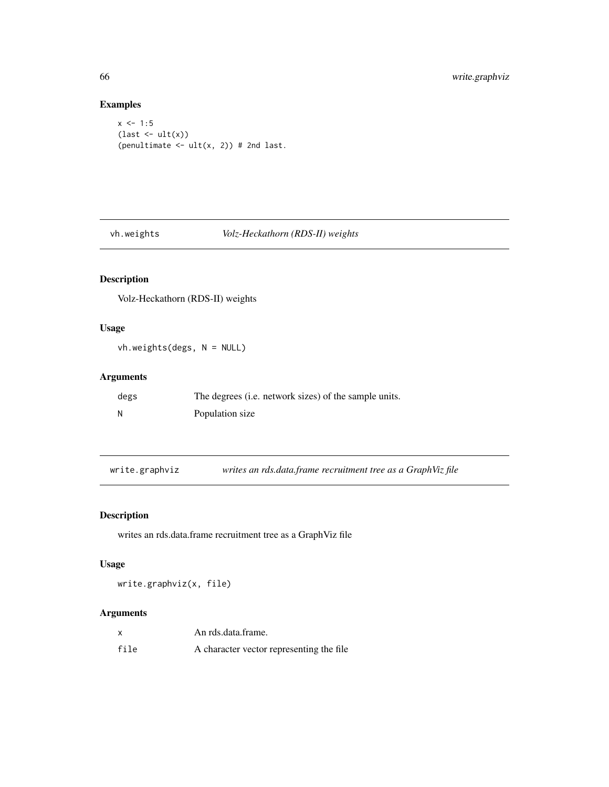### Examples

```
x \le -1:5(\text{last} \leftarrow \text{ult}(x))(penultimate \leftarrow ult(x, 2)) # 2nd last.
```
<span id="page-65-1"></span>vh.weights *Volz-Heckathorn (RDS-II) weights*

### Description

Volz-Heckathorn (RDS-II) weights

### Usage

vh.weights(degs, N = NULL)

### Arguments

| degs | The degrees ( <i>i.e.</i> network sizes) of the sample units. |
|------|---------------------------------------------------------------|
| N    | Population size                                               |

write.graphviz *writes an rds.data.frame recruitment tree as a GraphViz file*

### Description

writes an rds.data.frame recruitment tree as a GraphViz file

### Usage

write.graphviz(x, file)

|      | An rds.data.frame.                       |
|------|------------------------------------------|
| file | A character vector representing the file |

<span id="page-65-0"></span>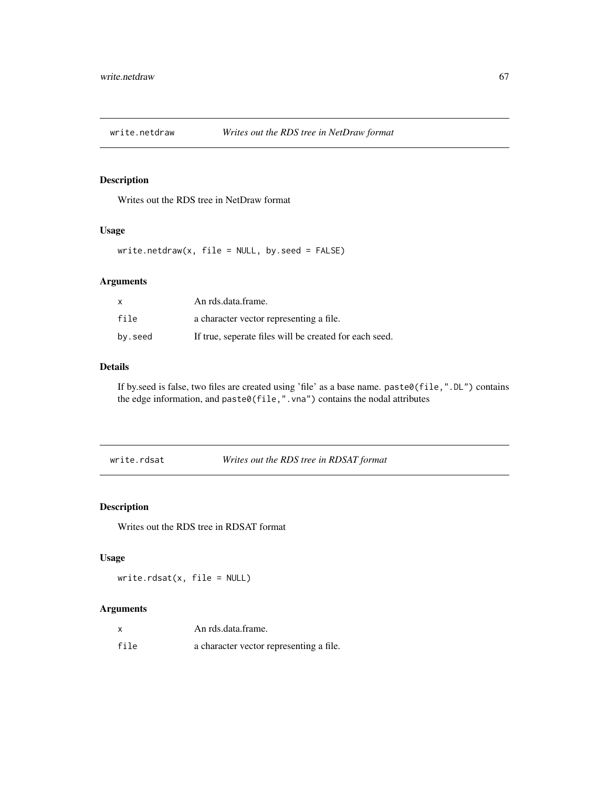<span id="page-66-0"></span>

### Description

Writes out the RDS tree in NetDraw format

#### Usage

write.netdraw(x, file = NULL, by.seed = FALSE)

### Arguments

| x       | An rds.data.frame.                                     |
|---------|--------------------------------------------------------|
| file    | a character vector representing a file.                |
| by.seed | If true, seperate files will be created for each seed. |

### Details

If by.seed is false, two files are created using 'file' as a base name. paste0(file,".DL") contains the edge information, and paste0(file,".vna") contains the nodal attributes

write.rdsat *Writes out the RDS tree in RDSAT format*

### Description

Writes out the RDS tree in RDSAT format

### Usage

write.rdsat(x, file = NULL)

|      | An rds.data.frame.                      |
|------|-----------------------------------------|
| file | a character vector representing a file. |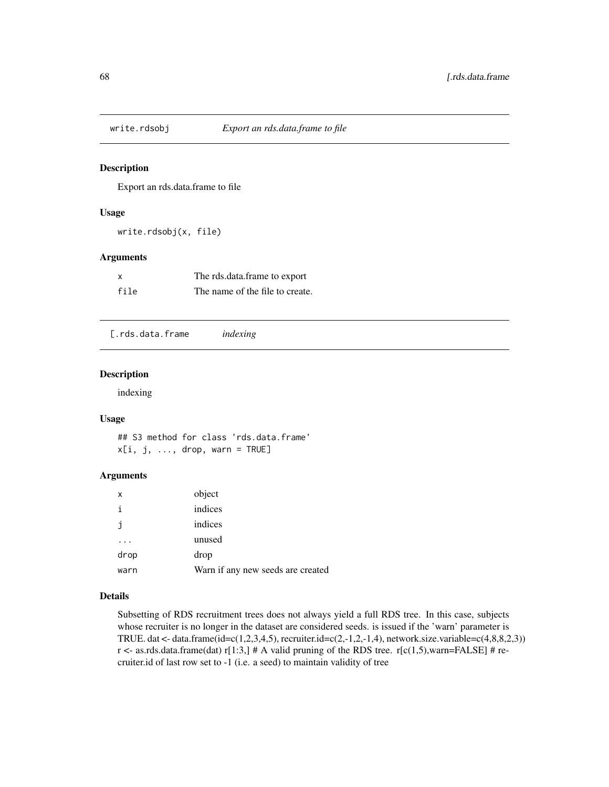<span id="page-67-0"></span>

#### Description

Export an rds.data.frame to file

### Usage

write.rdsobj(x, file)

### Arguments

| x    | The rds.data.frame to export    |
|------|---------------------------------|
| file | The name of the file to create. |

[.rds.data.frame *indexing*

#### Description

indexing

#### Usage

## S3 method for class 'rds.data.frame'  $x[i, j, ..., drop, warn = TRUE]$ 

### Arguments

| X    | object                            |
|------|-----------------------------------|
| i    | indices                           |
| j    | indices                           |
|      | unused                            |
| drop | drop                              |
| warn | Warn if any new seeds are created |

### Details

Subsetting of RDS recruitment trees does not always yield a full RDS tree. In this case, subjects whose recruiter is no longer in the dataset are considered seeds. is issued if the 'warn' parameter is TRUE. dat <- data.frame( $id = c(1, 2, 3, 4, 5)$ , recruiter. $id = c(2, -1, 2, -1, 4)$ , network.size.variable= $c(4, 8, 8, 2, 3)$ ) r <- as.rds.data.frame(dat) r[1:3,] # A valid pruning of the RDS tree. r[c(1,5),warn=FALSE] # recruiter.id of last row set to -1 (i.e. a seed) to maintain validity of tree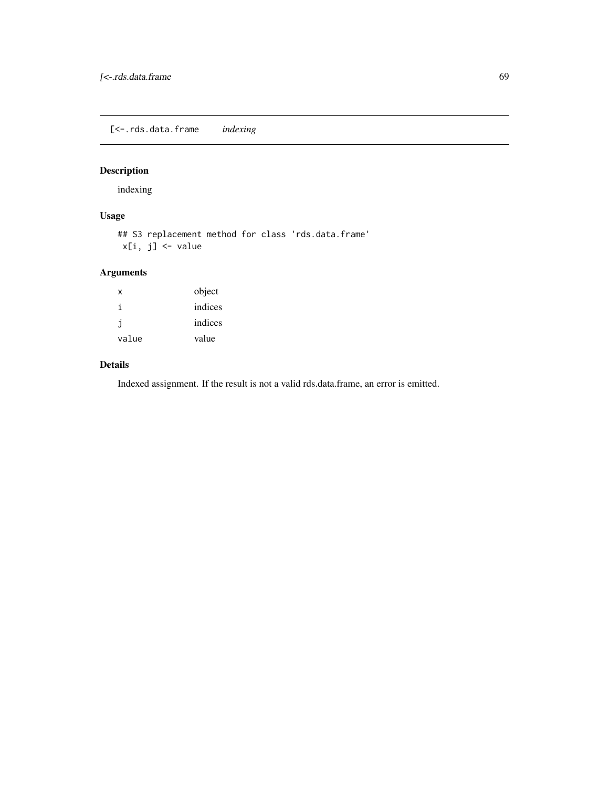<span id="page-68-0"></span>[<-.rds.data.frame *indexing*

### Description

indexing

### Usage

## S3 replacement method for class 'rds.data.frame' x[i, j] <- value

### Arguments

| x     | object  |
|-------|---------|
| i     | indices |
| j     | indices |
| value | value   |

#### Details

Indexed assignment. If the result is not a valid rds.data.frame, an error is emitted.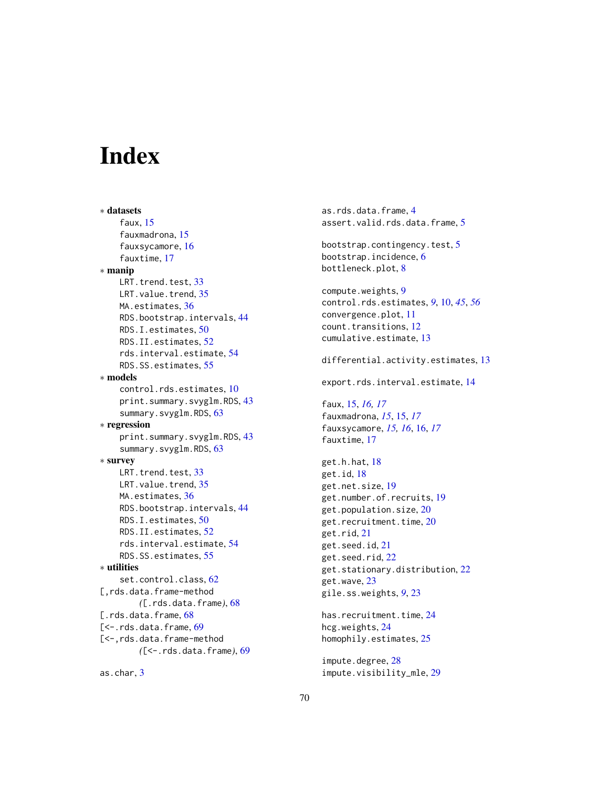# <span id="page-69-0"></span>**Index**

∗ datasets faux, [15](#page-14-0) fauxmadrona, [15](#page-14-0) fauxsycamore, [16](#page-15-0) fauxtime, [17](#page-16-0) ∗ manip LRT.trend.test, [33](#page-32-0) LRT.value.trend, [35](#page-34-0) MA.estimates, [36](#page-35-0) RDS.bootstrap.intervals, [44](#page-43-0) RDS.I.estimates, [50](#page-49-0) RDS.II.estimates, [52](#page-51-0) rds.interval.estimate, [54](#page-53-0) RDS.SS.estimates, [55](#page-54-0) ∗ models control.rds.estimates, [10](#page-9-0) print.summary.svyglm.RDS, [43](#page-42-0) summary.svyglm.RDS, [63](#page-62-0) ∗ regression print.summary.svyglm.RDS, [43](#page-42-0) summary.svyglm.RDS, [63](#page-62-0) ∗ survey LRT.trend.test. [33](#page-32-0) LRT.value.trend, [35](#page-34-0) MA.estimates, [36](#page-35-0) RDS.bootstrap.intervals, [44](#page-43-0) RDS.I.estimates, [50](#page-49-0) RDS.II.estimates, [52](#page-51-0) rds.interval.estimate, [54](#page-53-0) RDS.SS.estimates, [55](#page-54-0) ∗ utilities set.control.class, [62](#page-61-0) [,rds.data.frame-method *(*[.rds.data.frame*)*, [68](#page-67-0) [.rds.data.frame, [68](#page-67-0) [<-.rds.data.frame, [69](#page-68-0) [<-,rds.data.frame-method *(*[<-.rds.data.frame*)*, [69](#page-68-0)

as.char, [3](#page-2-0)

as.rds.data.frame, [4](#page-3-0) assert.valid.rds.data.frame, [5](#page-4-0) bootstrap.contingency.test, [5](#page-4-0) bootstrap.incidence, [6](#page-5-0) bottleneck.plot, [8](#page-7-0) compute.weights, [9](#page-8-0) control.rds.estimates, *[9](#page-8-0)*, [10,](#page-9-0) *[45](#page-44-0)*, *[56](#page-55-0)* convergence.plot, [11](#page-10-0) count.transitions, [12](#page-11-0) cumulative.estimate, [13](#page-12-0) differential.activity.estimates, [13](#page-12-0) export.rds.interval.estimate, [14](#page-13-0) faux, [15,](#page-14-0) *[16,](#page-15-0) [17](#page-16-0)* fauxmadrona, *[15](#page-14-0)*, [15,](#page-14-0) *[17](#page-16-0)* fauxsycamore, *[15,](#page-14-0) [16](#page-15-0)*, [16,](#page-15-0) *[17](#page-16-0)* fauxtime, [17](#page-16-0) get.h.hat, [18](#page-17-0) get.id, [18](#page-17-0) get.net.size, [19](#page-18-0) get.number.of.recruits, [19](#page-18-0) get.population.size, [20](#page-19-0) get.recruitment.time, [20](#page-19-0) get.rid, [21](#page-20-0) get.seed.id, [21](#page-20-0) get.seed.rid, [22](#page-21-0) get.stationary.distribution, [22](#page-21-0) get.wave, [23](#page-22-0) gile.ss.weights, *[9](#page-8-0)*, [23](#page-22-0) has.recruitment.time, [24](#page-23-0) hcg.weights, [24](#page-23-0)

homophily.estimates, [25](#page-24-0) impute.degree, [28](#page-27-0)

impute.visibility\_mle, [29](#page-28-0)